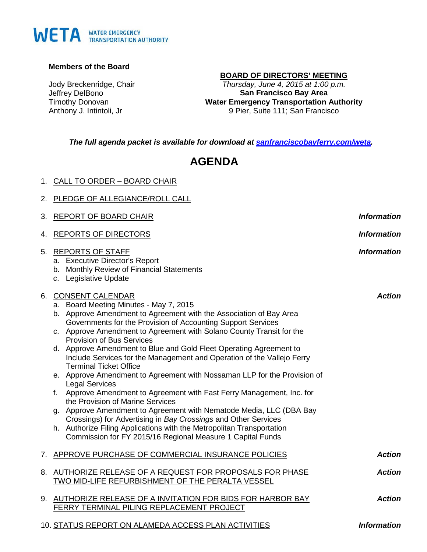# WETA WATER EMERGENCY

## **Members of the Board**

Jody Breckenridge, Chair Jeffrey DelBono Timothy Donovan Anthony J. Intintoli, Jr

## **BOARD OF DIRECTORS' MEETING**

*Thursday, June 4, 2015 at 1:00 p.m.* **San Francisco Bay Area Water Emergency Transportation Authority** 9 Pier, Suite 111; San Francisco

*The full agenda packet is available for download at [sanfranciscobayferry.com/weta.](http://www.sanfranciscobayferry.com/weta/next-board-meeting)*

## **AGENDA**

| 1. CALL TO ORDER - BOARD CHAIR    |
|-----------------------------------|
| 2. PLEDGE OF ALLEGIANCE/ROLL CALL |

|    | 3. REPORT OF BOARD CHAIR                                                                                                                                                                                                                                                                                                                                                                                                                                                                                                                                                                                                                                                                                                                                                                                                                                                                                                                                                                                | <b>Information</b> |
|----|---------------------------------------------------------------------------------------------------------------------------------------------------------------------------------------------------------------------------------------------------------------------------------------------------------------------------------------------------------------------------------------------------------------------------------------------------------------------------------------------------------------------------------------------------------------------------------------------------------------------------------------------------------------------------------------------------------------------------------------------------------------------------------------------------------------------------------------------------------------------------------------------------------------------------------------------------------------------------------------------------------|--------------------|
|    | 4. REPORTS OF DIRECTORS                                                                                                                                                                                                                                                                                                                                                                                                                                                                                                                                                                                                                                                                                                                                                                                                                                                                                                                                                                                 | <b>Information</b> |
|    | 5. REPORTS OF STAFF<br>a. Executive Director's Report<br>b. Monthly Review of Financial Statements<br>c. Legislative Update                                                                                                                                                                                                                                                                                                                                                                                                                                                                                                                                                                                                                                                                                                                                                                                                                                                                             | <b>Information</b> |
| 6. | <b>CONSENT CALENDAR</b><br>a. Board Meeting Minutes - May 7, 2015<br>b. Approve Amendment to Agreement with the Association of Bay Area<br>Governments for the Provision of Accounting Support Services<br>c. Approve Amendment to Agreement with Solano County Transit for the<br><b>Provision of Bus Services</b><br>d. Approve Amendment to Blue and Gold Fleet Operating Agreement to<br>Include Services for the Management and Operation of the Vallejo Ferry<br><b>Terminal Ticket Office</b><br>e. Approve Amendment to Agreement with Nossaman LLP for the Provision of<br><b>Legal Services</b><br>f. Approve Amendment to Agreement with Fast Ferry Management, Inc. for<br>the Provision of Marine Services<br>g. Approve Amendment to Agreement with Nematode Media, LLC (DBA Bay<br>Crossings) for Advertising in Bay Crossings and Other Services<br>h. Authorize Filing Applications with the Metropolitan Transportation<br>Commission for FY 2015/16 Regional Measure 1 Capital Funds | <b>Action</b>      |
|    | 7. APPROVE PURCHASE OF COMMERCIAL INSURANCE POLICIES                                                                                                                                                                                                                                                                                                                                                                                                                                                                                                                                                                                                                                                                                                                                                                                                                                                                                                                                                    | <b>Action</b>      |
|    | 8. AUTHORIZE RELEASE OF A REQUEST FOR PROPOSALS FOR PHASE<br>TWO MID-LIFE REFURBISHMENT OF THE PERALTA VESSEL                                                                                                                                                                                                                                                                                                                                                                                                                                                                                                                                                                                                                                                                                                                                                                                                                                                                                           | <b>Action</b>      |
|    | 9. AUTHORIZE RELEASE OF A INVITATION FOR BIDS FOR HARBOR BAY<br>FERRY TERMINAL PILING REPLACEMENT PROJECT                                                                                                                                                                                                                                                                                                                                                                                                                                                                                                                                                                                                                                                                                                                                                                                                                                                                                               | <b>Action</b>      |
|    | 10. STATUS REPORT ON ALAMEDA ACCESS PLAN ACTIVITIES                                                                                                                                                                                                                                                                                                                                                                                                                                                                                                                                                                                                                                                                                                                                                                                                                                                                                                                                                     | <b>Information</b> |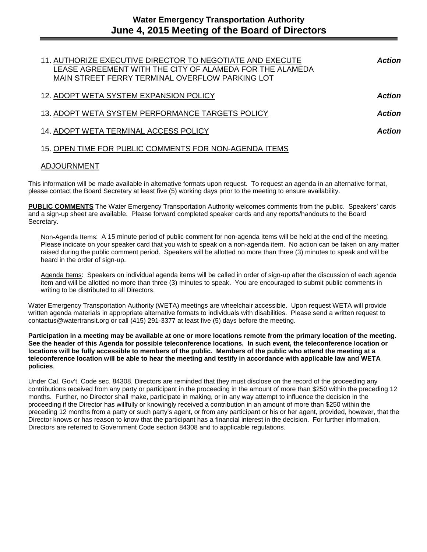| 11. AUTHORIZE EXECUTIVE DIRECTOR TO NEGOTIATE AND EXECUTE<br>LEASE AGREEMENT WITH THE CITY OF ALAMEDA FOR THE ALAMEDA<br>MAIN STREET FERRY TERMINAL OVERFLOW PARKING LOT | <b>Action</b> |
|--------------------------------------------------------------------------------------------------------------------------------------------------------------------------|---------------|
| 12. ADOPT WETA SYSTEM EXPANSION POLICY                                                                                                                                   | <b>Action</b> |
| 13. ADOPT WETA SYSTEM PERFORMANCE TARGETS POLICY                                                                                                                         | <b>Action</b> |
| 14. ADOPT WETA TERMINAL ACCESS POLICY                                                                                                                                    | Action        |
| 15. OPEN TIME FOR PUBLIC COMMENTS FOR NON-AGENDA ITEMS                                                                                                                   |               |

## ADJOURNMENT

This information will be made available in alternative formats upon request. To request an agenda in an alternative format, please contact the Board Secretary at least five (5) working days prior to the meeting to ensure availability.

**PUBLIC COMMENTS** The Water Emergency Transportation Authority welcomes comments from the public. Speakers' cards and a sign-up sheet are available. Please forward completed speaker cards and any reports/handouts to the Board Secretary.

Non-Agenda Items: A 15 minute period of public comment for non-agenda items will be held at the end of the meeting. Please indicate on your speaker card that you wish to speak on a non-agenda item. No action can be taken on any matter raised during the public comment period. Speakers will be allotted no more than three (3) minutes to speak and will be heard in the order of sign-up.

Agenda Items: Speakers on individual agenda items will be called in order of sign-up after the discussion of each agenda item and will be allotted no more than three (3) minutes to speak. You are encouraged to submit public comments in writing to be distributed to all Directors.

Water Emergency Transportation Authority (WETA) meetings are wheelchair accessible. Upon request WETA will provide written agenda materials in appropriate alternative formats to individuals with disabilities. Please send a written request to contactus@watertransit.org or call (415) 291-3377 at least five (5) days before the meeting.

**Participation in a meeting may be available at one or more locations remote from the primary location of the meeting. See the header of this Agenda for possible teleconference locations. In such event, the teleconference location or locations will be fully accessible to members of the public. Members of the public who attend the meeting at a teleconference location will be able to hear the meeting and testify in accordance with applicable law and WETA policies**.

Under Cal. Gov't. Code sec. 84308, Directors are reminded that they must disclose on the record of the proceeding any contributions received from any party or participant in the proceeding in the amount of more than \$250 within the preceding 12 months. Further, no Director shall make, participate in making, or in any way attempt to influence the decision in the proceeding if the Director has willfully or knowingly received a contribution in an amount of more than \$250 within the preceding 12 months from a party or such party's agent, or from any participant or his or her agent, provided, however, that the Director knows or has reason to know that the participant has a financial interest in the decision. For further information, Directors are referred to Government Code section 84308 and to applicable regulations.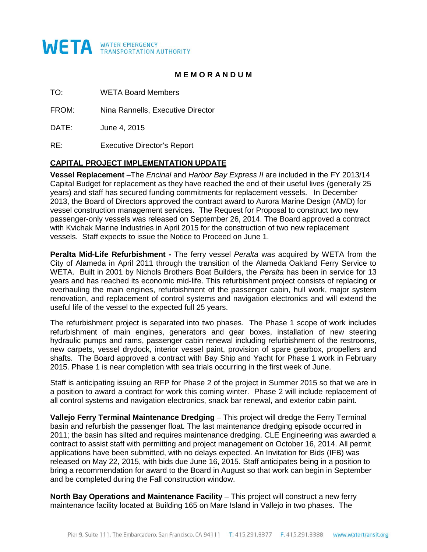

## **M E M O R A N D U M**

TO: WETA Board Members

FROM: Nina Rannells, Executive Director

DATE: June 4, 2015

RE: Executive Director's Report

## **CAPITAL PROJECT IMPLEMENTATION UPDATE**

**Vessel Replacement** –The *Encinal* and *Harbor Bay Express II* are included in the FY 2013/14 Capital Budget for replacement as they have reached the end of their useful lives (generally 25 years) and staff has secured funding commitments for replacement vessels. In December 2013, the Board of Directors approved the contract award to Aurora Marine Design (AMD) for vessel construction management services. The Request for Proposal to construct two new passenger-only vessels was released on September 26, 2014. The Board approved a contract with Kvichak Marine Industries in April 2015 for the construction of two new replacement vessels. Staff expects to issue the Notice to Proceed on June 1.

**Peralta Mid-Life Refurbishment -** The ferry vessel *Peralta* was acquired by WETA from the City of Alameda in April 2011 through the transition of the Alameda Oakland Ferry Service to WETA. Built in 2001 by Nichols Brothers Boat Builders, the *Peralta* has been in service for 13 years and has reached its economic mid-life. This refurbishment project consists of replacing or overhauling the main engines, refurbishment of the passenger cabin, hull work, major system renovation, and replacement of control systems and navigation electronics and will extend the useful life of the vessel to the expected full 25 years.

The refurbishment project is separated into two phases. The Phase 1 scope of work includes refurbishment of main engines, generators and gear boxes, installation of new steering hydraulic pumps and rams, passenger cabin renewal including refurbishment of the restrooms, new carpets, vessel drydock, interior vessel paint, provision of spare gearbox, propellers and shafts. The Board approved a contract with Bay Ship and Yacht for Phase 1 work in February 2015. Phase 1 is near completion with sea trials occurring in the first week of June.

Staff is anticipating issuing an RFP for Phase 2 of the project in Summer 2015 so that we are in a position to award a contract for work this coming winter. Phase 2 will include replacement of all control systems and navigation electronics, snack bar renewal, and exterior cabin paint.

**Vallejo Ferry Terminal Maintenance Dredging** – This project will dredge the Ferry Terminal basin and refurbish the passenger float. The last maintenance dredging episode occurred in 2011; the basin has silted and requires maintenance dredging. CLE Engineering was awarded a contract to assist staff with permitting and project management on October 16, 2014. All permit applications have been submitted, with no delays expected. An Invitation for Bids (IFB) was released on May 22, 2015, with bids due June 16, 2015. Staff anticipates being in a position to bring a recommendation for award to the Board in August so that work can begin in September and be completed during the Fall construction window.

**North Bay Operations and Maintenance Facility** – This project will construct a new ferry maintenance facility located at Building 165 on Mare Island in Vallejo in two phases. The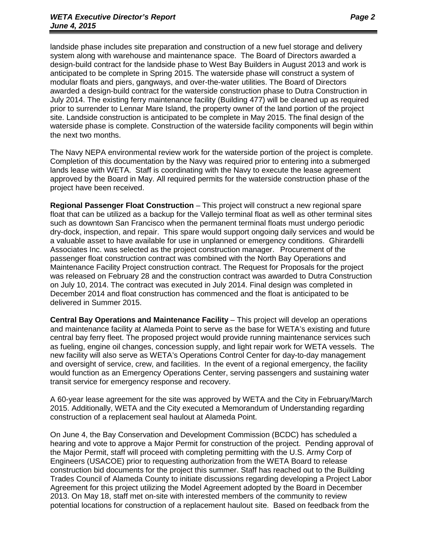landside phase includes site preparation and construction of a new fuel storage and delivery system along with warehouse and maintenance space. The Board of Directors awarded a design-build contract for the landside phase to West Bay Builders in August 2013 and work is anticipated to be complete in Spring 2015. The waterside phase will construct a system of modular floats and piers, gangways, and over-the-water utilities. The Board of Directors awarded a design-build contract for the waterside construction phase to Dutra Construction in July 2014. The existing ferry maintenance facility (Building 477) will be cleaned up as required prior to surrender to Lennar Mare Island, the property owner of the land portion of the project site. Landside construction is anticipated to be complete in May 2015. The final design of the waterside phase is complete. Construction of the waterside facility components will begin within the next two months.

The Navy NEPA environmental review work for the waterside portion of the project is complete. Completion of this documentation by the Navy was required prior to entering into a submerged lands lease with WETA. Staff is coordinating with the Navy to execute the lease agreement approved by the Board in May. All required permits for the waterside construction phase of the project have been received.

**Regional Passenger Float Construction** – This project will construct a new regional spare float that can be utilized as a backup for the Vallejo terminal float as well as other terminal sites such as downtown San Francisco when the permanent terminal floats must undergo periodic dry-dock, inspection, and repair. This spare would support ongoing daily services and would be a valuable asset to have available for use in unplanned or emergency conditions. Ghirardelli Associates Inc. was selected as the project construction manager. Procurement of the passenger float construction contract was combined with the North Bay Operations and Maintenance Facility Project construction contract. The Request for Proposals for the project was released on February 28 and the construction contract was awarded to Dutra Construction on July 10, 2014. The contract was executed in July 2014. Final design was completed in December 2014 and float construction has commenced and the float is anticipated to be delivered in Summer 2015.

**Central Bay Operations and Maintenance Facility** – This project will develop an operations and maintenance facility at Alameda Point to serve as the base for WETA's existing and future central bay ferry fleet. The proposed project would provide running maintenance services such as fueling, engine oil changes, concession supply, and light repair work for WETA vessels. The new facility will also serve as WETA's Operations Control Center for day-to-day management and oversight of service, crew, and facilities. In the event of a regional emergency, the facility would function as an Emergency Operations Center, serving passengers and sustaining water transit service for emergency response and recovery.

A 60-year lease agreement for the site was approved by WETA and the City in February/March 2015. Additionally, WETA and the City executed a Memorandum of Understanding regarding construction of a replacement seal haulout at Alameda Point.

On June 4, the Bay Conservation and Development Commission (BCDC) has scheduled a hearing and vote to approve a Major Permit for construction of the project. Pending approval of the Major Permit, staff will proceed with completing permitting with the U.S. Army Corp of Engineers (USACOE) prior to requesting authorization from the WETA Board to release construction bid documents for the project this summer. Staff has reached out to the Building Trades Council of Alameda County to initiate discussions regarding developing a Project Labor Agreement for this project utilizing the Model Agreement adopted by the Board in December 2013. On May 18, staff met on-site with interested members of the community to review potential locations for construction of a replacement haulout site. Based on feedback from the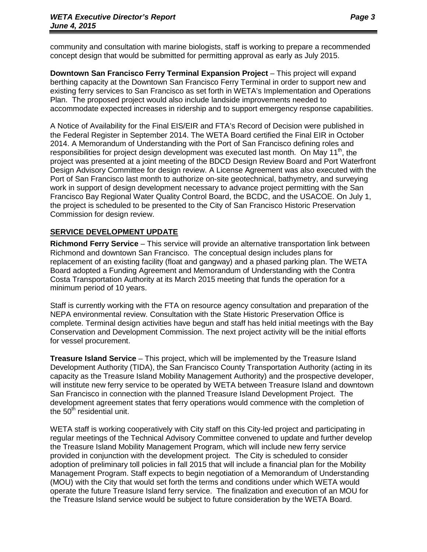community and consultation with marine biologists, staff is working to prepare a recommended concept design that would be submitted for permitting approval as early as July 2015.

**Downtown San Francisco Ferry Terminal Expansion Project** – This project will expand berthing capacity at the Downtown San Francisco Ferry Terminal in order to support new and existing ferry services to San Francisco as set forth in WETA's Implementation and Operations Plan. The proposed project would also include landside improvements needed to accommodate expected increases in ridership and to support emergency response capabilities.

A Notice of Availability for the Final EIS/EIR and FTA's Record of Decision were published in the Federal Register in September 2014. The WETA Board certified the Final EIR in October 2014. A Memorandum of Understanding with the Port of San Francisco defining roles and responsibilities for project design development was executed last month. On May 11<sup>th</sup>, the project was presented at a joint meeting of the BDCD Design Review Board and Port Waterfront Design Advisory Committee for design review. A License Agreement was also executed with the Port of San Francisco last month to authorize on-site geotechnical, bathymetry, and surveying work in support of design development necessary to advance project permitting with the San Francisco Bay Regional Water Quality Control Board, the BCDC, and the USACOE. On July 1, the project is scheduled to be presented to the City of San Francisco Historic Preservation Commission for design review.

## **SERVICE DEVELOPMENT UPDATE**

**Richmond Ferry Service** – This service will provide an alternative transportation link between Richmond and downtown San Francisco. The conceptual design includes plans for replacement of an existing facility (float and gangway) and a phased parking plan. The WETA Board adopted a Funding Agreement and Memorandum of Understanding with the Contra Costa Transportation Authority at its March 2015 meeting that funds the operation for a minimum period of 10 years.

Staff is currently working with the FTA on resource agency consultation and preparation of the NEPA environmental review. Consultation with the State Historic Preservation Office is complete. Terminal design activities have begun and staff has held initial meetings with the Bay Conservation and Development Commission. The next project activity will be the initial efforts for vessel procurement.

**Treasure Island Service** – This project, which will be implemented by the Treasure Island Development Authority (TIDA), the San Francisco County Transportation Authority (acting in its capacity as the Treasure Island Mobility Management Authority) and the prospective developer, will institute new ferry service to be operated by WETA between Treasure Island and downtown San Francisco in connection with the planned Treasure Island Development Project. The development agreement states that ferry operations would commence with the completion of the  $50<sup>th</sup>$  residential unit.

WETA staff is working cooperatively with City staff on this City-led project and participating in regular meetings of the Technical Advisory Committee convened to update and further develop the Treasure Island Mobility Management Program, which will include new ferry service provided in conjunction with the development project. The City is scheduled to consider adoption of preliminary toll policies in fall 2015 that will include a financial plan for the Mobility Management Program. Staff expects to begin negotiation of a Memorandum of Understanding (MOU) with the City that would set forth the terms and conditions under which WETA would operate the future Treasure Island ferry service. The finalization and execution of an MOU for the Treasure Island service would be subject to future consideration by the WETA Board.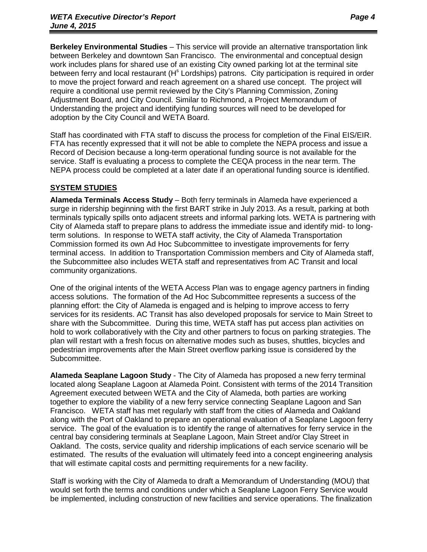**Berkeley Environmental Studies** – This service will provide an alternative transportation link between Berkeley and downtown San Francisco. The environmental and conceptual design work includes plans for shared use of an existing City owned parking lot at the terminal site between ferry and local restaurant  $(H^s$  Lordships) patrons. City participation is required in order to move the project forward and reach agreement on a shared use concept. The project will require a conditional use permit reviewed by the City's Planning Commission, Zoning Adjustment Board, and City Council. Similar to Richmond, a Project Memorandum of Understanding the project and identifying funding sources will need to be developed for adoption by the City Council and WETA Board.

Staff has coordinated with FTA staff to discuss the process for completion of the Final EIS/EIR. FTA has recently expressed that it will not be able to complete the NEPA process and issue a Record of Decision because a long-term operational funding source is not available for the service. Staff is evaluating a process to complete the CEQA process in the near term. The NEPA process could be completed at a later date if an operational funding source is identified.

## **SYSTEM STUDIES**

**Alameda Terminals Access Study** – Both ferry terminals in Alameda have experienced a surge in ridership beginning with the first BART strike in July 2013. As a result, parking at both terminals typically spills onto adjacent streets and informal parking lots. WETA is partnering with City of Alameda staff to prepare plans to address the immediate issue and identify mid- to longterm solutions. In response to WETA staff activity, the City of Alameda Transportation Commission formed its own Ad Hoc Subcommittee to investigate improvements for ferry terminal access. In addition to Transportation Commission members and City of Alameda staff, the Subcommittee also includes WETA staff and representatives from AC Transit and local community organizations.

One of the original intents of the WETA Access Plan was to engage agency partners in finding access solutions. The formation of the Ad Hoc Subcommittee represents a success of the planning effort: the City of Alameda is engaged and is helping to improve access to ferry services for its residents. AC Transit has also developed proposals for service to Main Street to share with the Subcommittee. During this time, WETA staff has put access plan activities on hold to work collaboratively with the City and other partners to focus on parking strategies. The plan will restart with a fresh focus on alternative modes such as buses, shuttles, bicycles and pedestrian improvements after the Main Street overflow parking issue is considered by the Subcommittee.

**Alameda Seaplane Lagoon Study** - The City of Alameda has proposed a new ferry terminal located along Seaplane Lagoon at Alameda Point. Consistent with terms of the 2014 Transition Agreement executed between WETA and the City of Alameda, both parties are working together to explore the viability of a new ferry service connecting Seaplane Lagoon and San Francisco. WETA staff has met regularly with staff from the cities of Alameda and Oakland along with the Port of Oakland to prepare an operational evaluation of a Seaplane Lagoon ferry service. The goal of the evaluation is to identify the range of alternatives for ferry service in the central bay considering terminals at Seaplane Lagoon, Main Street and/or Clay Street in Oakland. The costs, service quality and ridership implications of each service scenario will be estimated. The results of the evaluation will ultimately feed into a concept engineering analysis that will estimate capital costs and permitting requirements for a new facility.

Staff is working with the City of Alameda to draft a Memorandum of Understanding (MOU) that would set forth the terms and conditions under which a Seaplane Lagoon Ferry Service would be implemented, including construction of new facilities and service operations. The finalization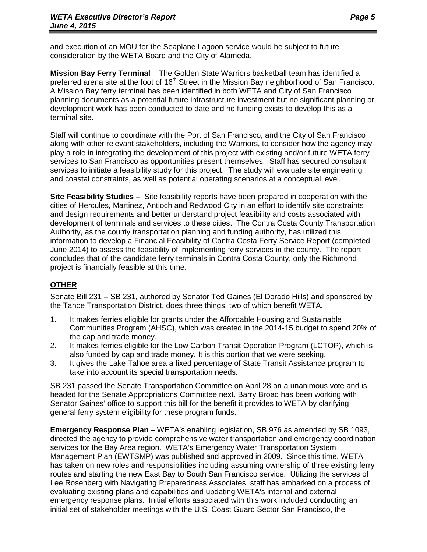and execution of an MOU for the Seaplane Lagoon service would be subject to future consideration by the WETA Board and the City of Alameda.

**Mission Bay Ferry Terminal** – The Golden State Warriors basketball team has identified a preferred arena site at the foot of 16<sup>th</sup> Street in the Mission Bay neighborhood of San Francisco. A Mission Bay ferry terminal has been identified in both WETA and City of San Francisco planning documents as a potential future infrastructure investment but no significant planning or development work has been conducted to date and no funding exists to develop this as a terminal site.

Staff will continue to coordinate with the Port of San Francisco, and the City of San Francisco along with other relevant stakeholders, including the Warriors, to consider how the agency may play a role in integrating the development of this project with existing and/or future WETA ferry services to San Francisco as opportunities present themselves. Staff has secured consultant services to initiate a feasibility study for this project. The study will evaluate site engineering and coastal constraints, as well as potential operating scenarios at a conceptual level.

**Site Feasibility Studies** – Site feasibility reports have been prepared in cooperation with the cities of Hercules, Martinez, Antioch and Redwood City in an effort to identify site constraints and design requirements and better understand project feasibility and costs associated with development of terminals and services to these cities. The Contra Costa County Transportation Authority, as the county transportation planning and funding authority, has utilized this information to develop a Financial Feasibility of Contra Costa Ferry Service Report (completed June 2014) to assess the feasibility of implementing ferry services in the county. The report concludes that of the candidate ferry terminals in Contra Costa County, only the Richmond project is financially feasible at this time.

## **OTHER**

Senate Bill 231 – SB 231, authored by Senator Ted Gaines (El Dorado Hills) and sponsored by the Tahoe Transportation District, does three things, two of which benefit WETA.

- 1. It makes ferries eligible for grants under the Affordable Housing and Sustainable Communities Program (AHSC), which was created in the 2014-15 budget to spend 20% of the cap and trade money.
- 2. It makes ferries eligible for the Low Carbon Transit Operation Program (LCTOP), which is also funded by cap and trade money. It is this portion that we were seeking.
- 3. It gives the Lake Tahoe area a fixed percentage of State Transit Assistance program to take into account its special transportation needs.

SB 231 passed the Senate Transportation Committee on April 28 on a unanimous vote and is headed for the Senate Appropriations Committee next. Barry Broad has been working with Senator Gaines' office to support this bill for the benefit it provides to WETA by clarifying general ferry system eligibility for these program funds.

**Emergency Response Plan –** WETA's enabling legislation, SB 976 as amended by SB 1093, directed the agency to provide comprehensive water transportation and emergency coordination services for the Bay Area region. WETA's Emergency Water Transportation System Management Plan (EWTSMP) was published and approved in 2009. Since this time, WETA has taken on new roles and responsibilities including assuming ownership of three existing ferry routes and starting the new East Bay to South San Francisco service. Utilizing the services of Lee Rosenberg with Navigating Preparedness Associates, staff has embarked on a process of evaluating existing plans and capabilities and updating WETA's internal and external emergency response plans. Initial efforts associated with this work included conducting an initial set of stakeholder meetings with the U.S. Coast Guard Sector San Francisco, the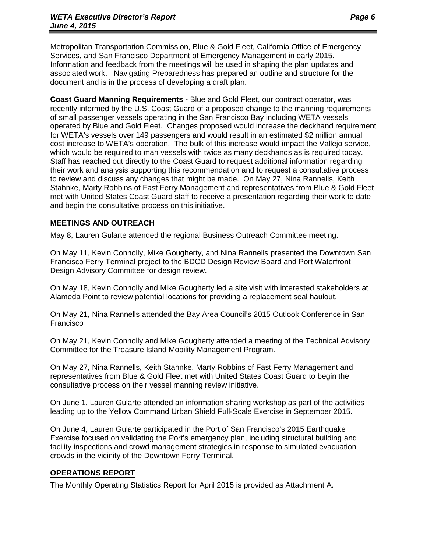Metropolitan Transportation Commission, Blue & Gold Fleet, California Office of Emergency Services, and San Francisco Department of Emergency Management in early 2015. Information and feedback from the meetings will be used in shaping the plan updates and associated work. Navigating Preparedness has prepared an outline and structure for the document and is in the process of developing a draft plan.

**Coast Guard Manning Requirements -** Blue and Gold Fleet, our contract operator, was recently informed by the U.S. Coast Guard of a proposed change to the manning requirements of small passenger vessels operating in the San Francisco Bay including WETA vessels operated by Blue and Gold Fleet. Changes proposed would increase the deckhand requirement for WETA's vessels over 149 passengers and would result in an estimated \$2 million annual cost increase to WETA's operation. The bulk of this increase would impact the Vallejo service, which would be required to man vessels with twice as many deckhands as is required today. Staff has reached out directly to the Coast Guard to request additional information regarding their work and analysis supporting this recommendation and to request a consultative process to review and discuss any changes that might be made. On May 27, Nina Rannells, Keith Stahnke, Marty Robbins of Fast Ferry Management and representatives from Blue & Gold Fleet met with United States Coast Guard staff to receive a presentation regarding their work to date and begin the consultative process on this initiative.

## **MEETINGS AND OUTREACH**

May 8, Lauren Gularte attended the regional Business Outreach Committee meeting.

On May 11, Kevin Connolly, Mike Gougherty, and Nina Rannells presented the Downtown San Francisco Ferry Terminal project to the BDCD Design Review Board and Port Waterfront Design Advisory Committee for design review.

On May 18, Kevin Connolly and Mike Gougherty led a site visit with interested stakeholders at Alameda Point to review potential locations for providing a replacement seal haulout.

On May 21, Nina Rannells attended the Bay Area Council's 2015 Outlook Conference in San Francisco

On May 21, Kevin Connolly and Mike Gougherty attended a meeting of the Technical Advisory Committee for the Treasure Island Mobility Management Program.

On May 27, Nina Rannells, Keith Stahnke, Marty Robbins of Fast Ferry Management and representatives from Blue & Gold Fleet met with United States Coast Guard to begin the consultative process on their vessel manning review initiative.

On June 1, Lauren Gularte attended an information sharing workshop as part of the activities leading up to the Yellow Command Urban Shield Full-Scale Exercise in September 2015.

On June 4, Lauren Gularte participated in the Port of San Francisco's 2015 Earthquake Exercise focused on validating the Port's emergency plan, including structural building and facility inspections and crowd management strategies in response to simulated evacuation crowds in the vicinity of the Downtown Ferry Terminal.

## **OPERATIONS REPORT**

The Monthly Operating Statistics Report for April 2015 is provided as Attachment A.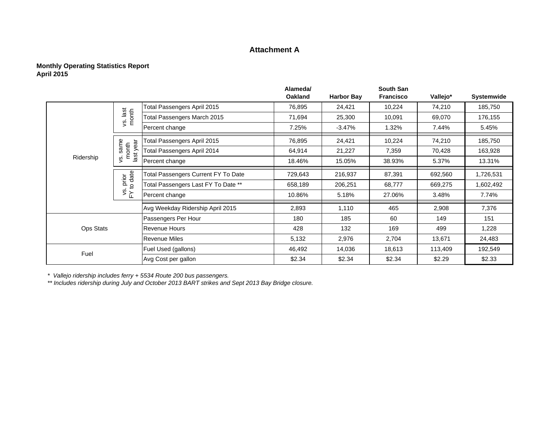## **Attachment A**

#### **Monthly Operating Statistics Report April 2015**

|                  |                               |                                     | Alameda/<br><b>Oakland</b> | <b>Harbor Bay</b> | <b>South San</b><br><b>Francisco</b> | Vallejo* | Systemwide |
|------------------|-------------------------------|-------------------------------------|----------------------------|-------------------|--------------------------------------|----------|------------|
|                  |                               | Total Passengers April 2015         | 76,895                     | 24,421            | 10,224                               | 74,210   | 185,750    |
|                  | vs. last<br>month             | Total Passengers March 2015         | 71,694                     | 25,300            | 10,091                               | 69,070   | 176,155    |
|                  |                               | Percent change                      | 7.25%                      | $-3.47%$          | 1.32%                                | 7.44%    | 5.45%      |
|                  |                               | Total Passengers April 2015         | 76,895                     | 24,421            | 10,224                               | 74,210   | 185,750    |
|                  | s. same<br>month<br>last year | Total Passengers April 2014         | 64,914                     | 21,227            | 7,359                                | 70,428   | 163,928    |
| Ridership        | Š,                            | Percent change                      | 18.46%                     | 15.05%            | 38.93%                               | 5.37%    | 13.31%     |
|                  | prior<br>to date              | Total Passengers Current FY To Date | 729,643                    | 216,937           | 87,391                               | 692,560  | 1,726,531  |
|                  |                               | Total Passengers Last FY To Date ** | 658,189                    | 206,251           | 68,777                               | 669,275  | 1,602,492  |
|                  | $\frac{1}{2}$                 | Percent change                      | 10.86%                     | 5.18%             | 27.06%                               | 3.48%    | 7.74%      |
|                  |                               | Avg Weekday Ridership April 2015    | 2,893                      | 1,110             | 465                                  | 2,908    | 7,376      |
|                  |                               | Passengers Per Hour                 | 180                        | 185               | 60                                   | 149      | 151        |
| <b>Ops Stats</b> |                               | <b>Revenue Hours</b>                | 428                        | 132               | 169                                  | 499      | 1,228      |
|                  |                               | Revenue Miles                       | 5,132                      | 2,976             | 2,704                                | 13,671   | 24,483     |
| Fuel             |                               | Fuel Used (gallons)                 | 46,492                     | 14,036            | 18,613                               | 113,409  | 192,549    |
|                  |                               | Avg Cost per gallon                 | \$2.34                     | \$2.34            | \$2.34                               | \$2.29   | \$2.33     |

*\* Vallejo ridership includes ferry + 5534 Route 200 bus passengers.*

*\*\* Includes ridership during July and October 2013 BART strikes and Sept 2013 Bay Bridge closure.*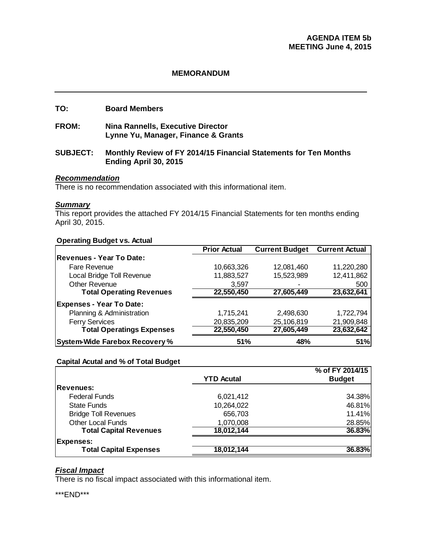## **TO: Board Members**

**FROM: Nina Rannells, Executive Director Lynne Yu, Manager, Finance & Grants** 

#### **SUBJECT: Monthly Review of FY 2014/15 Financial Statements for Ten Months Ending April 30, 2015**

#### *Recommendation*

There is no recommendation associated with this informational item.

#### *Summary*

This report provides the attached FY 2014/15 Financial Statements for ten months ending April 30, 2015.

#### **Operating Budget vs. Actual**

|                                       | <b>Prior Actual</b> | <b>Current Budget</b> | <b>Current Actual</b> |
|---------------------------------------|---------------------|-----------------------|-----------------------|
| Revenues - Year To Date:              |                     |                       |                       |
| Fare Revenue                          | 10,663,326          | 12,081,460            | 11,220,280            |
| Local Bridge Toll Revenue             | 11,883,527          | 15,523,989            | 12,411,862            |
| <b>Other Revenue</b>                  | 3,597               |                       | 500                   |
| <b>Total Operating Revenues</b>       | 22,550,450          | 27,605,449            | 23,632,641            |
| <b>Expenses - Year To Date:</b>       |                     |                       |                       |
| Planning & Administration             | 1,715,241           | 2,498,630             | 1,722,794             |
| <b>Ferry Services</b>                 | 20,835,209          | 25,106,819            | 21,909,848            |
| <b>Total Operatings Expenses</b>      | 22,550,450          | 27,605,449            | 23,632,642            |
| <b>System-Wide Farebox Recovery %</b> | 51%                 | 48%                   | 51%                   |

#### **Capital Acutal and % of Total Budget**

|                               |                   | % of FY 2014/15 |
|-------------------------------|-------------------|-----------------|
|                               | <b>YTD Acutal</b> | <b>Budget</b>   |
| <b>Revenues:</b>              |                   |                 |
| <b>Federal Funds</b>          | 6,021,412         | 34.38%          |
| <b>State Funds</b>            | 10,264,022        | 46.81%          |
| <b>Bridge Toll Revenues</b>   | 656,703           | 11.41%          |
| <b>Other Local Funds</b>      | 1,070,008         | 28.85%          |
| <b>Total Capital Revenues</b> | 18,012,144        | 36.83%          |
| <b>Expenses:</b>              |                   |                 |
| <b>Total Capital Expenses</b> | 18,012,144        | 36.83%          |

## *Fiscal Impact*

There is no fiscal impact associated with this informational item.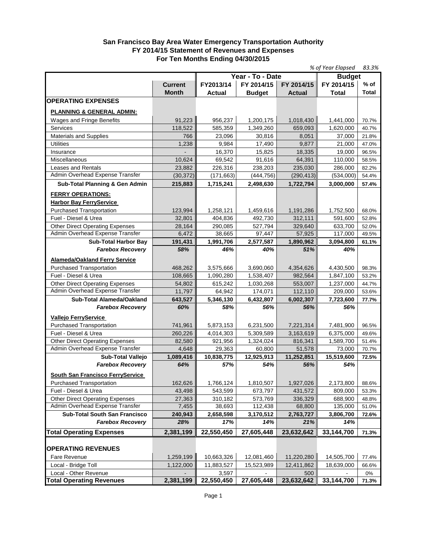#### **San Francisco Bay Area Water Emergency Transportation Authority FY 2014/15 Statement of Revenues and Expenses For Ten Months Ending 04/30/2015**

| % of Year Elapsed                                                         |                |                                       |                  |                  |                  | 83.3%  |
|---------------------------------------------------------------------------|----------------|---------------------------------------|------------------|------------------|------------------|--------|
|                                                                           |                |                                       | Year - To - Date | <b>Budget</b>    |                  |        |
|                                                                           | <b>Current</b> | FY2013/14<br>FY 2014/15<br>FY 2014/15 |                  |                  | FY 2014/15       | $%$ of |
|                                                                           | <b>Month</b>   | <b>Actual</b>                         | <b>Budget</b>    | <b>Actual</b>    | <b>Total</b>     | Total  |
| <b>OPERATING EXPENSES</b>                                                 |                |                                       |                  |                  |                  |        |
| <b>PLANNING &amp; GENERAL ADMIN:</b>                                      |                |                                       |                  |                  |                  |        |
| Wages and Fringe Benefits                                                 | 91,223         | 956,237                               | 1,200,175        | 1,018,430        | 1,441,000        | 70.7%  |
| Services                                                                  | 118,522        | 585,359                               | 1,349,260        | 659,093          | 1,620,000        | 40.7%  |
| <b>Materials and Supplies</b>                                             | 766            | 23,096                                | 30,816           | 8,051            | 37,000           | 21.8%  |
| <b>Utilities</b>                                                          | 1,238          | 9,984                                 | 17,490           | 9,877            | 21,000           | 47.0%  |
| Insurance                                                                 | L.             | 16,370                                | 15,825           | 18,335           | 19,000           | 96.5%  |
| Miscellaneous                                                             | 10,624         | 69.542                                | 91,616           | 64,391           | 110,000          | 58.5%  |
| Leases and Rentals                                                        | 23,882         | 226,316                               | 238,203          | 235,030          | 286,000          | 82.2%  |
| Admin Overhead Expense Transfer                                           | (30, 372)      | (171, 663)                            | (444, 756)       | (290, 413)       | (534,000)        | 54.4%  |
| Sub-Total Planning & Gen Admin                                            | 215,883        | 1,715,241                             | 2,498,630        | 1,722,794        | 3,000,000        | 57.4%  |
|                                                                           |                |                                       |                  |                  |                  |        |
| <b>FERRY OPERATIONS:</b>                                                  |                |                                       |                  |                  |                  |        |
| <b>Harbor Bay FerryService</b>                                            |                |                                       |                  |                  |                  |        |
| <b>Purchased Transportation</b>                                           | 123,994        | 1,258,121                             | 1,459,616        | 1,191,286        | 1,752,500        | 68.0%  |
| Fuel - Diesel & Urea                                                      | 32,801         | 404,836                               | 492,730          | 312,111          | 591,600          | 52.8%  |
| <b>Other Direct Operating Expenses</b><br>Admin Overhead Expense Transfer | 28,164         | 290,085                               | 527,794          | 329,640          | 633,700          | 52.0%  |
|                                                                           | 6,472          | 38,665                                | 97,447           | 57,925           | 117,000          | 49.5%  |
| <b>Sub-Total Harbor Bay</b><br><b>Farebox Recoverv</b>                    | 191,431<br>58% | 1,991,706<br>46%                      | 2,577,587<br>40% | 1,890,962<br>51% | 3,094,800<br>40% | 61.1%  |
|                                                                           |                |                                       |                  |                  |                  |        |
| <b>Alameda/Oakland Ferry Service</b>                                      |                |                                       |                  |                  |                  |        |
| Purchased Transportation                                                  | 468,262        | 3,575,666                             | 3,690,060        | 4,354,626        | 4,430,500        | 98.3%  |
| Fuel - Diesel & Urea                                                      | 108,665        | 1,090,280                             | 1,538,407        | 982,564          | 1,847,100        | 53.2%  |
| <b>Other Direct Operating Expenses</b>                                    | 54,802         | 615,242                               | 1,030,268        | 553,007          | 1,237,000        | 44.7%  |
| Admin Overhead Expense Transfer                                           | 11,797         | 64,942                                | 174,071          | 112,110          | 209,000          | 53.6%  |
| Sub-Total Alameda/Oakland                                                 | 643,527        | 5,346,130                             | 6,432,807        | 6,002,307        | 7,723,600        | 77.7%  |
| <b>Farebox Recovery</b>                                                   | 60%            | 58%                                   | 56%              | 56%              | 56%              |        |
| Vallejo FerryService                                                      |                |                                       |                  |                  |                  |        |
| <b>Purchased Transportation</b>                                           | 741,961        | 5,873,153                             | 6,231,500        | 7,221,314        | 7,481,900        | 96.5%  |
| Fuel - Diesel & Urea                                                      | 260,226        | 4,014,303                             | 5,309,589        | 3,163,619        | 6,375,000        | 49.6%  |
| <b>Other Direct Operating Expenses</b>                                    | 82,580         | 921,956                               | 1,324,024        | 816,341          | 1,589,700        | 51.4%  |
| Admin Overhead Expense Transfer                                           | 4,648          | 29,363                                | 60,800           | 51,578           | 73,000           | 70.7%  |
| Sub-Total Vallejo                                                         | 1,089,416      | 10,838,775                            | 12,925,913       | 11,252,851       | 15,519,600       | 72.5%  |
| <b>Farebox Recovery</b>                                                   | 64%            | 57%                                   | 54%              | 56%              | 54%              |        |
| <b>South San Francisco FerryService</b>                                   |                |                                       |                  |                  |                  |        |
| <b>Purchased Transportation</b>                                           | 162,626        | 1,766,124                             | 1,810,507        | 1,927,026        | 2,173,800        | 88.6%  |
| Fuel - Diesel & Urea                                                      | 43,498         | 543,599                               | 673,797          | 431,572          | 809,000          | 53.3%  |
| <b>Other Direct Operating Expenses</b>                                    | 27,363         | 310,182                               | 573,769          | 336,329          | 688,900          | 48.8%  |
| Admin Overhead Expense Transfer                                           | 7,455          | 38,693                                | 112,438          | 68,800           | 135,000          | 51.0%  |
| <b>Sub-Total South San Francisco</b>                                      | 240,943        | 2,658,598                             | 3,170,512        | 2,763,727        | 3,806,700        | 72.6%  |
| <b>Farebox Recovery</b>                                                   | 28%            | 17%                                   | 14%              | 21%              | 14%              |        |
| <b>Total Operating Expenses</b>                                           | 2,381,199      | 22,550,450                            | 27,605,448       | 23,632,642       | 33,144,700       | 71.3%  |
|                                                                           |                |                                       |                  |                  |                  |        |
| <b>OPERATING REVENUES</b>                                                 |                |                                       |                  |                  |                  |        |
| Fare Revenue                                                              | 1,259,199      | 10,663,326                            | 12,081,460       | 11,220,280       | 14,505,700       | 77.4%  |
| Local - Bridge Toll                                                       | 1,122,000      | 11,883,527                            | 15,523,989       | 12,411,862       | 18,639,000       | 66.6%  |
| Local - Other Revenue                                                     |                | 3,597                                 |                  | 500              |                  | 0%     |
| <b>Total Operating Revenues</b>                                           | 2,381,199      | 22,550,450                            | 27,605,448       | 23,632,642       | 33,144,700       | 71.3%  |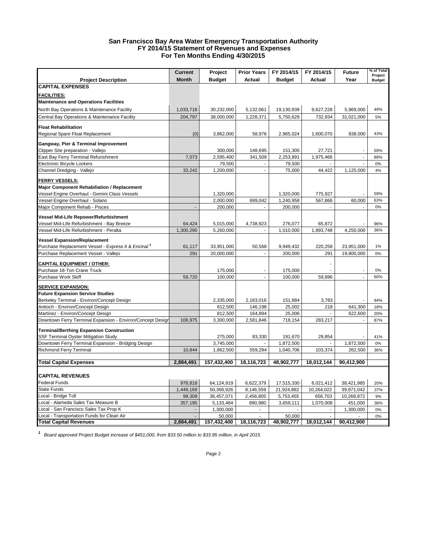#### **San Francisco Bay Area Water Emergency Transportation Authority FY 2014/15 Statement of Revenues and Expenses For Ten Months Ending 4/30/2015**

|                                                                                | <b>Current</b> | Project                | <b>Prior Years</b> | FY 2014/15             | FY 2014/15               | <b>Future</b>        | % of Total               |
|--------------------------------------------------------------------------------|----------------|------------------------|--------------------|------------------------|--------------------------|----------------------|--------------------------|
| <b>Project Description</b>                                                     | <b>Month</b>   | <b>Budget</b>          | Actual             | <b>Budget</b>          | Actual                   | Year                 | Project<br><b>Budget</b> |
| <b>CAPITAL EXPENSES</b>                                                        |                |                        |                    |                        |                          |                      |                          |
|                                                                                |                |                        |                    |                        |                          |                      |                          |
| <b>FACILITIES:</b>                                                             |                |                        |                    |                        |                          |                      |                          |
| <b>Maintenance and Operations Facilities</b>                                   |                |                        |                    |                        |                          |                      |                          |
| North Bay Operations & Maintenance Facility                                    | 1,033,718      | 30,232,000             | 5,132,061          | 19,130,939             | 9,627,228                | 5,969,000            | 49%                      |
| Central Bay Operations & Maintenance Facility                                  | 204,797        | 38,000,000             | 1,228,371          | 5,750,629              | 732,934                  | 31,021,000           | 5%                       |
| <b>Float Rehabilitation</b>                                                    |                |                        |                    |                        |                          |                      |                          |
| Regional Spare Float Replacement                                               | (0)            | 3,862,000              | 58,976             | 2,965,024              | 1,600,070                | 838,000              | 43%                      |
| Gangway, Pier & Terminal Improvement                                           |                |                        |                    |                        |                          |                      |                          |
| Clipper Site preparation - Vallejo                                             |                | 300,000                | 148,695            | 151,305                | 27,721                   |                      | 59%                      |
| East Bay Ferry Terminal Refurishment                                           | 7,073          | 2,595,400              | 341,509            | 2,253,891              | 1,975,466                | $\overline{a}$       | 89%                      |
| Electronic Bicycle Lockers                                                     |                | 79,500                 | $\blacksquare$     | 79,500                 |                          |                      | 0%                       |
| Channel Dredging - Vallejo                                                     | 33,242         | 1,200,000              | $\mathcal{L}$      | 75,000                 | 44,422                   | 1,125,000            | 4%                       |
|                                                                                |                |                        |                    |                        |                          |                      |                          |
| <b>FERRY VESSELS:</b>                                                          |                |                        |                    |                        |                          |                      |                          |
| Major Component Rehabiliation / Replacement                                    |                |                        |                    |                        |                          |                      |                          |
| Vessel Engine Overhaul - Gemini Class Vessels                                  |                | 1,320,000              |                    | 1,320,000              | 775,927                  |                      | 59%                      |
| Vessel Engine Overhaul - Solano                                                |                | 2,000,000              | 699,042            | 1,240,958              | 567,866                  | 60,000               | 63%                      |
| Major Component Rehab - Pisces                                                 |                | 200,000                |                    | 200,000                | $\overline{\phantom{a}}$ |                      | 0%                       |
| Vessel Mid-Life Repower/Refurbishment                                          |                |                        |                    |                        |                          |                      |                          |
| Vessel Mid-Life Refurbishment - Bay Breeze                                     | 64,424         | 5,015,000              | 4,738,923          | 276,077                | 65,872                   |                      | 96%                      |
| Vessel Mid-Life Refurbishment - Peralta                                        | 1,300,290      | 5,260,000              |                    | 1,010,000              | 1,893,748                | 4,250,000            | 36%                      |
| <b>Vessel Expansion/Replacement</b>                                            |                |                        |                    |                        |                          |                      |                          |
| Purchase Replacement Vessel - Express II & Encinal 1                           | 61,117         | 33,951,000             | 50,568             | 9,949,432              | 220,258                  | 23,951,000           | 1%                       |
| Purchase Replacement Vessel - Vallejo                                          | 291            | 20,000,000             | $\sim$             | 200,000                | 291                      | 19,800,000           | 0%                       |
|                                                                                |                |                        |                    |                        |                          |                      |                          |
| <b>CAPITAL EQUIPMENT / OTHER:</b>                                              |                |                        |                    |                        | ÷                        |                      |                          |
| Purchase 18-Ton Crane Truck                                                    |                | 175,000                |                    | 175,000                |                          |                      | 0%                       |
| Purchase Work Skiff                                                            | 59,720         | 100,000                | ä,                 | 100,000                | 59,896                   | $\sim$               | 60%                      |
| <b>SERVICE EXPANSION:</b>                                                      |                |                        |                    |                        |                          |                      |                          |
| <b>Future Expansion Service Studies</b>                                        |                |                        |                    |                        |                          |                      |                          |
| Berkeley Terminal - Environ/Concept Design                                     |                | 2,335,000              | 2,183,016          | 151,984                | 3,783                    |                      | 94%                      |
| Antioch - Environ/Concept Design                                               |                | 812,500                | 146,198            | 25,002                 | 218                      | 641,300              | 18%                      |
| Martinez - Environ/Concept Design                                              |                | 812,500                | 164,894            | 25,006                 |                          | 622,600              | 20%                      |
| Downtown Ferry Terminal Expansion - Environ/Concept Desigr                     | 108,975        | 3,300,000              | 2,581,846          | 718,154                | 283,217                  |                      | 87%                      |
|                                                                                |                |                        |                    |                        |                          |                      |                          |
| <b>Terminal/Berthing Expansion Construction</b>                                |                |                        |                    |                        |                          |                      |                          |
| <b>SSF Terminal Oyster Mitigation Study</b>                                    |                | 275,000                | 83,330             | 191,670                | 29,854                   |                      | 41%<br>0%                |
| Downtown Ferry Terminal Expansion - Bridging Design<br>Richmond Ferry Terminal | 10,844         | 3,745,000<br>1,862,500 | 559,294            | 1,872,500<br>1,040,706 | 103,374                  | 1,872,500<br>262,500 | 36%                      |
|                                                                                |                |                        |                    |                        |                          |                      |                          |
| <b>Total Capital Expenses</b>                                                  | 2,884,491      | 157,432,400            | 18,116,723         | 48,902,777             | 18,012,144               | 90,412,900           |                          |
|                                                                                |                |                        |                    |                        |                          |                      |                          |
| <b>CAPITAL REVENUES</b>                                                        |                |                        |                    |                        |                          |                      |                          |
| Federal Funds                                                                  | 978,818        | 64,124,919             | 6,622,379          | 17,515,330             | 6,021,412                | 38,421,985           | 20%                      |
| <b>State Funds</b>                                                             | 1,449,169      | 50,366,926             | 8,146,559          | 21,924,882             | 10,264,022               | 39,971,042           | 37%                      |
| Local - Bridge Toll                                                            | 99,309         | 36,457,071             | 2,456,805          | 5,753,455              | 656,703                  | 10,268,872           | 9%                       |
| Local - Alameda Sales Tax Measure B                                            | 357,195        | 5,133,484              | 890,980            | 3,659,111              | 1,070,008                | 451,000              | 38%                      |
| Local - San Francisco Sales Tax Prop K                                         |                | 1,300,000              |                    |                        |                          | 1,300,000            | 0%                       |
| Local - Transportation Funds for Clean Air                                     |                | 50,000                 |                    | 50,000                 |                          |                      | 0%                       |
| <b>Total Capital Revenues</b>                                                  | 2,884,491      | 157,432,400            | 18,116,723         | 48,902,777             | 18,012,144               | 90,412,900           |                          |

*<sup>1</sup> Board approved Project Budget increase of \$451,000, from \$33.50 million to \$33.95 million, in April 2015.*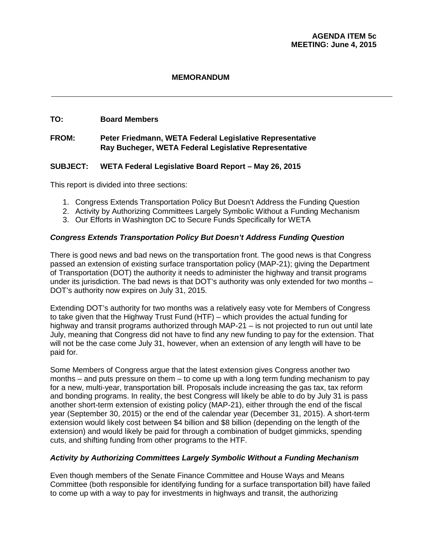#### **TO: Board Members**

## **FROM: Peter Friedmann, WETA Federal Legislative Representative Ray Bucheger, WETA Federal Legislative Representative**

## **SUBJECT: WETA Federal Legislative Board Report – May 26, 2015**

This report is divided into three sections:

- 1. Congress Extends Transportation Policy But Doesn't Address the Funding Question
- 2. Activity by Authorizing Committees Largely Symbolic Without a Funding Mechanism
- 3. Our Efforts in Washington DC to Secure Funds Specifically for WETA

## *Congress Extends Transportation Policy But Doesn't Address Funding Question*

There is good news and bad news on the transportation front. The good news is that Congress passed an extension of existing surface transportation policy (MAP-21); giving the Department of Transportation (DOT) the authority it needs to administer the highway and transit programs under its jurisdiction. The bad news is that DOT's authority was only extended for two months – DOT's authority now expires on July 31, 2015.

Extending DOT's authority for two months was a relatively easy vote for Members of Congress to take given that the Highway Trust Fund (HTF) – which provides the actual funding for highway and transit programs authorized through MAP-21 – is not projected to run out until late July, meaning that Congress did not have to find any new funding to pay for the extension. That will not be the case come July 31, however, when an extension of any length will have to be paid for.

Some Members of Congress argue that the latest extension gives Congress another two months – and puts pressure on them – to come up with a long term funding mechanism to pay for a new, multi-year, transportation bill. Proposals include increasing the gas tax, tax reform and bonding programs. In reality, the best Congress will likely be able to do by July 31 is pass another short-term extension of existing policy (MAP-21), either through the end of the fiscal year (September 30, 2015) or the end of the calendar year (December 31, 2015). A short-term extension would likely cost between \$4 billion and \$8 billion (depending on the length of the extension) and would likely be paid for through a combination of budget gimmicks, spending cuts, and shifting funding from other programs to the HTF.

## *Activity by Authorizing Committees Largely Symbolic Without a Funding Mechanism*

Even though members of the Senate Finance Committee and House Ways and Means Committee (both responsible for identifying funding for a surface transportation bill) have failed to come up with a way to pay for investments in highways and transit, the authorizing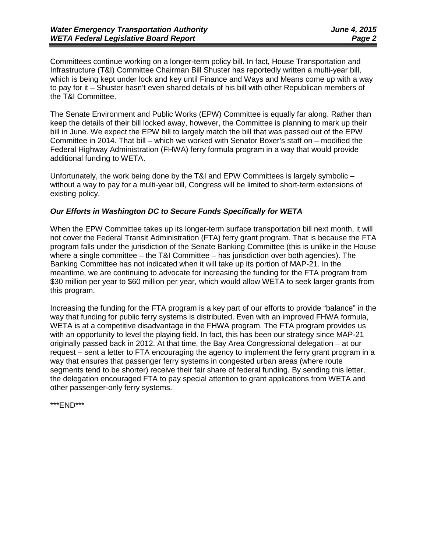Committees continue working on a longer-term policy bill. In fact, House Transportation and Infrastructure (T&I) Committee Chairman Bill Shuster has reportedly written a multi-year bill, which is being kept under lock and key until Finance and Ways and Means come up with a way to pay for it – Shuster hasn't even shared details of his bill with other Republican members of the T&I Committee.

The Senate Environment and Public Works (EPW) Committee is equally far along. Rather than keep the details of their bill locked away, however, the Committee is planning to mark up their bill in June. We expect the EPW bill to largely match the bill that was passed out of the EPW Committee in 2014. That bill – which we worked with Senator Boxer's staff on – modified the Federal Highway Administration (FHWA) ferry formula program in a way that would provide additional funding to WETA.

Unfortunately, the work being done by the T&I and EPW Committees is largely symbolic – without a way to pay for a multi-year bill, Congress will be limited to short-term extensions of existing policy.

## *Our Efforts in Washington DC to Secure Funds Specifically for WETA*

When the EPW Committee takes up its longer-term surface transportation bill next month, it will not cover the Federal Transit Administration (FTA) ferry grant program. That is because the FTA program falls under the jurisdiction of the Senate Banking Committee (this is unlike in the House where a single committee – the T&I Committee – has jurisdiction over both agencies). The Banking Committee has not indicated when it will take up its portion of MAP-21. In the meantime, we are continuing to advocate for increasing the funding for the FTA program from \$30 million per year to \$60 million per year, which would allow WETA to seek larger grants from this program.

Increasing the funding for the FTA program is a key part of our efforts to provide "balance" in the way that funding for public ferry systems is distributed. Even with an improved FHWA formula, WETA is at a competitive disadvantage in the FHWA program. The FTA program provides us with an opportunity to level the playing field. In fact, this has been our strategy since MAP-21 originally passed back in 2012. At that time, the Bay Area Congressional delegation – at our request – sent a letter to FTA encouraging the agency to implement the ferry grant program in a way that ensures that passenger ferry systems in congested urban areas (where route segments tend to be shorter) receive their fair share of federal funding. By sending this letter, the delegation encouraged FTA to pay special attention to grant applications from WETA and other passenger-only ferry systems.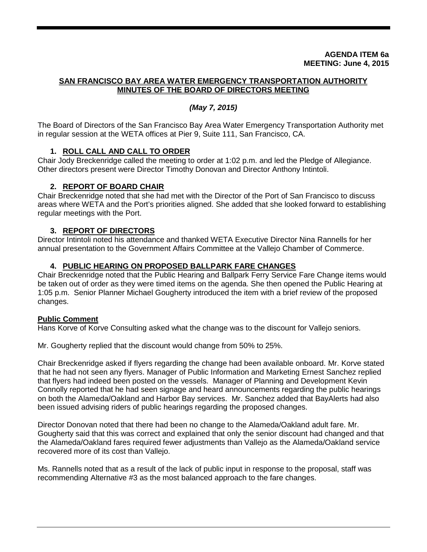#### **AGENDA ITEM 6a MEETING: June 4, 2015**

## **SAN FRANCISCO BAY AREA WATER EMERGENCY TRANSPORTATION AUTHORITY MINUTES OF THE BOARD OF DIRECTORS MEETING**

## *(May 7, 2015)*

The Board of Directors of the San Francisco Bay Area Water Emergency Transportation Authority met in regular session at the WETA offices at Pier 9, Suite 111, San Francisco, CA.

## **1. ROLL CALL AND CALL TO ORDER**

Chair Jody Breckenridge called the meeting to order at 1:02 p.m. and led the Pledge of Allegiance. Other directors present were Director Timothy Donovan and Director Anthony Intintoli.

## **2. REPORT OF BOARD CHAIR**

Chair Breckenridge noted that she had met with the Director of the Port of San Francisco to discuss areas where WETA and the Port's priorities aligned. She added that she looked forward to establishing regular meetings with the Port.

## **3. REPORT OF DIRECTORS**

Director Intintoli noted his attendance and thanked WETA Executive Director Nina Rannells for her annual presentation to the Government Affairs Committee at the Vallejo Chamber of Commerce.

## **4. PUBLIC HEARING ON PROPOSED BALLPARK FARE CHANGES**

Chair Breckenridge noted that the Public Hearing and Ballpark Ferry Service Fare Change items would be taken out of order as they were timed items on the agenda. She then opened the Public Hearing at 1:05 p.m. Senior Planner Michael Gougherty introduced the item with a brief review of the proposed changes.

## **Public Comment**

Hans Korve of Korve Consulting asked what the change was to the discount for Vallejo seniors.

Mr. Gougherty replied that the discount would change from 50% to 25%.

Chair Breckenridge asked if flyers regarding the change had been available onboard. Mr. Korve stated that he had not seen any flyers. Manager of Public Information and Marketing Ernest Sanchez replied that flyers had indeed been posted on the vessels. Manager of Planning and Development Kevin Connolly reported that he had seen signage and heard announcements regarding the public hearings on both the Alameda/Oakland and Harbor Bay services. Mr. Sanchez added that BayAlerts had also been issued advising riders of public hearings regarding the proposed changes.

Director Donovan noted that there had been no change to the Alameda/Oakland adult fare. Mr. Gougherty said that this was correct and explained that only the senior discount had changed and that the Alameda/Oakland fares required fewer adjustments than Vallejo as the Alameda/Oakland service recovered more of its cost than Vallejo.

Ms. Rannells noted that as a result of the lack of public input in response to the proposal, staff was recommending Alternative #3 as the most balanced approach to the fare changes.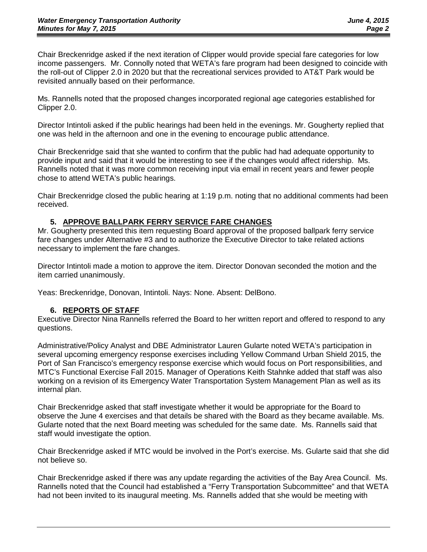Chair Breckenridge asked if the next iteration of Clipper would provide special fare categories for low income passengers. Mr. Connolly noted that WETA's fare program had been designed to coincide with the roll-out of Clipper 2.0 in 2020 but that the recreational services provided to AT&T Park would be revisited annually based on their performance.

Ms. Rannells noted that the proposed changes incorporated regional age categories established for Clipper 2.0.

Director Intintoli asked if the public hearings had been held in the evenings. Mr. Gougherty replied that one was held in the afternoon and one in the evening to encourage public attendance.

Chair Breckenridge said that she wanted to confirm that the public had had adequate opportunity to provide input and said that it would be interesting to see if the changes would affect ridership. Ms. Rannells noted that it was more common receiving input via email in recent years and fewer people chose to attend WETA's public hearings.

Chair Breckenridge closed the public hearing at 1:19 p.m. noting that no additional comments had been received.

## **5. APPROVE BALLPARK FERRY SERVICE FARE CHANGES**

Mr. Gougherty presented this item requesting Board approval of the proposed ballpark ferry service fare changes under Alternative #3 and to authorize the Executive Director to take related actions necessary to implement the fare changes.

Director Intintoli made a motion to approve the item. Director Donovan seconded the motion and the item carried unanimously.

Yeas: Breckenridge, Donovan, Intintoli. Nays: None. Absent: DelBono.

## **6. REPORTS OF STAFF**

Executive Director Nina Rannells referred the Board to her written report and offered to respond to any questions.

Administrative/Policy Analyst and DBE Administrator Lauren Gularte noted WETA's participation in several upcoming emergency response exercises including Yellow Command Urban Shield 2015, the Port of San Francisco's emergency response exercise which would focus on Port responsibilities, and MTC's Functional Exercise Fall 2015. Manager of Operations Keith Stahnke added that staff was also working on a revision of its Emergency Water Transportation System Management Plan as well as its internal plan.

Chair Breckenridge asked that staff investigate whether it would be appropriate for the Board to observe the June 4 exercises and that details be shared with the Board as they became available. Ms. Gularte noted that the next Board meeting was scheduled for the same date. Ms. Rannells said that staff would investigate the option.

Chair Breckenridge asked if MTC would be involved in the Port's exercise. Ms. Gularte said that she did not believe so.

Chair Breckenridge asked if there was any update regarding the activities of the Bay Area Council. Ms. Rannells noted that the Council had established a "Ferry Transportation Subcommittee" and that WETA had not been invited to its inaugural meeting. Ms. Rannells added that she would be meeting with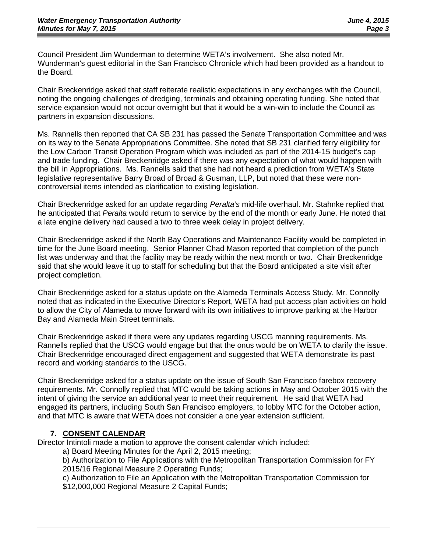Council President Jim Wunderman to determine WETA's involvement. She also noted Mr. Wunderman's guest editorial in the San Francisco Chronicle which had been provided as a handout to the Board.

Chair Breckenridge asked that staff reiterate realistic expectations in any exchanges with the Council, noting the ongoing challenges of dredging, terminals and obtaining operating funding. She noted that service expansion would not occur overnight but that it would be a win-win to include the Council as partners in expansion discussions.

Ms. Rannells then reported that CA SB 231 has passed the Senate Transportation Committee and was on its way to the Senate Appropriations Committee. She noted that SB 231 clarified ferry eligibility for the Low Carbon Transit Operation Program which was included as part of the 2014-15 budget's cap and trade funding. Chair Breckenridge asked if there was any expectation of what would happen with the bill in Appropriations. Ms. Rannells said that she had not heard a prediction from WETA's State legislative representative Barry Broad of Broad & Gusman, LLP, but noted that these were noncontroversial items intended as clarification to existing legislation.

Chair Breckenridge asked for an update regarding *Peralta's* mid-life overhaul. Mr. Stahnke replied that he anticipated that *Peralta* would return to service by the end of the month or early June. He noted that a late engine delivery had caused a two to three week delay in project delivery.

Chair Breckenridge asked if the North Bay Operations and Maintenance Facility would be completed in time for the June Board meeting. Senior Planner Chad Mason reported that completion of the punch list was underway and that the facility may be ready within the next month or two. Chair Breckenridge said that she would leave it up to staff for scheduling but that the Board anticipated a site visit after project completion.

Chair Breckenridge asked for a status update on the Alameda Terminals Access Study. Mr. Connolly noted that as indicated in the Executive Director's Report, WETA had put access plan activities on hold to allow the City of Alameda to move forward with its own initiatives to improve parking at the Harbor Bay and Alameda Main Street terminals.

Chair Breckenridge asked if there were any updates regarding USCG manning requirements. Ms. Rannells replied that the USCG would engage but that the onus would be on WETA to clarify the issue. Chair Breckenridge encouraged direct engagement and suggested that WETA demonstrate its past record and working standards to the USCG.

Chair Breckenridge asked for a status update on the issue of South San Francisco farebox recovery requirements. Mr. Connolly replied that MTC would be taking actions in May and October 2015 with the intent of giving the service an additional year to meet their requirement. He said that WETA had engaged its partners, including South San Francisco employers, to lobby MTC for the October action, and that MTC is aware that WETA does not consider a one year extension sufficient.

## **7. CONSENT CALENDAR**

Director Intintoli made a motion to approve the consent calendar which included:

a) Board Meeting Minutes for the April 2, 2015 meeting;

b) Authorization to File Applications with the Metropolitan Transportation Commission for FY 2015/16 Regional Measure 2 Operating Funds;

c) Authorization to File an Application with the Metropolitan Transportation Commission for \$12,000,000 Regional Measure 2 Capital Funds;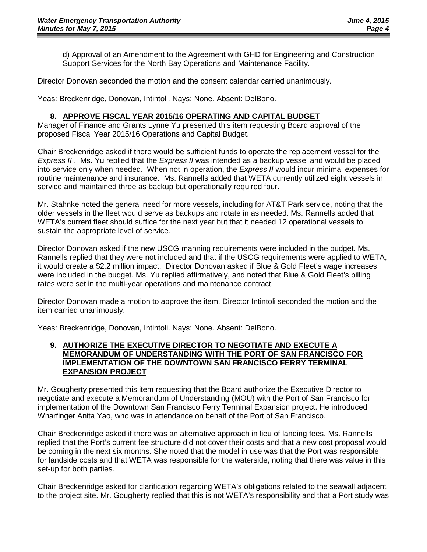d) Approval of an Amendment to the Agreement with GHD for Engineering and Construction Support Services for the North Bay Operations and Maintenance Facility.

Director Donovan seconded the motion and the consent calendar carried unanimously.

Yeas: Breckenridge, Donovan, Intintoli. Nays: None. Absent: DelBono.

## **8. APPROVE FISCAL YEAR 2015/16 OPERATING AND CAPITAL BUDGET**

Manager of Finance and Grants Lynne Yu presented this item requesting Board approval of the proposed Fiscal Year 2015/16 Operations and Capital Budget.

Chair Breckenridge asked if there would be sufficient funds to operate the replacement vessel for the *Express II* . Ms. Yu replied that the *Express II* was intended as a backup vessel and would be placed into service only when needed. When not in operation, the *Express II* would incur minimal expenses for routine maintenance and insurance. Ms. Rannells added that WETA currently utilized eight vessels in service and maintained three as backup but operationally required four.

Mr. Stahnke noted the general need for more vessels, including for AT&T Park service, noting that the older vessels in the fleet would serve as backups and rotate in as needed. Ms. Rannells added that WETA's current fleet should suffice for the next year but that it needed 12 operational vessels to sustain the appropriate level of service.

Director Donovan asked if the new USCG manning requirements were included in the budget. Ms. Rannells replied that they were not included and that if the USCG requirements were applied to WETA, it would create a \$2.2 million impact. Director Donovan asked if Blue & Gold Fleet's wage increases were included in the budget. Ms. Yu replied affirmatively, and noted that Blue & Gold Fleet's billing rates were set in the multi-year operations and maintenance contract.

Director Donovan made a motion to approve the item. Director Intintoli seconded the motion and the item carried unanimously.

Yeas: Breckenridge, Donovan, Intintoli. Nays: None. Absent: DelBono.

#### **9. AUTHORIZE THE EXECUTIVE DIRECTOR TO NEGOTIATE AND EXECUTE A MEMORANDUM OF UNDERSTANDING WITH THE PORT OF SAN FRANCISCO FOR IMPLEMENTATION OF THE DOWNTOWN SAN FRANCISCO FERRY TERMINAL EXPANSION PROJECT**

Mr. Gougherty presented this item requesting that the Board authorize the Executive Director to negotiate and execute a Memorandum of Understanding (MOU) with the Port of San Francisco for implementation of the Downtown San Francisco Ferry Terminal Expansion project. He introduced Wharfinger Anita Yao, who was in attendance on behalf of the Port of San Francisco.

Chair Breckenridge asked if there was an alternative approach in lieu of landing fees. Ms. Rannells replied that the Port's current fee structure did not cover their costs and that a new cost proposal would be coming in the next six months. She noted that the model in use was that the Port was responsible for landside costs and that WETA was responsible for the waterside, noting that there was value in this set-up for both parties.

Chair Breckenridge asked for clarification regarding WETA's obligations related to the seawall adjacent to the project site. Mr. Gougherty replied that this is not WETA's responsibility and that a Port study was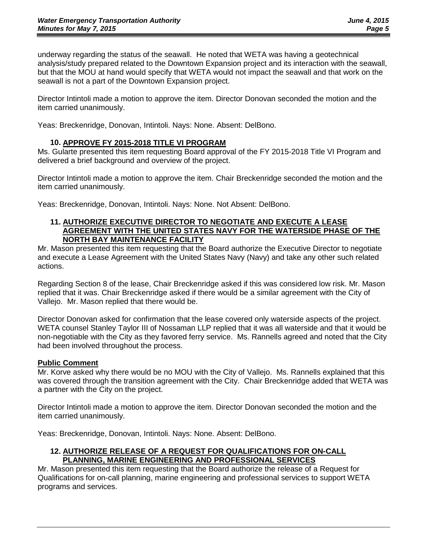underway regarding the status of the seawall. He noted that WETA was having a geotechnical analysis/study prepared related to the Downtown Expansion project and its interaction with the seawall, but that the MOU at hand would specify that WETA would not impact the seawall and that work on the seawall is not a part of the Downtown Expansion project.

Director Intintoli made a motion to approve the item. Director Donovan seconded the motion and the item carried unanimously.

Yeas: Breckenridge, Donovan, Intintoli. Nays: None. Absent: DelBono.

## **10. APPROVE FY 2015-2018 TITLE VI PROGRAM**

Ms. Gularte presented this item requesting Board approval of the FY 2015-2018 Title VI Program and delivered a brief background and overview of the project.

Director Intintoli made a motion to approve the item. Chair Breckenridge seconded the motion and the item carried unanimously.

Yeas: Breckenridge, Donovan, Intintoli. Nays: None. Not Absent: DelBono.

#### **11. AUTHORIZE EXECUTIVE DIRECTOR TO NEGOTIATE AND EXECUTE A LEASE AGREEMENT WITH THE UNITED STATES NAVY FOR THE WATERSIDE PHASE OF THE NORTH BAY MAINTENANCE FACILITY**

Mr. Mason presented this item requesting that the Board authorize the Executive Director to negotiate and execute a Lease Agreement with the United States Navy (Navy) and take any other such related actions.

Regarding Section 8 of the lease, Chair Breckenridge asked if this was considered low risk. Mr. Mason replied that it was. Chair Breckenridge asked if there would be a similar agreement with the City of Vallejo. Mr. Mason replied that there would be.

Director Donovan asked for confirmation that the lease covered only waterside aspects of the project. WETA counsel Stanley Taylor III of Nossaman LLP replied that it was all waterside and that it would be non-negotiable with the City as they favored ferry service. Ms. Rannells agreed and noted that the City had been involved throughout the process.

#### **Public Comment**

Mr. Korve asked why there would be no MOU with the City of Vallejo. Ms. Rannells explained that this was covered through the transition agreement with the City. Chair Breckenridge added that WETA was a partner with the City on the project.

Director Intintoli made a motion to approve the item. Director Donovan seconded the motion and the item carried unanimously.

Yeas: Breckenridge, Donovan, Intintoli. Nays: None. Absent: DelBono.

## **12. AUTHORIZE RELEASE OF A REQUEST FOR QUALIFICATIONS FOR ON-CALL PLANNING, MARINE ENGINEERING AND PROFESSIONAL SERVICES**

Mr. Mason presented this item requesting that the Board authorize the release of a Request for Qualifications for on-call planning, marine engineering and professional services to support WETA programs and services.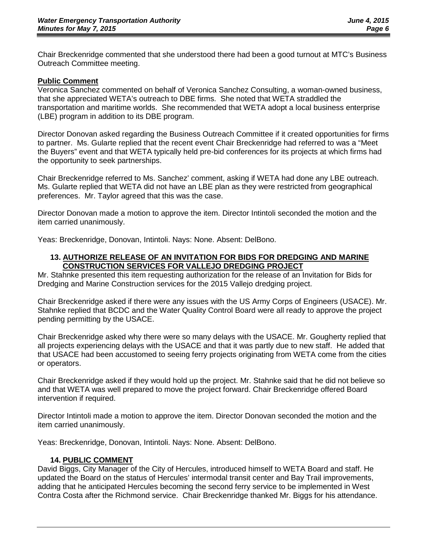Chair Breckenridge commented that she understood there had been a good turnout at MTC's Business Outreach Committee meeting.

#### **Public Comment**

Veronica Sanchez commented on behalf of Veronica Sanchez Consulting, a woman-owned business, that she appreciated WETA's outreach to DBE firms. She noted that WETA straddled the transportation and maritime worlds. She recommended that WETA adopt a local business enterprise (LBE) program in addition to its DBE program.

Director Donovan asked regarding the Business Outreach Committee if it created opportunities for firms to partner. Ms. Gularte replied that the recent event Chair Breckenridge had referred to was a "Meet the Buyers" event and that WETA typically held pre-bid conferences for its projects at which firms had the opportunity to seek partnerships.

Chair Breckenridge referred to Ms. Sanchez' comment, asking if WETA had done any LBE outreach. Ms. Gularte replied that WETA did not have an LBE plan as they were restricted from geographical preferences. Mr. Taylor agreed that this was the case.

Director Donovan made a motion to approve the item. Director Intintoli seconded the motion and the item carried unanimously.

Yeas: Breckenridge, Donovan, Intintoli. Nays: None. Absent: DelBono.

#### **13. AUTHORIZE RELEASE OF AN INVITATION FOR BIDS FOR DREDGING AND MARINE CONSTRUCTION SERVICES FOR VALLEJO DREDGING PROJECT**

Mr. Stahnke presented this item requesting authorization for the release of an Invitation for Bids for Dredging and Marine Construction services for the 2015 Vallejo dredging project.

Chair Breckenridge asked if there were any issues with the US Army Corps of Engineers (USACE). Mr. Stahnke replied that BCDC and the Water Quality Control Board were all ready to approve the project pending permitting by the USACE.

Chair Breckenridge asked why there were so many delays with the USACE. Mr. Gougherty replied that all projects experiencing delays with the USACE and that it was partly due to new staff. He added that that USACE had been accustomed to seeing ferry projects originating from WETA come from the cities or operators.

Chair Breckenridge asked if they would hold up the project. Mr. Stahnke said that he did not believe so and that WETA was well prepared to move the project forward. Chair Breckenridge offered Board intervention if required.

Director Intintoli made a motion to approve the item. Director Donovan seconded the motion and the item carried unanimously.

Yeas: Breckenridge, Donovan, Intintoli. Nays: None. Absent: DelBono.

#### **14. PUBLIC COMMENT**

David Biggs, City Manager of the City of Hercules, introduced himself to WETA Board and staff. He updated the Board on the status of Hercules' intermodal transit center and Bay Trail improvements, adding that he anticipated Hercules becoming the second ferry service to be implemented in West Contra Costa after the Richmond service. Chair Breckenridge thanked Mr. Biggs for his attendance.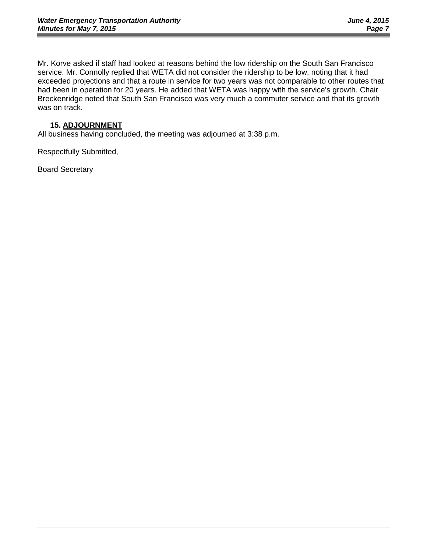Mr. Korve asked if staff had looked at reasons behind the low ridership on the South San Francisco service. Mr. Connolly replied that WETA did not consider the ridership to be low, noting that it had exceeded projections and that a route in service for two years was not comparable to other routes that had been in operation for 20 years. He added that WETA was happy with the service's growth. Chair Breckenridge noted that South San Francisco was very much a commuter service and that its growth was on track.

## **15. ADJOURNMENT**

All business having concluded, the meeting was adjourned at 3:38 p.m.

Respectfully Submitted,

Board Secretary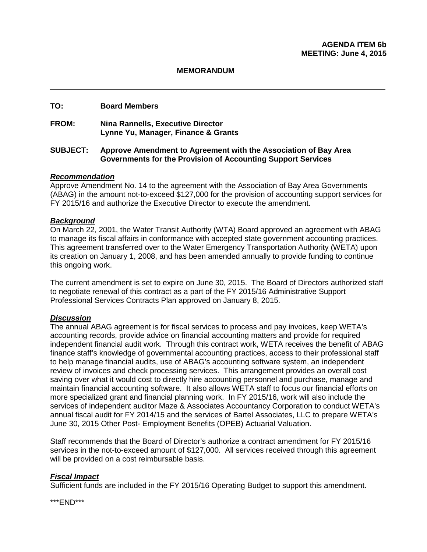#### **TO: Board Members**

#### **FROM: Nina Rannells, Executive Director Lynne Yu, Manager, Finance & Grants**

#### **SUBJECT: Approve Amendment to Agreement with the Association of Bay Area Governments for the Provision of Accounting Support Services**

## *Recommendation*

Approve Amendment No. 14 to the agreement with the Association of Bay Area Governments (ABAG) in the amount not-to-exceed \$127,000 for the provision of accounting support services for FY 2015/16 and authorize the Executive Director to execute the amendment.

## *Background*

On March 22, 2001, the Water Transit Authority (WTA) Board approved an agreement with ABAG to manage its fiscal affairs in conformance with accepted state government accounting practices. This agreement transferred over to the Water Emergency Transportation Authority (WETA) upon its creation on January 1, 2008, and has been amended annually to provide funding to continue this ongoing work.

The current amendment is set to expire on June 30, 2015. The Board of Directors authorized staff to negotiate renewal of this contract as a part of the FY 2015/16 Administrative Support Professional Services Contracts Plan approved on January 8, 2015.

#### *Discussion*

The annual ABAG agreement is for fiscal services to process and pay invoices, keep WETA's accounting records, provide advice on financial accounting matters and provide for required independent financial audit work. Through this contract work, WETA receives the benefit of ABAG finance staff's knowledge of governmental accounting practices, access to their professional staff to help manage financial audits, use of ABAG's accounting software system, an independent review of invoices and check processing services. This arrangement provides an overall cost saving over what it would cost to directly hire accounting personnel and purchase, manage and maintain financial accounting software. It also allows WETA staff to focus our financial efforts on more specialized grant and financial planning work. In FY 2015/16, work will also include the services of independent auditor Maze & Associates Accountancy Corporation to conduct WETA's annual fiscal audit for FY 2014/15 and the services of Bartel Associates, LLC to prepare WETA's June 30, 2015 Other Post- Employment Benefits (OPEB) Actuarial Valuation.

Staff recommends that the Board of Director's authorize a contract amendment for FY 2015/16 services in the not-to-exceed amount of \$127,000. All services received through this agreement will be provided on a cost reimbursable basis.

#### *Fiscal Impact*

Sufficient funds are included in the FY 2015/16 Operating Budget to support this amendment.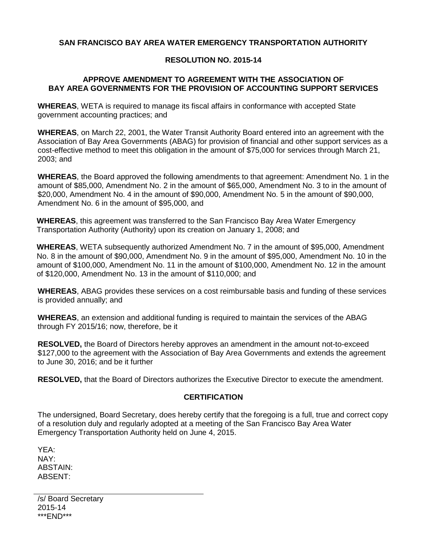## **SAN FRANCISCO BAY AREA WATER EMERGENCY TRANSPORTATION AUTHORITY**

## **RESOLUTION NO. 2015-14**

## **APPROVE AMENDMENT TO AGREEMENT WITH THE ASSOCIATION OF BAY AREA GOVERNMENTS FOR THE PROVISION OF ACCOUNTING SUPPORT SERVICES**

**WHEREAS**, WETA is required to manage its fiscal affairs in conformance with accepted State government accounting practices; and

**WHEREAS**, on March 22, 2001, the Water Transit Authority Board entered into an agreement with the Association of Bay Area Governments (ABAG) for provision of financial and other support services as a cost-effective method to meet this obligation in the amount of \$75,000 for services through March 21, 2003; and

**WHEREAS**, the Board approved the following amendments to that agreement: Amendment No. 1 in the amount of \$85,000, Amendment No. 2 in the amount of \$65,000, Amendment No. 3 to in the amount of \$20,000, Amendment No. 4 in the amount of \$90,000, Amendment No. 5 in the amount of \$90,000, Amendment No. 6 in the amount of \$95,000, and

**WHEREAS**, this agreement was transferred to the San Francisco Bay Area Water Emergency Transportation Authority (Authority) upon its creation on January 1, 2008; and

**WHEREAS**, WETA subsequently authorized Amendment No. 7 in the amount of \$95,000, Amendment No. 8 in the amount of \$90,000, Amendment No. 9 in the amount of \$95,000, Amendment No. 10 in the amount of \$100,000, Amendment No. 11 in the amount of \$100,000, Amendment No. 12 in the amount of \$120,000, Amendment No. 13 in the amount of \$110,000; and

**WHEREAS**, ABAG provides these services on a cost reimbursable basis and funding of these services is provided annually; and

**WHEREAS**, an extension and additional funding is required to maintain the services of the ABAG through FY 2015/16; now, therefore, be it

**RESOLVED,** the Board of Directors hereby approves an amendment in the amount not-to-exceed \$127,000 to the agreement with the Association of Bay Area Governments and extends the agreement to June 30, 2016; and be it further

**RESOLVED,** that the Board of Directors authorizes the Executive Director to execute the amendment.

## **CERTIFICATION**

The undersigned, Board Secretary, does hereby certify that the foregoing is a full, true and correct copy of a resolution duly and regularly adopted at a meeting of the San Francisco Bay Area Water Emergency Transportation Authority held on June 4, 2015.

YEA: NAY: ABSTAIN: ABSENT:

/s/ Board Secretary 2015-14 \*\*\*END\*\*\*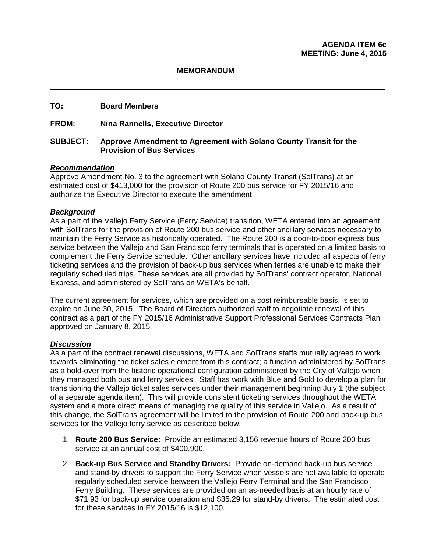#### **TO: Board Members**

#### **FROM: Nina Rannells, Executive Director**

#### **SUBJECT: Approve Amendment to Agreement with Solano County Transit for the Provision of Bus Services**

#### *Recommendation*

Approve Amendment No. 3 to the agreement with Solano County Transit (SolTrans) at an estimated cost of \$413,000 for the provision of Route 200 bus service for FY 2015/16 and authorize the Executive Director to execute the amendment.

#### *Background*

As a part of the Vallejo Ferry Service (Ferry Service) transition, WETA entered into an agreement with SolTrans for the provision of Route 200 bus service and other ancillary services necessary to maintain the Ferry Service as historically operated. The Route 200 is a door-to-door express bus service between the Vallejo and San Francisco ferry terminals that is operated on a limited basis to complement the Ferry Service schedule. Other ancillary services have included all aspects of ferry ticketing services and the provision of back-up bus services when ferries are unable to make their regularly scheduled trips. These services are all provided by SolTrans' contract operator, National Express, and administered by SolTrans on WETA's behalf.

The current agreement for services, which are provided on a cost reimbursable basis, is set to expire on June 30, 2015. The Board of Directors authorized staff to negotiate renewal of this contract as a part of the FY 2015/16 Administrative Support Professional Services Contracts Plan approved on January 8, 2015.

#### *Discussion*

As a part of the contract renewal discussions, WETA and SolTrans staffs mutually agreed to work towards eliminating the ticket sales element from this contract; a function administered by SolTrans as a hold-over from the historic operational configuration administered by the City of Vallejo when they managed both bus and ferry services. Staff has work with Blue and Gold to develop a plan for transitioning the Vallejo ticket sales services under their management beginning July 1 (the subject of a separate agenda item). This will provide consistent ticketing services throughout the WETA system and a more direct means of managing the quality of this service in Vallejo. As a result of this change, the SolTrans agreement will be limited to the provision of Route 200 and back-up bus services for the Vallejo ferry service as described below.

- 1. **Route 200 Bus Service:** Provide an estimated 3,156 revenue hours of Route 200 bus service at an annual cost of \$400,900.
- 2. **Back-up Bus Service and Standby Drivers:** Provide on-demand back-up bus service and stand-by drivers to support the Ferry Service when vessels are not available to operate regularly scheduled service between the Vallejo Ferry Terminal and the San Francisco Ferry Building. These services are provided on an as-needed basis at an hourly rate of \$71.93 for back-up service operation and \$35.29 for stand-by drivers. The estimated cost for these services in FY 2015/16 is \$12,100.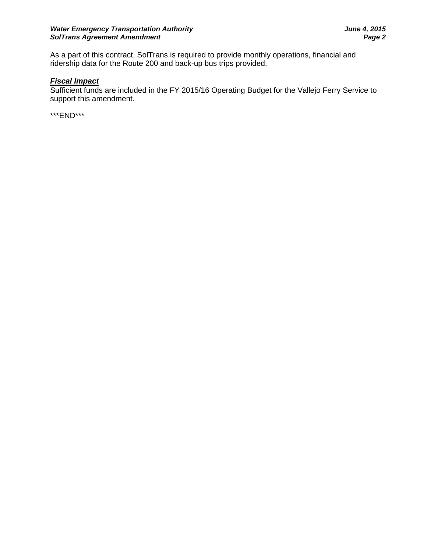As a part of this contract, SolTrans is required to provide monthly operations, financial and ridership data for the Route 200 and back-up bus trips provided.

## *Fiscal Impact*

Sufficient funds are included in the FY 2015/16 Operating Budget for the Vallejo Ferry Service to support this amendment.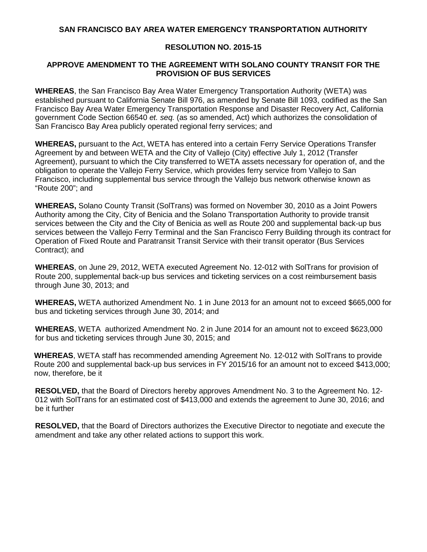#### **SAN FRANCISCO BAY AREA WATER EMERGENCY TRANSPORTATION AUTHORITY**

## **RESOLUTION NO. 2015-15**

## **APPROVE AMENDMENT TO THE AGREEMENT WITH SOLANO COUNTY TRANSIT FOR THE PROVISION OF BUS SERVICES**

**WHEREAS**, the San Francisco Bay Area Water Emergency Transportation Authority (WETA) was established pursuant to California Senate Bill 976, as amended by Senate Bill 1093, codified as the San Francisco Bay Area Water Emergency Transportation Response and Disaster Recovery Act, California government Code Section 66540 *et. seq.* (as so amended, Act) which authorizes the consolidation of San Francisco Bay Area publicly operated regional ferry services; and

**WHEREAS,** pursuant to the Act, WETA has entered into a certain Ferry Service Operations Transfer Agreement by and between WETA and the City of Vallejo (City) effective July 1, 2012 (Transfer Agreement), pursuant to which the City transferred to WETA assets necessary for operation of, and the obligation to operate the Vallejo Ferry Service, which provides ferry service from Vallejo to San Francisco, including supplemental bus service through the Vallejo bus network otherwise known as "Route 200"; and

**WHEREAS,** Solano County Transit (SolTrans) was formed on November 30, 2010 as a Joint Powers Authority among the City, City of Benicia and the Solano Transportation Authority to provide transit services between the City and the City of Benicia as well as Route 200 and supplemental back-up bus services between the Vallejo Ferry Terminal and the San Francisco Ferry Building through its contract for Operation of Fixed Route and Paratransit Transit Service with their transit operator (Bus Services Contract); and

**WHEREAS**, on June 29, 2012, WETA executed Agreement No. 12-012 with SolTrans for provision of Route 200, supplemental back-up bus services and ticketing services on a cost reimbursement basis through June 30, 2013; and

**WHEREAS,** WETA authorized Amendment No. 1 in June 2013 for an amount not to exceed \$665,000 for bus and ticketing services through June 30, 2014; and

**WHEREAS**, WETA authorized Amendment No. 2 in June 2014 for an amount not to exceed \$623,000 for bus and ticketing services through June 30, 2015; and

**WHEREAS**, WETA staff has recommended amending Agreement No. 12-012 with SolTrans to provide Route 200 and supplemental back-up bus services in FY 2015/16 for an amount not to exceed \$413,000; now, therefore, be it

**RESOLVED,** that the Board of Directors hereby approves Amendment No. 3 to the Agreement No. 12- 012 with SolTrans for an estimated cost of \$413,000 and extends the agreement to June 30, 2016; and be it further

**RESOLVED,** that the Board of Directors authorizes the Executive Director to negotiate and execute the amendment and take any other related actions to support this work.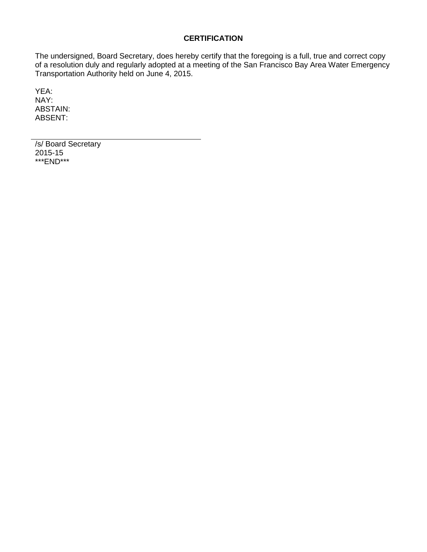## **CERTIFICATION**

The undersigned, Board Secretary, does hereby certify that the foregoing is a full, true and correct copy of a resolution duly and regularly adopted at a meeting of the San Francisco Bay Area Water Emergency Transportation Authority held on June 4, 2015.

YEA: NAY: ABSTAIN: ABSENT:

/s/ Board Secretary 2015-15 \*\*\*END\*\*\*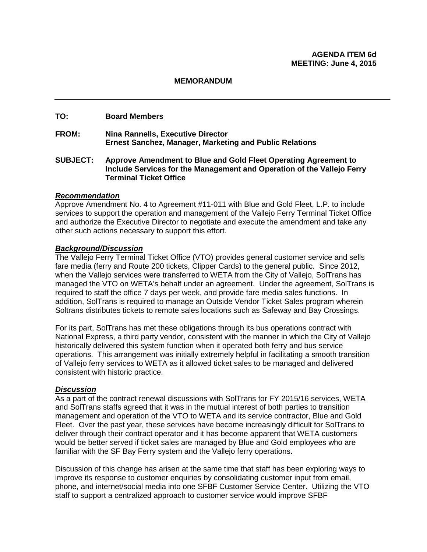## **TO: Board Members**

- **FROM: Nina Rannells, Executive Director Ernest Sanchez, Manager, Marketing and Public Relations**
- **SUBJECT: Approve Amendment to Blue and Gold Fleet Operating Agreement to Include Services for the Management and Operation of the Vallejo Ferry Terminal Ticket Office**

#### *Recommendation*

Approve Amendment No. 4 to Agreement #11-011 with Blue and Gold Fleet, L.P. to include services to support the operation and management of the Vallejo Ferry Terminal Ticket Office and authorize the Executive Director to negotiate and execute the amendment and take any other such actions necessary to support this effort.

#### *Background/Discussion*

The Vallejo Ferry Terminal Ticket Office (VTO) provides general customer service and sells fare media (ferry and Route 200 tickets, Clipper Cards) to the general public. Since 2012, when the Vallejo services were transferred to WETA from the City of Vallejo, SolTrans has managed the VTO on WETA's behalf under an agreement. Under the agreement, SolTrans is required to staff the office 7 days per week, and provide fare media sales functions. In addition, SolTrans is required to manage an Outside Vendor Ticket Sales program wherein Soltrans distributes tickets to remote sales locations such as Safeway and Bay Crossings.

For its part, SolTrans has met these obligations through its bus operations contract with National Express, a third party vendor, consistent with the manner in which the City of Vallejo historically delivered this system function when it operated both ferry and bus service operations. This arrangement was initially extremely helpful in facilitating a smooth transition of Vallejo ferry services to WETA as it allowed ticket sales to be managed and delivered consistent with historic practice.

#### *Discussion*

As a part of the contract renewal discussions with SolTrans for FY 2015/16 services, WETA and SolTrans staffs agreed that it was in the mutual interest of both parties to transition management and operation of the VTO to WETA and its service contractor, Blue and Gold Fleet. Over the past year, these services have become increasingly difficult for SolTrans to deliver through their contract operator and it has become apparent that WETA customers would be better served if ticket sales are managed by Blue and Gold employees who are familiar with the SF Bay Ferry system and the Vallejo ferry operations.

Discussion of this change has arisen at the same time that staff has been exploring ways to improve its response to customer enquiries by consolidating customer input from email, phone, and internet/social media into one SFBF Customer Service Center. Utilizing the VTO staff to support a centralized approach to customer service would improve SFBF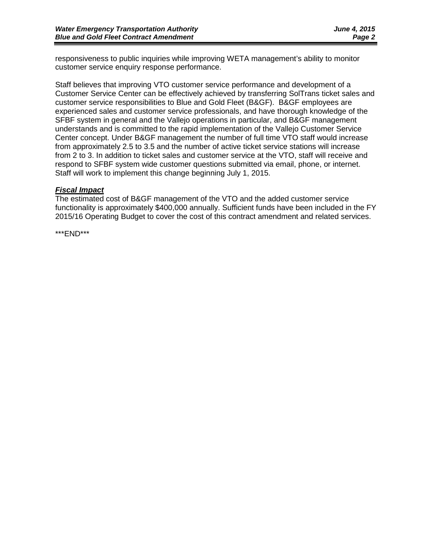responsiveness to public inquiries while improving WETA management's ability to monitor customer service enquiry response performance.

Staff believes that improving VTO customer service performance and development of a Customer Service Center can be effectively achieved by transferring SolTrans ticket sales and customer service responsibilities to Blue and Gold Fleet (B&GF). B&GF employees are experienced sales and customer service professionals, and have thorough knowledge of the SFBF system in general and the Vallejo operations in particular, and B&GF management understands and is committed to the rapid implementation of the Vallejo Customer Service Center concept. Under B&GF management the number of full time VTO staff would increase from approximately 2.5 to 3.5 and the number of active ticket service stations will increase from 2 to 3. In addition to ticket sales and customer service at the VTO, staff will receive and respond to SFBF system wide customer questions submitted via email, phone, or internet. Staff will work to implement this change beginning July 1, 2015.

## *Fiscal Impact*

The estimated cost of B&GF management of the VTO and the added customer service functionality is approximately \$400,000 annually. Sufficient funds have been included in the FY 2015/16 Operating Budget to cover the cost of this contract amendment and related services.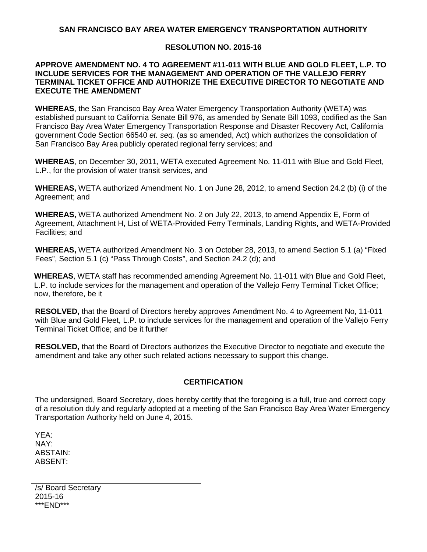## **SAN FRANCISCO BAY AREA WATER EMERGENCY TRANSPORTATION AUTHORITY**

## **RESOLUTION NO. 2015-16**

#### **APPROVE AMENDMENT NO. 4 TO AGREEMENT #11-011 WITH BLUE AND GOLD FLEET, L.P. TO INCLUDE SERVICES FOR THE MANAGEMENT AND OPERATION OF THE VALLEJO FERRY TERMINAL TICKET OFFICE AND AUTHORIZE THE EXECUTIVE DIRECTOR TO NEGOTIATE AND EXECUTE THE AMENDMENT**

**WHEREAS**, the San Francisco Bay Area Water Emergency Transportation Authority (WETA) was established pursuant to California Senate Bill 976, as amended by Senate Bill 1093, codified as the San Francisco Bay Area Water Emergency Transportation Response and Disaster Recovery Act, California government Code Section 66540 *et. seq.* (as so amended, Act) which authorizes the consolidation of San Francisco Bay Area publicly operated regional ferry services; and

**WHEREAS**, on December 30, 2011, WETA executed Agreement No. 11-011 with Blue and Gold Fleet, L.P., for the provision of water transit services, and

**WHEREAS,** WETA authorized Amendment No. 1 on June 28, 2012, to amend Section 24.2 (b) (i) of the Agreement; and

**WHEREAS,** WETA authorized Amendment No. 2 on July 22, 2013, to amend Appendix E, Form of Agreement, Attachment H, List of WETA-Provided Ferry Terminals, Landing Rights, and WETA-Provided Facilities; and

**WHEREAS,** WETA authorized Amendment No. 3 on October 28, 2013, to amend Section 5.1 (a) "Fixed Fees", Section 5.1 (c) "Pass Through Costs", and Section 24.2 (d); and

**WHEREAS**, WETA staff has recommended amending Agreement No. 11-011 with Blue and Gold Fleet, L.P. to include services for the management and operation of the Vallejo Ferry Terminal Ticket Office; now, therefore, be it

**RESOLVED,** that the Board of Directors hereby approves Amendment No. 4 to Agreement No, 11-011 with Blue and Gold Fleet, L.P. to include services for the management and operation of the Vallejo Ferry Terminal Ticket Office; and be it further

**RESOLVED,** that the Board of Directors authorizes the Executive Director to negotiate and execute the amendment and take any other such related actions necessary to support this change.

## **CERTIFICATION**

The undersigned, Board Secretary, does hereby certify that the foregoing is a full, true and correct copy of a resolution duly and regularly adopted at a meeting of the San Francisco Bay Area Water Emergency Transportation Authority held on June 4, 2015.

YEA: NAY: ABSTAIN: ABSENT:

/s/ Board Secretary 2015-16 \*\*\*END\*\*\*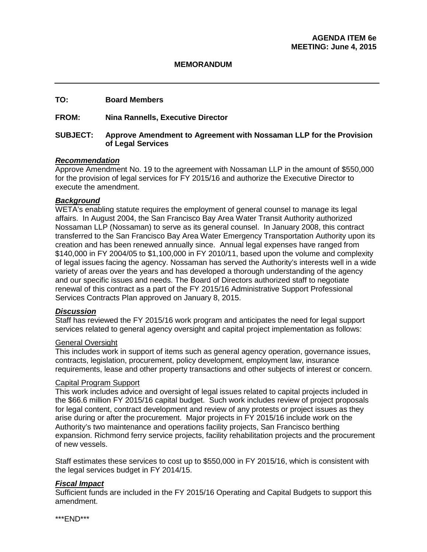## **TO: Board Members**

## **FROM: Nina Rannells, Executive Director**

## **SUBJECT: Approve Amendment to Agreement with Nossaman LLP for the Provision of Legal Services**

#### *Recommendation*

Approve Amendment No. 19 to the agreement with Nossaman LLP in the amount of \$550,000 for the provision of legal services for FY 2015/16 and authorize the Executive Director to execute the amendment.

#### *Background*

WETA's enabling statute requires the employment of general counsel to manage its legal affairs. In August 2004, the San Francisco Bay Area Water Transit Authority authorized Nossaman LLP (Nossaman) to serve as its general counsel. In January 2008, this contract transferred to the San Francisco Bay Area Water Emergency Transportation Authority upon its creation and has been renewed annually since. Annual legal expenses have ranged from \$140,000 in FY 2004/05 to \$1,100,000 in FY 2010/11, based upon the volume and complexity of legal issues facing the agency. Nossaman has served the Authority's interests well in a wide variety of areas over the years and has developed a thorough understanding of the agency and our specific issues and needs. The Board of Directors authorized staff to negotiate renewal of this contract as a part of the FY 2015/16 Administrative Support Professional Services Contracts Plan approved on January 8, 2015.

#### *Discussion*

Staff has reviewed the FY 2015/16 work program and anticipates the need for legal support services related to general agency oversight and capital project implementation as follows:

#### General Oversight

This includes work in support of items such as general agency operation, governance issues, contracts, legislation, procurement, policy development, employment law, insurance requirements, lease and other property transactions and other subjects of interest or concern.

#### Capital Program Support

This work includes advice and oversight of legal issues related to capital projects included in the \$66.6 million FY 2015/16 capital budget. Such work includes review of project proposals for legal content, contract development and review of any protests or project issues as they arise during or after the procurement. Major projects in FY 2015/16 include work on the Authority's two maintenance and operations facility projects, San Francisco berthing expansion. Richmond ferry service projects, facility rehabilitation projects and the procurement of new vessels.

Staff estimates these services to cost up to \$550,000 in FY 2015/16, which is consistent with the legal services budget in FY 2014/15.

#### *Fiscal Impact*

Sufficient funds are included in the FY 2015/16 Operating and Capital Budgets to support this amendment.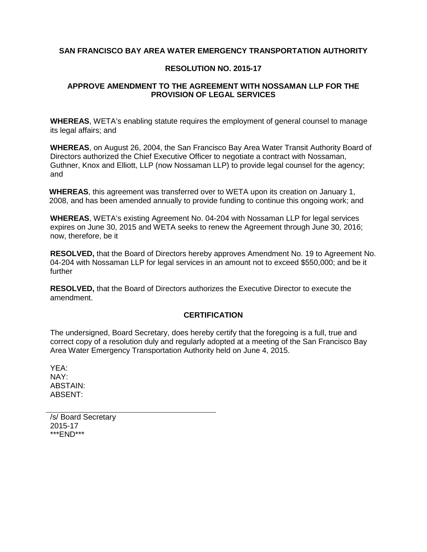## **SAN FRANCISCO BAY AREA WATER EMERGENCY TRANSPORTATION AUTHORITY**

#### **RESOLUTION NO. 2015-17**

## **APPROVE AMENDMENT TO THE AGREEMENT WITH NOSSAMAN LLP FOR THE PROVISION OF LEGAL SERVICES**

**WHEREAS**, WETA's enabling statute requires the employment of general counsel to manage its legal affairs; and

**WHEREAS**, on August 26, 2004, the San Francisco Bay Area Water Transit Authority Board of Directors authorized the Chief Executive Officer to negotiate a contract with Nossaman, Guthner, Knox and Elliott, LLP (now Nossaman LLP) to provide legal counsel for the agency; and

**WHEREAS**, this agreement was transferred over to WETA upon its creation on January 1, 2008, and has been amended annually to provide funding to continue this ongoing work; and

**WHEREAS**, WETA's existing Agreement No. 04-204 with Nossaman LLP for legal services expires on June 30, 2015 and WETA seeks to renew the Agreement through June 30, 2016; now, therefore, be it

**RESOLVED,** that the Board of Directors hereby approves Amendment No. 19 to Agreement No. 04-204 with Nossaman LLP for legal services in an amount not to exceed \$550,000; and be it further

**RESOLVED,** that the Board of Directors authorizes the Executive Director to execute the amendment.

#### **CERTIFICATION**

The undersigned, Board Secretary, does hereby certify that the foregoing is a full, true and correct copy of a resolution duly and regularly adopted at a meeting of the San Francisco Bay Area Water Emergency Transportation Authority held on June 4, 2015.

YEA: NAY: ABSTAIN: ABSENT:

/s/ Board Secretary 2015-17 \*\*\*END\*\*\*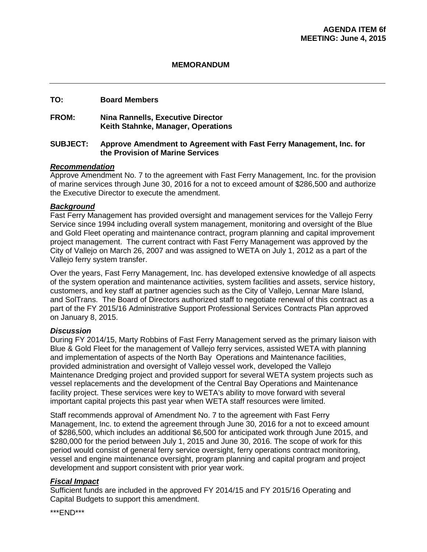## **TO: Board Members**

## **FROM: Nina Rannells, Executive Director Keith Stahnke, Manager, Operations**

## **SUBJECT: Approve Amendment to Agreement with Fast Ferry Management, Inc. for the Provision of Marine Services**

## *Recommendation*

Approve Amendment No. 7 to the agreement with Fast Ferry Management, Inc. for the provision of marine services through June 30, 2016 for a not to exceed amount of \$286,500 and authorize the Executive Director to execute the amendment.

## *Background*

Fast Ferry Management has provided oversight and management services for the Vallejo Ferry Service since 1994 including overall system management, monitoring and oversight of the Blue and Gold Fleet operating and maintenance contract, program planning and capital improvement project management. The current contract with Fast Ferry Management was approved by the City of Vallejo on March 26, 2007 and was assigned to WETA on July 1, 2012 as a part of the Vallejo ferry system transfer.

Over the years, Fast Ferry Management, Inc. has developed extensive knowledge of all aspects of the system operation and maintenance activities, system facilities and assets, service history, customers, and key staff at partner agencies such as the City of Vallejo, Lennar Mare Island, and SolTrans. The Board of Directors authorized staff to negotiate renewal of this contract as a part of the FY 2015/16 Administrative Support Professional Services Contracts Plan approved on January 8, 2015.

#### *Discussion*

During FY 2014/15, Marty Robbins of Fast Ferry Management served as the primary liaison with Blue & Gold Fleet for the management of Vallejo ferry services, assisted WETA with planning and implementation of aspects of the North Bay Operations and Maintenance facilities, provided administration and oversight of Vallejo vessel work, developed the Vallejo Maintenance Dredging project and provided support for several WETA system projects such as vessel replacements and the development of the Central Bay Operations and Maintenance facility project. These services were key to WETA's ability to move forward with several important capital projects this past year when WETA staff resources were limited.

Staff recommends approval of Amendment No. 7 to the agreement with Fast Ferry Management, Inc. to extend the agreement through June 30, 2016 for a not to exceed amount of \$286,500, which includes an additional \$6,500 for anticipated work through June 2015, and \$280,000 for the period between July 1, 2015 and June 30, 2016. The scope of work for this period would consist of general ferry service oversight, ferry operations contract monitoring, vessel and engine maintenance oversight, program planning and capital program and project development and support consistent with prior year work.

## *Fiscal Impact*

Sufficient funds are included in the approved FY 2014/15 and FY 2015/16 Operating and Capital Budgets to support this amendment.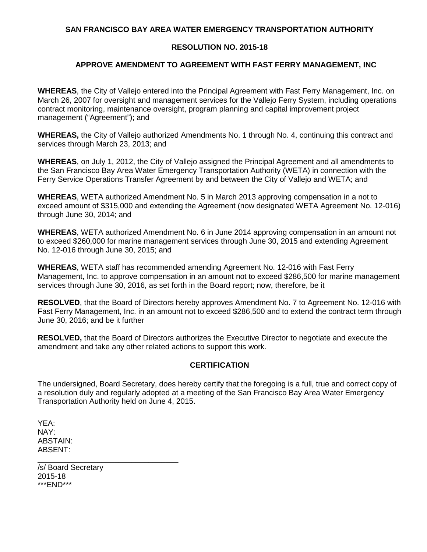## **SAN FRANCISCO BAY AREA WATER EMERGENCY TRANSPORTATION AUTHORITY**

## **RESOLUTION NO. 2015-18**

## **APPROVE AMENDMENT TO AGREEMENT WITH FAST FERRY MANAGEMENT, INC**

**WHEREAS**, the City of Vallejo entered into the Principal Agreement with Fast Ferry Management, Inc. on March 26, 2007 for oversight and management services for the Vallejo Ferry System, including operations contract monitoring, maintenance oversight, program planning and capital improvement project management ("Agreement"); and

**WHEREAS,** the City of Vallejo authorized Amendments No. 1 through No. 4, continuing this contract and services through March 23, 2013; and

**WHEREAS**, on July 1, 2012, the City of Vallejo assigned the Principal Agreement and all amendments to the San Francisco Bay Area Water Emergency Transportation Authority (WETA) in connection with the Ferry Service Operations Transfer Agreement by and between the City of Vallejo and WETA; and

**WHEREAS**, WETA authorized Amendment No. 5 in March 2013 approving compensation in a not to exceed amount of \$315,000 and extending the Agreement (now designated WETA Agreement No. 12-016) through June 30, 2014; and

**WHEREAS**, WETA authorized Amendment No. 6 in June 2014 approving compensation in an amount not to exceed \$260,000 for marine management services through June 30, 2015 and extending Agreement No. 12-016 through June 30, 2015; and

**WHEREAS**, WETA staff has recommended amending Agreement No. 12-016 with Fast Ferry Management, Inc. to approve compensation in an amount not to exceed \$286,500 for marine management services through June 30, 2016, as set forth in the Board report; now, therefore, be it

**RESOLVED**, that the Board of Directors hereby approves Amendment No. 7 to Agreement No. 12-016 with Fast Ferry Management, Inc. in an amount not to exceed \$286,500 and to extend the contract term through June 30, 2016; and be it further

**RESOLVED,** that the Board of Directors authorizes the Executive Director to negotiate and execute the amendment and take any other related actions to support this work.

## **CERTIFICATION**

The undersigned, Board Secretary, does hereby certify that the foregoing is a full, true and correct copy of a resolution duly and regularly adopted at a meeting of the San Francisco Bay Area Water Emergency Transportation Authority held on June 4, 2015.

YEA: NAY: ABSTAIN: ABSENT:

/s/ Board Secretary 2015-18 \*\*\*END\*\*\*

\_\_\_\_\_\_\_\_\_\_\_\_\_\_\_\_\_\_\_\_\_\_\_\_\_\_\_\_\_\_\_\_\_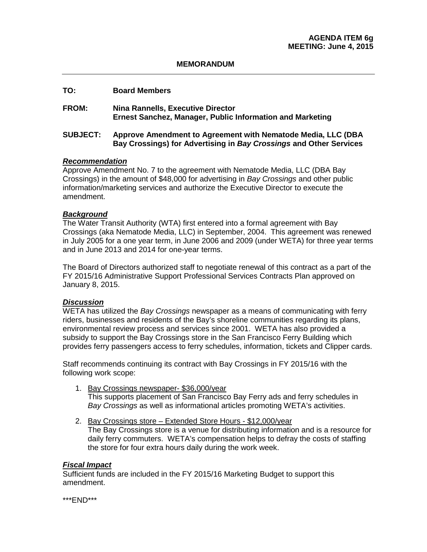#### **TO: Board Members**

**FROM: Nina Rannells, Executive Director Ernest Sanchez, Manager, Public Information and Marketing**

#### **SUBJECT: Approve Amendment to Agreement with Nematode Media, LLC (DBA Bay Crossings) for Advertising in** *Bay Crossings* **and Other Services**

#### *Recommendation*

Approve Amendment No. 7 to the agreement with Nematode Media, LLC (DBA Bay Crossings) in the amount of \$48,000 for advertising in *Bay Crossings* and other public information/marketing services and authorize the Executive Director to execute the amendment.

#### *Background*

The Water Transit Authority (WTA) first entered into a formal agreement with Bay Crossings (aka Nematode Media, LLC) in September, 2004. This agreement was renewed in July 2005 for a one year term, in June 2006 and 2009 (under WETA) for three year terms and in June 2013 and 2014 for one-year terms.

The Board of Directors authorized staff to negotiate renewal of this contract as a part of the FY 2015/16 Administrative Support Professional Services Contracts Plan approved on January 8, 2015.

#### *Discussion*

WETA has utilized the *Bay Crossings* newspaper as a means of communicating with ferry riders, businesses and residents of the Bay's shoreline communities regarding its plans, environmental review process and services since 2001. WETA has also provided a subsidy to support the Bay Crossings store in the San Francisco Ferry Building which provides ferry passengers access to ferry schedules, information, tickets and Clipper cards.

Staff recommends continuing its contract with Bay Crossings in FY 2015/16 with the following work scope:

- 1. Bay Crossings newspaper- \$36,000/year This supports placement of San Francisco Bay Ferry ads and ferry schedules in *Bay Crossings* as well as informational articles promoting WETA's activities.
- 2. Bay Crossings store Extended Store Hours \$12,000/year The Bay Crossings store is a venue for distributing information and is a resource for daily ferry commuters. WETA's compensation helps to defray the costs of staffing the store for four extra hours daily during the work week.

#### *Fiscal Impact*

Sufficient funds are included in the FY 2015/16 Marketing Budget to support this amendment.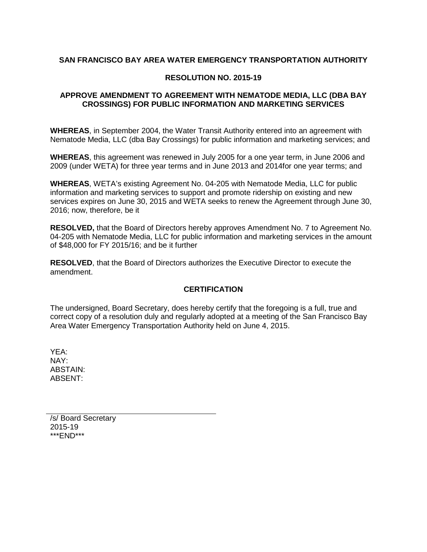## **SAN FRANCISCO BAY AREA WATER EMERGENCY TRANSPORTATION AUTHORITY**

#### **RESOLUTION NO. 2015-19**

## **APPROVE AMENDMENT TO AGREEMENT WITH NEMATODE MEDIA, LLC (DBA BAY CROSSINGS) FOR PUBLIC INFORMATION AND MARKETING SERVICES**

**WHEREAS**, in September 2004, the Water Transit Authority entered into an agreement with Nematode Media, LLC (dba Bay Crossings) for public information and marketing services; and

**WHEREAS**, this agreement was renewed in July 2005 for a one year term, in June 2006 and 2009 (under WETA) for three year terms and in June 2013 and 2014for one year terms; and

**WHEREAS**, WETA's existing Agreement No. 04-205 with Nematode Media, LLC for public information and marketing services to support and promote ridership on existing and new services expires on June 30, 2015 and WETA seeks to renew the Agreement through June 30, 2016; now, therefore, be it

**RESOLVED,** that the Board of Directors hereby approves Amendment No. 7 to Agreement No. 04-205 with Nematode Media, LLC for public information and marketing services in the amount of \$48,000 for FY 2015/16; and be it further

**RESOLVED**, that the Board of Directors authorizes the Executive Director to execute the amendment.

## **CERTIFICATION**

The undersigned, Board Secretary, does hereby certify that the foregoing is a full, true and correct copy of a resolution duly and regularly adopted at a meeting of the San Francisco Bay Area Water Emergency Transportation Authority held on June 4, 2015.

YEA: NAY: ABSTAIN: ABSENT:

/s/ Board Secretary 2015-19 \*\*\*END\*\*\*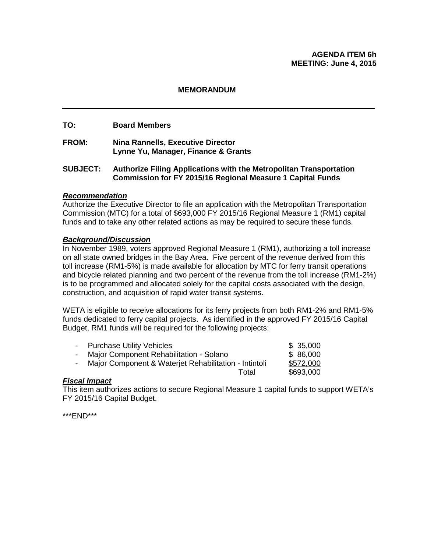### **AGENDA ITEM 6h MEETING: June 4, 2015**

#### **MEMORANDUM**

#### **TO: Board Members**

**FROM: Nina Rannells, Executive Director Lynne Yu, Manager, Finance & Grants**

### **SUBJECT: Authorize Filing Applications with the Metropolitan Transportation Commission for FY 2015/16 Regional Measure 1 Capital Funds**

#### *Recommendation*

Authorize the Executive Director to file an application with the Metropolitan Transportation Commission (MTC) for a total of \$693,000 FY 2015/16 Regional Measure 1 (RM1) capital funds and to take any other related actions as may be required to secure these funds.

#### *Background/Discussion*

In November 1989, voters approved Regional Measure 1 (RM1), authorizing a toll increase on all state owned bridges in the Bay Area. Five percent of the revenue derived from this toll increase (RM1-5%) is made available for allocation by MTC for ferry transit operations and bicycle related planning and two percent of the revenue from the toll increase (RM1-2%) is to be programmed and allocated solely for the capital costs associated with the design, construction, and acquisition of rapid water transit systems.

WETA is eligible to receive allocations for its ferry projects from both RM1-2% and RM1-5% funds dedicated to ferry capital projects. As identified in the approved FY 2015/16 Capital Budget, RM1 funds will be required for the following projects:

|    | - Purchase Utility Vehicles                           | \$35,000  |
|----|-------------------------------------------------------|-----------|
| Ξ. | Major Component Rehabilitation - Solano               | \$ 86,000 |
| Ξ. | Major Component & Waterjet Rehabilitation - Intintoli | \$572,000 |
|    | Total                                                 | \$693,000 |
|    |                                                       |           |

#### *Fiscal Impact*

This item authorizes actions to secure Regional Measure 1 capital funds to support WETA's FY 2015/16 Capital Budget.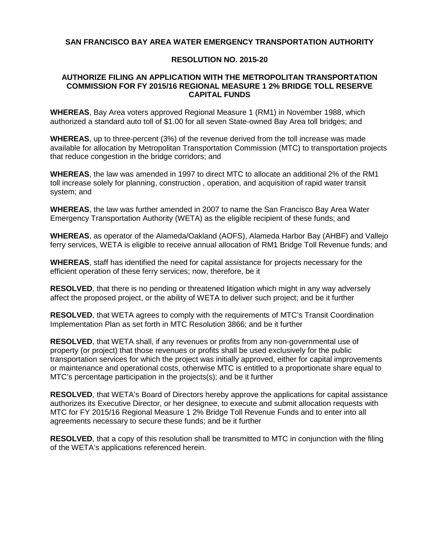## **SAN FRANCISCO BAY AREA WATER EMERGENCY TRANSPORTATION AUTHORITY**

### **RESOLUTION NO. 2015-20**

#### **AUTHORIZE FILING AN APPLICATION WITH THE METROPOLITAN TRANSPORTATION COMMISSION FOR FY 2015/16 REGIONAL MEASURE 1 2% BRIDGE TOLL RESERVE CAPITAL FUNDS**

**WHEREAS**, Bay Area voters approved Regional Measure 1 (RM1) in November 1988, which authorized a standard auto toll of \$1.00 for all seven State-owned Bay Area toll bridges; and

**WHEREAS**, up to three-percent (3%) of the revenue derived from the toll increase was made available for allocation by Metropolitan Transportation Commission (MTC) to transportation projects that reduce congestion in the bridge corridors; and

**WHEREAS**, the law was amended in 1997 to direct MTC to allocate an additional 2% of the RM1 toll increase solely for planning, construction , operation, and acquisition of rapid water transit system; and

**WHEREAS**, the law was further amended in 2007 to name the San Francisco Bay Area Water Emergency Transportation Authority (WETA) as the eligible recipient of these funds; and

**WHEREAS**, as operator of the Alameda/Oakland (AOFS), Alameda Harbor Bay (AHBF) and Vallejo ferry services, WETA is eligible to receive annual allocation of RM1 Bridge Toll Revenue funds; and

**WHEREAS**, staff has identified the need for capital assistance for projects necessary for the efficient operation of these ferry services; now, therefore, be it

**RESOLVED**, that there is no pending or threatened litigation which might in any way adversely affect the proposed project, or the ability of WETA to deliver such project; and be it further

**RESOLVED**, that WETA agrees to comply with the requirements of MTC's Transit Coordination Implementation Plan as set forth in MTC Resolution 3866; and be it further

**RESOLVED**, that WETA shall, if any revenues or profits from any non-governmental use of property (or project) that those revenues or profits shall be used exclusively for the public transportation services for which the project was initially approved, either for capital improvements or maintenance and operational costs, otherwise MTC is entitled to a proportionate share equal to MTC's percentage participation in the projects(s); and be it further

**RESOLVED**, that WETA's Board of Directors hereby approve the applications for capital assistance authorizes its Executive Director, or her designee, to execute and submit allocation requests with MTC for FY 2015/16 Regional Measure 1 2% Bridge Toll Revenue Funds and to enter into all agreements necessary to secure these funds; and be it further

**RESOLVED**, that a copy of this resolution shall be transmitted to MTC in conjunction with the filing of the WETA's applications referenced herein.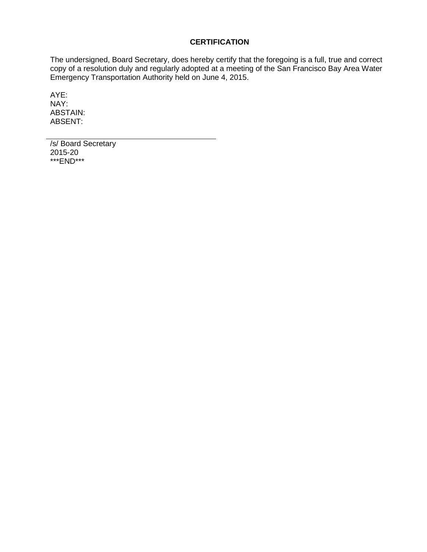## **CERTIFICATION**

The undersigned, Board Secretary, does hereby certify that the foregoing is a full, true and correct copy of a resolution duly and regularly adopted at a meeting of the San Francisco Bay Area Water Emergency Transportation Authority held on June 4, 2015.

AYE: NAY: ABSTAIN: ABSENT:

/s/ Board Secretary 2015-20 \*\*\*END\*\*\*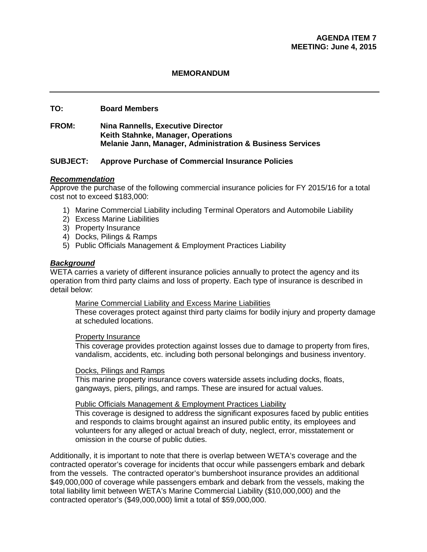### **TO: Board Members**

**FROM: Nina Rannells, Executive Director Keith Stahnke, Manager, Operations Melanie Jann, Manager, Administration & Business Services**

### **SUBJECT: Approve Purchase of Commercial Insurance Policies**

#### *Recommendation*

Approve the purchase of the following commercial insurance policies for FY 2015/16 for a total cost not to exceed \$183,000:

- 1) Marine Commercial Liability including Terminal Operators and Automobile Liability
- 2) Excess Marine Liabilities
- 3) Property Insurance
- 4) Docks, Pilings & Ramps
- 5) Public Officials Management & Employment Practices Liability

#### *Background*

WETA carries a variety of different insurance policies annually to protect the agency and its operation from third party claims and loss of property. Each type of insurance is described in detail below:

#### Marine Commercial Liability and Excess Marine Liabilities

These coverages protect against third party claims for bodily injury and property damage at scheduled locations.

#### Property Insurance

This coverage provides protection against losses due to damage to property from fires, vandalism, accidents, etc. including both personal belongings and business inventory.

#### Docks, Pilings and Ramps

This marine property insurance covers waterside assets including docks, floats, gangways, piers, pilings, and ramps. These are insured for actual values.

#### Public Officials Management & Employment Practices Liability

This coverage is designed to address the significant exposures faced by public entities and responds to claims brought against an insured public entity, its employees and volunteers for any alleged or actual breach of duty, neglect, error, misstatement or omission in the course of public duties.

Additionally, it is important to note that there is overlap between WETA's coverage and the contracted operator's coverage for incidents that occur while passengers embark and debark from the vessels. The contracted operator's bumbershoot insurance provides an additional \$49,000,000 of coverage while passengers embark and debark from the vessels, making the total liability limit between WETA's Marine Commercial Liability (\$10,000,000) and the contracted operator's (\$49,000,000) limit a total of \$59,000,000.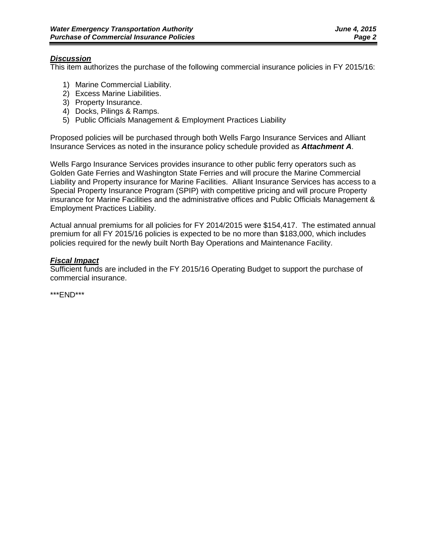### *Discussion*

This item authorizes the purchase of the following commercial insurance policies in FY 2015/16:

- 1) Marine Commercial Liability.
- 2) Excess Marine Liabilities.
- 3) Property Insurance.
- 4) Docks, Pilings & Ramps.
- 5) Public Officials Management & Employment Practices Liability

Proposed policies will be purchased through both Wells Fargo Insurance Services and Alliant Insurance Services as noted in the insurance policy schedule provided as *Attachment A*.

Wells Fargo Insurance Services provides insurance to other public ferry operators such as Golden Gate Ferries and Washington State Ferries and will procure the Marine Commercial Liability and Property insurance for Marine Facilities. Alliant Insurance Services has access to a Special Property Insurance Program (SPIP) with competitive pricing and will procure Property insurance for Marine Facilities and the administrative offices and Public Officials Management & Employment Practices Liability.

Actual annual premiums for all policies for FY 2014/2015 were \$154,417. The estimated annual premium for all FY 2015/16 policies is expected to be no more than \$183,000, which includes policies required for the newly built North Bay Operations and Maintenance Facility.

## *Fiscal Impact*

Sufficient funds are included in the FY 2015/16 Operating Budget to support the purchase of commercial insurance.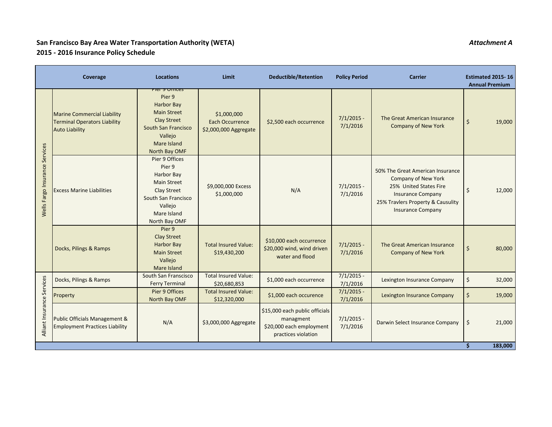# **San Francisco Bay Area Water Transportation Authority (WETA)** *Attachment A* **2015 - 2016 Insurance Policy Schedule**

|                                | Coverage                                                                                           | <b>Locations</b>                                                                                                                                                             | Limit                                                          | <b>Deductible/Retention</b>                                                                    | <b>Policy Period</b>     | <b>Carrier</b>                                                                                                                                                                        | <b>Estimated 2015-16</b><br><b>Annual Premium</b> |
|--------------------------------|----------------------------------------------------------------------------------------------------|------------------------------------------------------------------------------------------------------------------------------------------------------------------------------|----------------------------------------------------------------|------------------------------------------------------------------------------------------------|--------------------------|---------------------------------------------------------------------------------------------------------------------------------------------------------------------------------------|---------------------------------------------------|
| Wells Fargo Insurance Services | <b>Marine Commercial Liability</b><br><b>Terminal Operators Liability</b><br><b>Auto Liability</b> | <del>Pier 9 UNICes</del><br>Pier 9<br><b>Harbor Bay</b><br><b>Main Street</b><br><b>Clay Street</b><br><b>South San Francisco</b><br>Vallejo<br>Mare Island<br>North Bay OMF | \$1,000,000<br><b>Each Occurrence</b><br>\$2,000,000 Aggregate | \$2,500 each occurrence                                                                        | $7/1/2015 -$<br>7/1/2016 | The Great American Insurance<br><b>Company of New York</b>                                                                                                                            | $\zeta$<br>19,000                                 |
|                                | <b>Excess Marine Liabilities</b>                                                                   | Pier 9 Offices<br>Pier 9<br><b>Harbor Bay</b><br><b>Main Street</b><br><b>Clay Street</b><br>South San Francisco<br>Vallejo<br>Mare Island<br>North Bay OMF                  | \$9,000,000 Excess<br>\$1,000,000                              | N/A                                                                                            | $7/1/2015 -$<br>7/1/2016 | 50% The Great American Insurance<br><b>Company of New York</b><br>25% United States Fire<br><b>Insurance Company</b><br>25% Travlers Property & Causulity<br><b>Insurance Company</b> | $\zeta$<br>12,000                                 |
|                                | Docks, Pilings & Ramps                                                                             | Pier 9<br><b>Clay Street</b><br><b>Harbor Bay</b><br><b>Main Street</b><br>Vallejo<br><b>Mare Island</b>                                                                     | <b>Total Insured Value:</b><br>\$19,430,200                    | \$10,000 each occurrence<br>\$20,000 wind, wind driven<br>water and flood                      | $7/1/2015 -$<br>7/1/2016 | The Great American Insurance<br><b>Company of New York</b>                                                                                                                            | $\zeta$<br>80,000                                 |
|                                | Docks, Pilings & Ramps                                                                             | South San Franscisco<br><b>Ferry Terminal</b>                                                                                                                                | <b>Total Insured Value:</b><br>\$20,680,853                    | \$1,000 each occurrence                                                                        | $7/1/2015$ -<br>7/1/2016 | Lexington Insurance Company                                                                                                                                                           | \$<br>32,000                                      |
| ance Services                  | Property                                                                                           | Pier 9 Offices<br>North Bay OMF                                                                                                                                              | <b>Total Insured Value:</b><br>\$12,320,000                    | \$1,000 each occurence                                                                         | $7/1/2015$ -<br>7/1/2016 | <b>Lexington Insurance Company</b>                                                                                                                                                    | $\zeta$<br>19,000                                 |
| Alliant Insur                  | Public Officials Management &<br><b>Employment Practices Liability</b>                             | N/A                                                                                                                                                                          | \$3,000,000 Aggregate                                          | \$15,000 each public officials<br>managment<br>\$20,000 each employment<br>practices violation | $7/1/2015$ -<br>7/1/2016 | Darwin Select Insurance Company                                                                                                                                                       | 21,000<br>\$                                      |
|                                |                                                                                                    |                                                                                                                                                                              |                                                                |                                                                                                |                          |                                                                                                                                                                                       | 183,000                                           |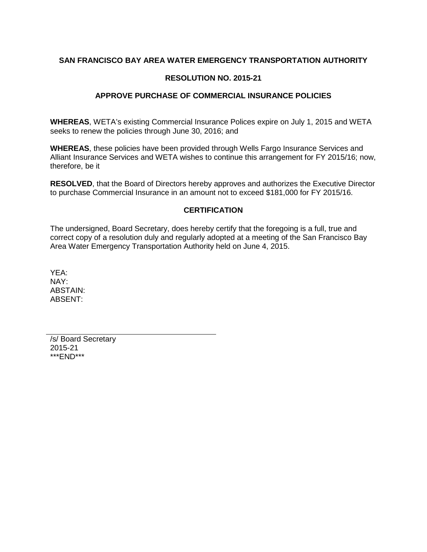## **SAN FRANCISCO BAY AREA WATER EMERGENCY TRANSPORTATION AUTHORITY**

### **RESOLUTION NO. 2015-21**

### **APPROVE PURCHASE OF COMMERCIAL INSURANCE POLICIES**

**WHEREAS**, WETA's existing Commercial Insurance Polices expire on July 1, 2015 and WETA seeks to renew the policies through June 30, 2016; and

**WHEREAS**, these policies have been provided through Wells Fargo Insurance Services and Alliant Insurance Services and WETA wishes to continue this arrangement for FY 2015/16; now, therefore, be it

**RESOLVED**, that the Board of Directors hereby approves and authorizes the Executive Director to purchase Commercial Insurance in an amount not to exceed \$181,000 for FY 2015/16.

### **CERTIFICATION**

The undersigned, Board Secretary, does hereby certify that the foregoing is a full, true and correct copy of a resolution duly and regularly adopted at a meeting of the San Francisco Bay Area Water Emergency Transportation Authority held on June 4, 2015.

YEA: NAY: ABSTAIN: ABSENT:

/s/ Board Secretary 2015-21 \*\*\*END\*\*\*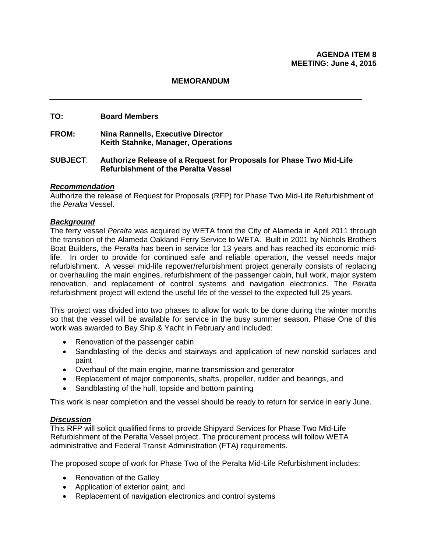### **TO: Board Members**

**FROM: Nina Rannells, Executive Director Keith Stahnke, Manager, Operations**

#### **SUBJECT**: **Authorize Release of a Request for Proposals for Phase Two Mid-Life Refurbishment of the Peralta Vessel**

#### *Recommendation*

Authorize the release of Request for Proposals (RFP) for Phase Two Mid-Life Refurbishment of the *Peralta* Vessel.

#### *Background*

The ferry vessel *Peralta* was acquired by WETA from the City of Alameda in April 2011 through the transition of the Alameda Oakland Ferry Service to WETA. Built in 2001 by Nichols Brothers Boat Builders, the *Peralta* has been in service for 13 years and has reached its economic midlife. In order to provide for continued safe and reliable operation, the vessel needs major refurbishment. A vessel mid-life repower/refurbishment project generally consists of replacing or overhauling the main engines, refurbishment of the passenger cabin, hull work, major system renovation, and replacement of control systems and navigation electronics. The *Peralta* refurbishment project will extend the useful life of the vessel to the expected full 25 years.

This project was divided into two phases to allow for work to be done during the winter months so that the vessel will be available for service in the busy summer season. Phase One of this work was awarded to Bay Ship & Yacht in February and included:

- Renovation of the passenger cabin
- Sandblasting of the decks and stairways and application of new nonskid surfaces and paint
- Overhaul of the main engine, marine transmission and generator
- Replacement of major components, shafts, propeller, rudder and bearings, and
- Sandblasting of the hull, topside and bottom painting

This work is near completion and the vessel should be ready to return for service in early June.

## *Discussion*

This RFP will solicit qualified firms to provide Shipyard Services for Phase Two Mid-Life Refurbishment of the Peralta Vessel project. The procurement process will follow WETA administrative and Federal Transit Administration (FTA) requirements.

The proposed scope of work for Phase Two of the Peralta Mid-Life Refurbishment includes:

- Renovation of the Galley
- Application of exterior paint, and
- Replacement of navigation electronics and control systems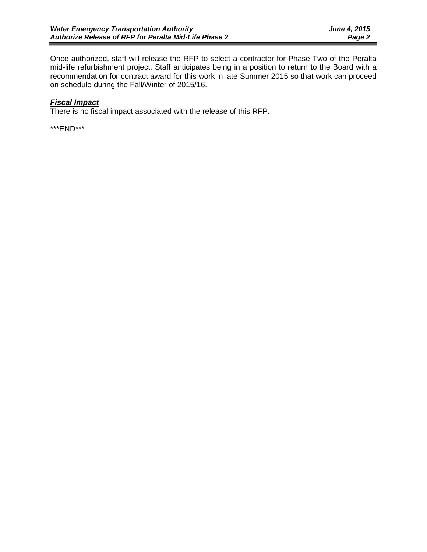Once authorized, staff will release the RFP to select a contractor for Phase Two of the Peralta mid-life refurbishment project. Staff anticipates being in a position to return to the Board with a recommendation for contract award for this work in late Summer 2015 so that work can proceed on schedule during the Fall/Winter of 2015/16.

## *Fiscal Impact*

There is no fiscal impact associated with the release of this RFP.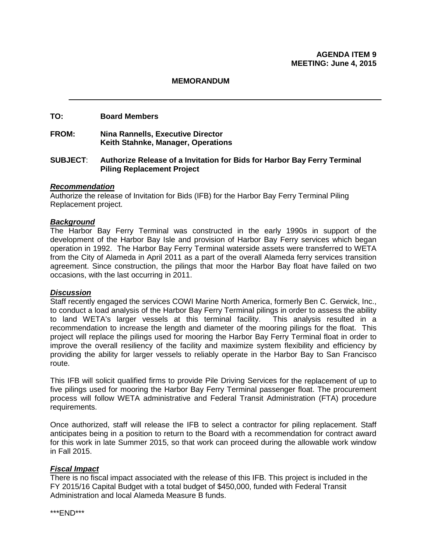#### **TO: Board Members**

### **FROM: Nina Rannells, Executive Director Keith Stahnke, Manager, Operations**

### **SUBJECT**: **Authorize Release of a Invitation for Bids for Harbor Bay Ferry Terminal Piling Replacement Project**

#### *Recommendation*

Authorize the release of Invitation for Bids (IFB) for the Harbor Bay Ferry Terminal Piling Replacement project.

#### *Background*

The Harbor Bay Ferry Terminal was constructed in the early 1990s in support of the development of the Harbor Bay Isle and provision of Harbor Bay Ferry services which began operation in 1992. The Harbor Bay Ferry Terminal waterside assets were transferred to WETA from the City of Alameda in April 2011 as a part of the overall Alameda ferry services transition agreement. Since construction, the pilings that moor the Harbor Bay float have failed on two occasions, with the last occurring in 2011.

### *Discussion*

Staff recently engaged the services COWI Marine North America, formerly Ben C. Gerwick, Inc., to conduct a load analysis of the Harbor Bay Ferry Terminal pilings in order to assess the ability to land WETA's larger vessels at this terminal facility. This analysis resulted in a recommendation to increase the length and diameter of the mooring pilings for the float. This project will replace the pilings used for mooring the Harbor Bay Ferry Terminal float in order to improve the overall resiliency of the facility and maximize system flexibility and efficiency by providing the ability for larger vessels to reliably operate in the Harbor Bay to San Francisco route.

This IFB will solicit qualified firms to provide Pile Driving Services for the replacement of up to five pilings used for mooring the Harbor Bay Ferry Terminal passenger float. The procurement process will follow WETA administrative and Federal Transit Administration (FTA) procedure requirements.

Once authorized, staff will release the IFB to select a contractor for piling replacement. Staff anticipates being in a position to return to the Board with a recommendation for contract award for this work in late Summer 2015, so that work can proceed during the allowable work window in Fall 2015.

#### *Fiscal Impact*

There is no fiscal impact associated with the release of this IFB. This project is included in the FY 2015/16 Capital Budget with a total budget of \$450,000, funded with Federal Transit Administration and local Alameda Measure B funds.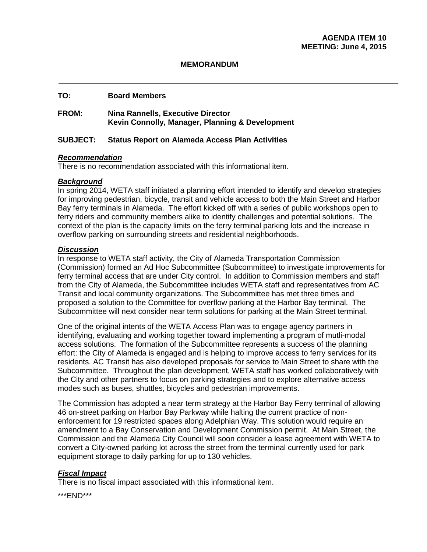#### **TO: Board Members**

## **FROM: Nina Rannells, Executive Director Kevin Connolly, Manager, Planning & Development**

### **SUBJECT: Status Report on Alameda Access Plan Activities**

#### *Recommendation*

There is no recommendation associated with this informational item.

### *Background*

In spring 2014, WETA staff initiated a planning effort intended to identify and develop strategies for improving pedestrian, bicycle, transit and vehicle access to both the Main Street and Harbor Bay ferry terminals in Alameda. The effort kicked off with a series of public workshops open to ferry riders and community members alike to identify challenges and potential solutions. The context of the plan is the capacity limits on the ferry terminal parking lots and the increase in overflow parking on surrounding streets and residential neighborhoods.

### *Discussion*

In response to WETA staff activity, the City of Alameda Transportation Commission (Commission) formed an Ad Hoc Subcommittee (Subcommittee) to investigate improvements for ferry terminal access that are under City control. In addition to Commission members and staff from the City of Alameda, the Subcommittee includes WETA staff and representatives from AC Transit and local community organizations. The Subcommittee has met three times and proposed a solution to the Committee for overflow parking at the Harbor Bay terminal. The Subcommittee will next consider near term solutions for parking at the Main Street terminal.

One of the original intents of the WETA Access Plan was to engage agency partners in identifying, evaluating and working together toward implementing a program of mutli-modal access solutions. The formation of the Subcommittee represents a success of the planning effort: the City of Alameda is engaged and is helping to improve access to ferry services for its residents. AC Transit has also developed proposals for service to Main Street to share with the Subcommittee. Throughout the plan development, WETA staff has worked collaboratively with the City and other partners to focus on parking strategies and to explore alternative access modes such as buses, shuttles, bicycles and pedestrian improvements.

The Commission has adopted a near term strategy at the Harbor Bay Ferry terminal of allowing 46 on-street parking on Harbor Bay Parkway while halting the current practice of nonenforcement for 19 restricted spaces along Adelphian Way. This solution would require an amendment to a Bay Conservation and Development Commission permit. At Main Street, the Commission and the Alameda City Council will soon consider a lease agreement with WETA to convert a City-owned parking lot across the street from the terminal currently used for park equipment storage to daily parking for up to 130 vehicles.

## *Fiscal Impact*

There is no fiscal impact associated with this informational item.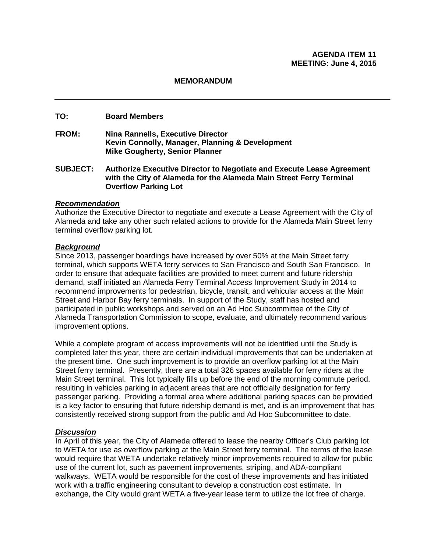### **TO: Board Members**

- **FROM: Nina Rannells, Executive Director Kevin Connolly, Manager, Planning & Development Mike Gougherty, Senior Planner**
- **SUBJECT: Authorize Executive Director to Negotiate and Execute Lease Agreement with the City of Alameda for the Alameda Main Street Ferry Terminal Overflow Parking Lot**

#### *Recommendation*

Authorize the Executive Director to negotiate and execute a Lease Agreement with the City of Alameda and take any other such related actions to provide for the Alameda Main Street ferry terminal overflow parking lot.

### *Background*

Since 2013, passenger boardings have increased by over 50% at the Main Street ferry terminal, which supports WETA ferry services to San Francisco and South San Francisco. In order to ensure that adequate facilities are provided to meet current and future ridership demand, staff initiated an Alameda Ferry Terminal Access Improvement Study in 2014 to recommend improvements for pedestrian, bicycle, transit, and vehicular access at the Main Street and Harbor Bay ferry terminals. In support of the Study, staff has hosted and participated in public workshops and served on an Ad Hoc Subcommittee of the City of Alameda Transportation Commission to scope, evaluate, and ultimately recommend various improvement options.

While a complete program of access improvements will not be identified until the Study is completed later this year, there are certain individual improvements that can be undertaken at the present time. One such improvement is to provide an overflow parking lot at the Main Street ferry terminal. Presently, there are a total 326 spaces available for ferry riders at the Main Street terminal. This lot typically fills up before the end of the morning commute period, resulting in vehicles parking in adjacent areas that are not officially designation for ferry passenger parking. Providing a formal area where additional parking spaces can be provided is a key factor to ensuring that future ridership demand is met, and is an improvement that has consistently received strong support from the public and Ad Hoc Subcommittee to date.

#### *Discussion*

In April of this year, the City of Alameda offered to lease the nearby Officer's Club parking lot to WETA for use as overflow parking at the Main Street ferry terminal. The terms of the lease would require that WETA undertake relatively minor improvements required to allow for public use of the current lot, such as pavement improvements, striping, and ADA-compliant walkways. WETA would be responsible for the cost of these improvements and has initiated work with a traffic engineering consultant to develop a construction cost estimate. In exchange, the City would grant WETA a five-year lease term to utilize the lot free of charge.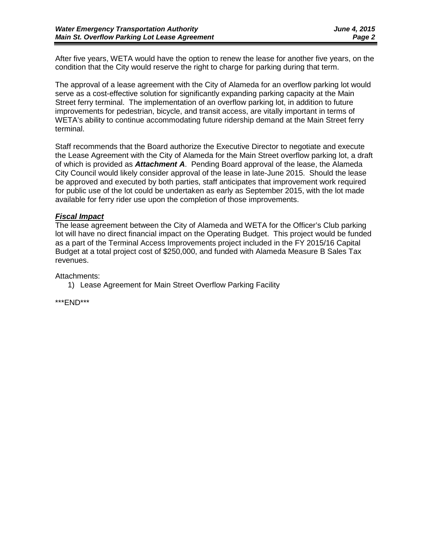After five years, WETA would have the option to renew the lease for another five years, on the condition that the City would reserve the right to charge for parking during that term.

The approval of a lease agreement with the City of Alameda for an overflow parking lot would serve as a cost-effective solution for significantly expanding parking capacity at the Main Street ferry terminal. The implementation of an overflow parking lot, in addition to future improvements for pedestrian, bicycle, and transit access, are vitally important in terms of WETA's ability to continue accommodating future ridership demand at the Main Street ferry terminal.

Staff recommends that the Board authorize the Executive Director to negotiate and execute the Lease Agreement with the City of Alameda for the Main Street overflow parking lot, a draft of which is provided as *Attachment A*. Pending Board approval of the lease, the Alameda City Council would likely consider approval of the lease in late-June 2015. Should the lease be approved and executed by both parties, staff anticipates that improvement work required for public use of the lot could be undertaken as early as September 2015, with the lot made available for ferry rider use upon the completion of those improvements.

### *Fiscal Impact*

The lease agreement between the City of Alameda and WETA for the Officer's Club parking lot will have no direct financial impact on the Operating Budget. This project would be funded as a part of the Terminal Access Improvements project included in the FY 2015/16 Capital Budget at a total project cost of \$250,000, and funded with Alameda Measure B Sales Tax revenues.

Attachments:

1) Lease Agreement for Main Street Overflow Parking Facility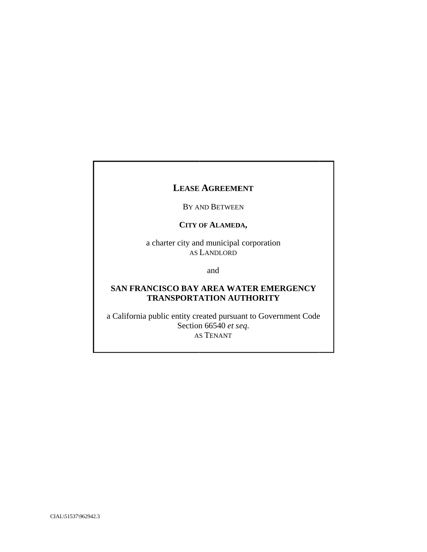## LEASE AGREEMENT

#### BY AND BETWEEN

#### CITY OF ALAMEDA,

a charter city and municipal corporation AS LANDLORD

and

## **SAN FRANCISCO BAY AREA WATER EMERGENCY TRA ANSPORTA ATION AU UTHORITY Y**

a California public entity created pursuant to Government Code Section n 66540 *et s eq*. A S TENANT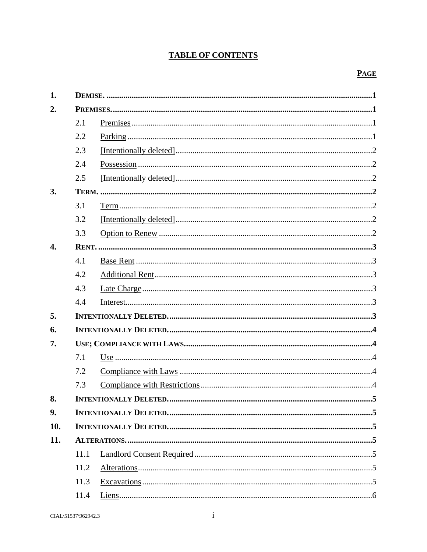## **TABLE OF CONTENTS**

## **PAGE**

| 1.               |      |                                    |  |  |  |
|------------------|------|------------------------------------|--|--|--|
| 2.               |      |                                    |  |  |  |
|                  | 2.1  |                                    |  |  |  |
|                  | 2.2  |                                    |  |  |  |
|                  | 2.3  |                                    |  |  |  |
|                  | 2.4  |                                    |  |  |  |
|                  | 2.5  |                                    |  |  |  |
| 3.               |      |                                    |  |  |  |
|                  | 3.1  |                                    |  |  |  |
|                  | 3.2  |                                    |  |  |  |
|                  | 3.3  |                                    |  |  |  |
| $\overline{4}$ . |      |                                    |  |  |  |
|                  | 4.1  |                                    |  |  |  |
|                  | 4.2  |                                    |  |  |  |
|                  | 4.3  |                                    |  |  |  |
|                  | 4.4  |                                    |  |  |  |
| 5.               |      |                                    |  |  |  |
| 6.               |      |                                    |  |  |  |
| 7.               |      |                                    |  |  |  |
|                  | 7.1  |                                    |  |  |  |
|                  | 7.2  |                                    |  |  |  |
|                  | 7.3  |                                    |  |  |  |
| 8.               |      | <b>INTENTIONALLY DELETED.</b><br>5 |  |  |  |
| 9.               |      |                                    |  |  |  |
| 10.              |      |                                    |  |  |  |
| 11.              |      |                                    |  |  |  |
|                  | 11.1 |                                    |  |  |  |
|                  | 11.2 |                                    |  |  |  |
|                  | 11.3 |                                    |  |  |  |
|                  | 11.4 |                                    |  |  |  |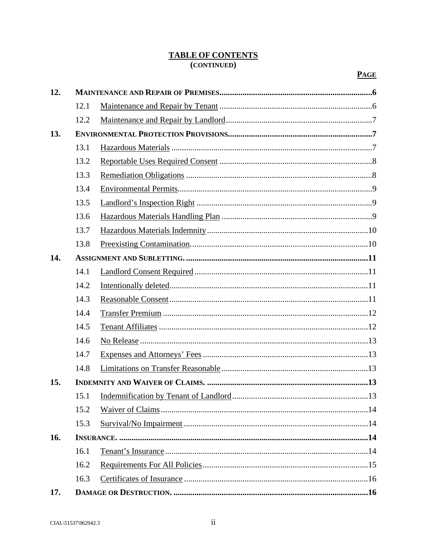## **TABLE OF CONTENTS** (CONTINUED)

| 12. |      |  |  |  |
|-----|------|--|--|--|
|     | 12.1 |  |  |  |
|     | 12.2 |  |  |  |
| 13. |      |  |  |  |
|     | 13.1 |  |  |  |
|     | 13.2 |  |  |  |
|     | 13.3 |  |  |  |
|     | 13.4 |  |  |  |
|     | 13.5 |  |  |  |
|     | 13.6 |  |  |  |
|     | 13.7 |  |  |  |
|     | 13.8 |  |  |  |
| 14. |      |  |  |  |
|     | 14.1 |  |  |  |
|     | 14.2 |  |  |  |
|     | 14.3 |  |  |  |
|     | 14.4 |  |  |  |
|     | 14.5 |  |  |  |
|     | 14.6 |  |  |  |
|     | 14.7 |  |  |  |
|     | 14.8 |  |  |  |
| 15. |      |  |  |  |
|     | 15.1 |  |  |  |
|     | 15.2 |  |  |  |
|     | 15.3 |  |  |  |
| 16. |      |  |  |  |
|     | 16.1 |  |  |  |
|     | 16.2 |  |  |  |
|     | 16.3 |  |  |  |
| 17. |      |  |  |  |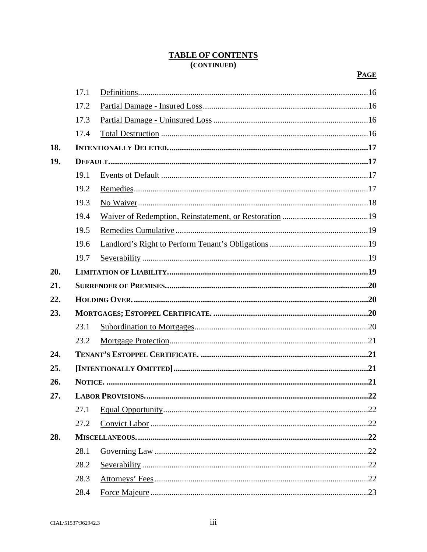## **TABLE OF CONTENTS** (CONTINUED)

|     | 17.1 |                         |     |
|-----|------|-------------------------|-----|
|     |      |                         |     |
|     | 17.2 |                         |     |
|     | 17.3 |                         |     |
|     | 17.4 |                         |     |
| 18. |      |                         |     |
| 19. |      |                         |     |
|     | 19.1 |                         |     |
|     | 19.2 |                         |     |
|     | 19.3 |                         |     |
|     | 19.4 |                         |     |
|     | 19.5 |                         |     |
|     | 19.6 |                         |     |
|     | 19.7 |                         |     |
| 20. |      |                         |     |
| 21. |      |                         |     |
| 22. |      |                         |     |
| 23. |      |                         |     |
|     | 23.1 |                         |     |
|     | 23.2 |                         |     |
| 24. |      |                         |     |
| 25. |      |                         |     |
| 26. |      |                         |     |
| 27. |      | <b>LABOR PROVISIONS</b> | .22 |
|     | 27.1 |                         |     |
|     | 27.2 |                         |     |
| 28. |      |                         |     |
|     | 28.1 |                         |     |
|     | 28.2 |                         |     |
|     | 28.3 |                         |     |
|     | 28.4 |                         |     |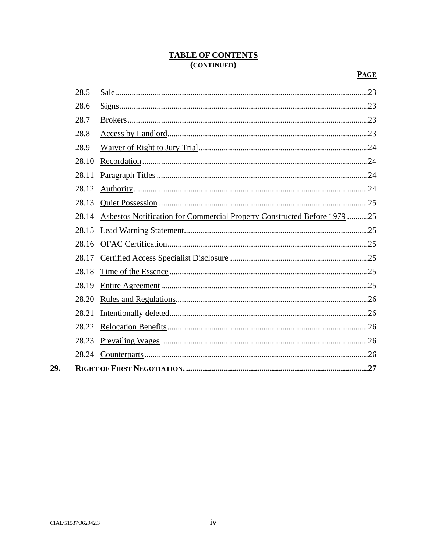## **TABLE OF CONTENTS** (CONTINUED)

| 28.5  |                                                                          | .23 |  |
|-------|--------------------------------------------------------------------------|-----|--|
| 28.6  |                                                                          |     |  |
| 28.7  |                                                                          |     |  |
| 28.8  |                                                                          |     |  |
| 28.9  |                                                                          |     |  |
| 28.10 |                                                                          |     |  |
| 28.11 |                                                                          |     |  |
| 28.12 |                                                                          |     |  |
| 28.13 |                                                                          |     |  |
| 28.14 | Asbestos Notification for Commercial Property Constructed Before 1979 25 |     |  |
| 28.15 |                                                                          |     |  |
| 28.16 |                                                                          |     |  |
| 28.17 |                                                                          |     |  |
| 28.18 |                                                                          |     |  |
| 28.19 |                                                                          |     |  |
| 28.20 |                                                                          |     |  |
| 28.21 |                                                                          |     |  |
| 28.22 |                                                                          |     |  |
| 28.23 |                                                                          |     |  |
| 28.24 |                                                                          |     |  |
| .27   |                                                                          |     |  |

29.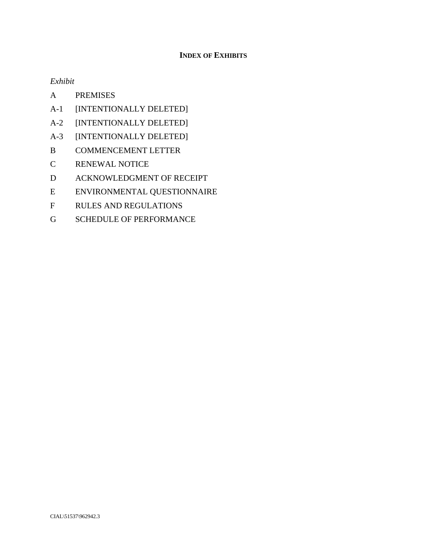## **INDEX OF EXHIBITS**

*Exhibit* 

- A PREMISES
- A-1 [INTENTIONALLY DELETED]
- A-2 [INTENTIONALLY DELETED]
- A-3 [INTENTIONALLY DELETED]
- B COMMENCEMENT LETTER
- C RENEWAL NOTICE
- D ACKNOWLEDGMENT OF RECEIPT
- E ENVIRONMENTAL QUESTIONNAIRE
- F RULES AND REGULATIONS
- G SCHEDULE OF PERFORMANCE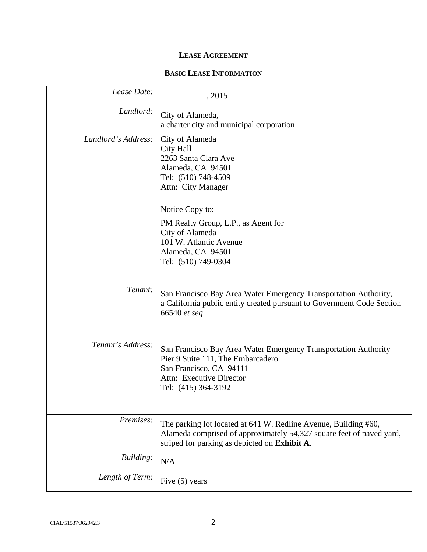## **LEASE AGREEMENT**

## **BASIC LEASE INFORMATION**

| Lease Date:         | , 2015                                                                                                                                                                                   |
|---------------------|------------------------------------------------------------------------------------------------------------------------------------------------------------------------------------------|
| Landlord:           | City of Alameda,<br>a charter city and municipal corporation                                                                                                                             |
| Landlord's Address: | City of Alameda<br><b>City Hall</b><br>2263 Santa Clara Ave<br>Alameda, CA 94501<br>Tel: (510) 748-4509<br>Attn: City Manager                                                            |
|                     | Notice Copy to:<br>PM Realty Group, L.P., as Agent for<br>City of Alameda<br>101 W. Atlantic Avenue<br>Alameda, CA 94501<br>Tel: (510) 749-0304                                          |
| Tenant:             | San Francisco Bay Area Water Emergency Transportation Authority,<br>a California public entity created pursuant to Government Code Section<br>66540 et seq.                              |
| Tenant's Address:   | San Francisco Bay Area Water Emergency Transportation Authority<br>Pier 9 Suite 111, The Embarcadero<br>San Francisco, CA 94111<br>Attn: Executive Director<br>Tel: (415) 364-3192       |
| Premises:           | The parking lot located at 641 W. Redline Avenue, Building #60,<br>Alameda comprised of approximately 54,327 square feet of paved yard,<br>striped for parking as depicted on Exhibit A. |
| Building:           | N/A                                                                                                                                                                                      |
| Length of Term:     | Five $(5)$ years                                                                                                                                                                         |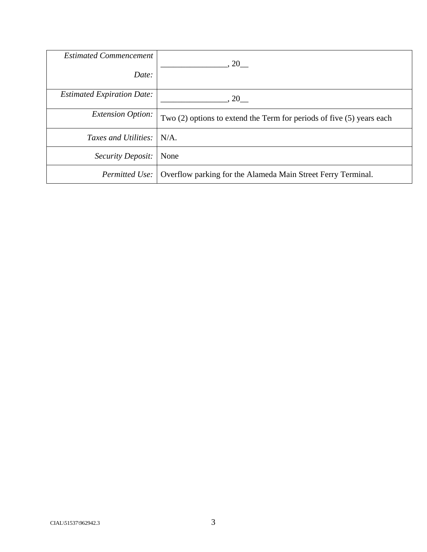| <b>Estimated Commencement</b><br>Date: | <b>20</b>                                                                 |
|----------------------------------------|---------------------------------------------------------------------------|
|                                        |                                                                           |
| <b>Estimated Expiration Date:</b>      | 20                                                                        |
| <i>Extension Option:</i>               | Two $(2)$ options to extend the Term for periods of five $(5)$ years each |
| Taxes and Utilities: N/A.              |                                                                           |
| Security Deposit:                      | None                                                                      |
| Permitted Use:                         | Overflow parking for the Alameda Main Street Ferry Terminal.              |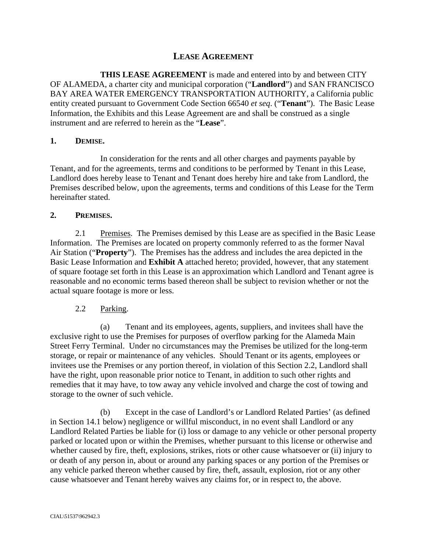## **LEASE AGREEMENT**

**THIS LEASE AGREEMENT** is made and entered into by and between CITY OF ALAMEDA, a charter city and municipal corporation ("**Landlord**") and SAN FRANCISCO BAY AREA WATER EMERGENCY TRANSPORTATION AUTHORITY, a California public entity created pursuant to Government Code Section 66540 *et seq*. ("**Tenant**"). The Basic Lease Information, the Exhibits and this Lease Agreement are and shall be construed as a single instrument and are referred to herein as the "**Lease**".

### **1. DEMISE.**

In consideration for the rents and all other charges and payments payable by Tenant, and for the agreements, terms and conditions to be performed by Tenant in this Lease, Landlord does hereby lease to Tenant and Tenant does hereby hire and take from Landlord, the Premises described below, upon the agreements, terms and conditions of this Lease for the Term hereinafter stated.

### **2. PREMISES.**

2.1 Premises. The Premises demised by this Lease are as specified in the Basic Lease Information. The Premises are located on property commonly referred to as the former Naval Air Station ("**Property**"). The Premises has the address and includes the area depicted in the Basic Lease Information and **Exhibit A** attached hereto; provided, however, that any statement of square footage set forth in this Lease is an approximation which Landlord and Tenant agree is reasonable and no economic terms based thereon shall be subject to revision whether or not the actual square footage is more or less.

## 2.2 Parking.

(a) Tenant and its employees, agents, suppliers, and invitees shall have the exclusive right to use the Premises for purposes of overflow parking for the Alameda Main Street Ferry Terminal. Under no circumstances may the Premises be utilized for the long-term storage, or repair or maintenance of any vehicles. Should Tenant or its agents, employees or invitees use the Premises or any portion thereof, in violation of this Section 2.2, Landlord shall have the right, upon reasonable prior notice to Tenant, in addition to such other rights and remedies that it may have, to tow away any vehicle involved and charge the cost of towing and storage to the owner of such vehicle.

(b) Except in the case of Landlord's or Landlord Related Parties' (as defined in Section 14.1 below) negligence or willful misconduct, in no event shall Landlord or any Landlord Related Parties be liable for (i) loss or damage to any vehicle or other personal property parked or located upon or within the Premises, whether pursuant to this license or otherwise and whether caused by fire, theft, explosions, strikes, riots or other cause whatsoever or (ii) injury to or death of any person in, about or around any parking spaces or any portion of the Premises or any vehicle parked thereon whether caused by fire, theft, assault, explosion, riot or any other cause whatsoever and Tenant hereby waives any claims for, or in respect to, the above.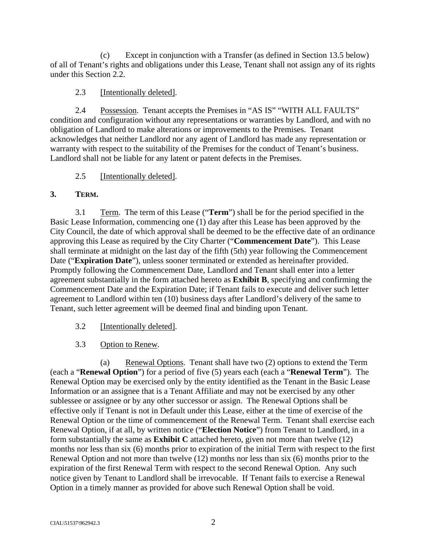(c) Except in conjunction with a Transfer (as defined in Section 13.5 below) of all of Tenant's rights and obligations under this Lease, Tenant shall not assign any of its rights under this Section 2.2.

## 2.3 [Intentionally deleted].

2.4 Possession. Tenant accepts the Premises in "AS IS" "WITH ALL FAULTS" condition and configuration without any representations or warranties by Landlord, and with no obligation of Landlord to make alterations or improvements to the Premises. Tenant acknowledges that neither Landlord nor any agent of Landlord has made any representation or warranty with respect to the suitability of the Premises for the conduct of Tenant's business. Landlord shall not be liable for any latent or patent defects in the Premises.

## 2.5 [Intentionally deleted].

## **3. TERM.**

3.1 Term. The term of this Lease ("**Term**") shall be for the period specified in the Basic Lease Information, commencing one (1) day after this Lease has been approved by the City Council, the date of which approval shall be deemed to be the effective date of an ordinance approving this Lease as required by the City Charter ("**Commencement Date**"). This Lease shall terminate at midnight on the last day of the fifth (5th) year following the Commencement Date ("**Expiration Date**"), unless sooner terminated or extended as hereinafter provided. Promptly following the Commencement Date, Landlord and Tenant shall enter into a letter agreement substantially in the form attached hereto as **Exhibit B**, specifying and confirming the Commencement Date and the Expiration Date; if Tenant fails to execute and deliver such letter agreement to Landlord within ten (10) business days after Landlord's delivery of the same to Tenant, such letter agreement will be deemed final and binding upon Tenant.

- 3.2 [Intentionally deleted].
- 3.3 Option to Renew.

(a) Renewal Options. Tenant shall have two (2) options to extend the Term (each a "**Renewal Option**") for a period of five (5) years each (each a "**Renewal Term**"). The Renewal Option may be exercised only by the entity identified as the Tenant in the Basic Lease Information or an assignee that is a Tenant Affiliate and may not be exercised by any other sublessee or assignee or by any other successor or assign. The Renewal Options shall be effective only if Tenant is not in Default under this Lease, either at the time of exercise of the Renewal Option or the time of commencement of the Renewal Term. Tenant shall exercise each Renewal Option, if at all, by written notice ("**Election Notice**") from Tenant to Landlord, in a form substantially the same as **Exhibit C** attached hereto, given not more than twelve (12) months nor less than six (6) months prior to expiration of the initial Term with respect to the first Renewal Option and not more than twelve (12) months nor less than six (6) months prior to the expiration of the first Renewal Term with respect to the second Renewal Option. Any such notice given by Tenant to Landlord shall be irrevocable. If Tenant fails to exercise a Renewal Option in a timely manner as provided for above such Renewal Option shall be void.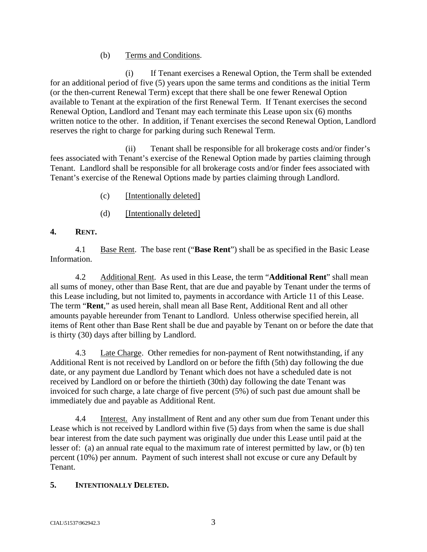## (b) Terms and Conditions.

 (i) If Tenant exercises a Renewal Option, the Term shall be extended for an additional period of five (5) years upon the same terms and conditions as the initial Term (or the then-current Renewal Term) except that there shall be one fewer Renewal Option available to Tenant at the expiration of the first Renewal Term. If Tenant exercises the second Renewal Option, Landlord and Tenant may each terminate this Lease upon six (6) months written notice to the other. In addition, if Tenant exercises the second Renewal Option, Landlord reserves the right to charge for parking during such Renewal Term.

 (ii) Tenant shall be responsible for all brokerage costs and/or finder's fees associated with Tenant's exercise of the Renewal Option made by parties claiming through Tenant. Landlord shall be responsible for all brokerage costs and/or finder fees associated with Tenant's exercise of the Renewal Options made by parties claiming through Landlord.

- (c) [Intentionally deleted]
- (d) [Intentionally deleted]

## **4. RENT.**

4.1 Base Rent. The base rent ("**Base Rent**") shall be as specified in the Basic Lease Information.

4.2 Additional Rent. As used in this Lease, the term "**Additional Rent**" shall mean all sums of money, other than Base Rent, that are due and payable by Tenant under the terms of this Lease including, but not limited to, payments in accordance with Article 11 of this Lease. The term "**Rent**," as used herein, shall mean all Base Rent, Additional Rent and all other amounts payable hereunder from Tenant to Landlord. Unless otherwise specified herein, all items of Rent other than Base Rent shall be due and payable by Tenant on or before the date that is thirty (30) days after billing by Landlord.

4.3 Late Charge. Other remedies for non-payment of Rent notwithstanding, if any Additional Rent is not received by Landlord on or before the fifth (5th) day following the due date, or any payment due Landlord by Tenant which does not have a scheduled date is not received by Landlord on or before the thirtieth (30th) day following the date Tenant was invoiced for such charge, a late charge of five percent (5%) of such past due amount shall be immediately due and payable as Additional Rent.

4.4 Interest. Any installment of Rent and any other sum due from Tenant under this Lease which is not received by Landlord within five (5) days from when the same is due shall bear interest from the date such payment was originally due under this Lease until paid at the lesser of: (a) an annual rate equal to the maximum rate of interest permitted by law, or (b) ten percent (10%) per annum. Payment of such interest shall not excuse or cure any Default by Tenant.

## **5. INTENTIONALLY DELETED.**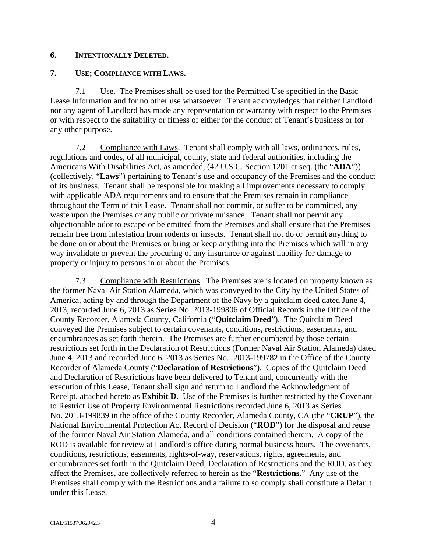### **6. INTENTIONALLY DELETED.**

## **7. USE; COMPLIANCE WITH LAWS.**

7.1 Use. The Premises shall be used for the Permitted Use specified in the Basic Lease Information and for no other use whatsoever. Tenant acknowledges that neither Landlord nor any agent of Landlord has made any representation or warranty with respect to the Premises or with respect to the suitability or fitness of either for the conduct of Tenant's business or for any other purpose.

7.2 Compliance with Laws. Tenant shall comply with all laws, ordinances, rules, regulations and codes, of all municipal, county, state and federal authorities, including the Americans With Disabilities Act, as amended, (42 U.S.C. Section 1201 et seq. (the "**ADA**")) (collectively, "**Laws**") pertaining to Tenant's use and occupancy of the Premises and the conduct of its business. Tenant shall be responsible for making all improvements necessary to comply with applicable ADA requirements and to ensure that the Premises remain in compliance throughout the Term of this Lease. Tenant shall not commit, or suffer to be committed, any waste upon the Premises or any public or private nuisance. Tenant shall not permit any objectionable odor to escape or be emitted from the Premises and shall ensure that the Premises remain free from infestation from rodents or insects. Tenant shall not do or permit anything to be done on or about the Premises or bring or keep anything into the Premises which will in any way invalidate or prevent the procuring of any insurance or against liability for damage to property or injury to persons in or about the Premises.

7.3 Compliance with Restrictions. The Premises are is located on property known as the former Naval Air Station Alameda, which was conveyed to the City by the United States of America, acting by and through the Department of the Navy by a quitclaim deed dated June 4, 2013, recorded June 6, 2013 as Series No. 2013-199806 of Official Records in the Office of the County Recorder, Alameda County, California ("**Quitclaim Deed**"). The Quitclaim Deed conveyed the Premises subject to certain covenants, conditions, restrictions, easements, and encumbrances as set forth therein. The Premises are further encumbered by those certain restrictions set forth in the Declaration of Restrictions (Former Naval Air Station Alameda) dated June 4, 2013 and recorded June 6, 2013 as Series No.: 2013-199782 in the Office of the County Recorder of Alameda County ("**Declaration of Restrictions**"). Copies of the Quitclaim Deed and Declaration of Restrictions have been delivered to Tenant and, concurrently with the execution of this Lease, Tenant shall sign and return to Landlord the Acknowledgment of Receipt, attached hereto as **Exhibit D**. Use of the Premises is further restricted by the Covenant to Restrict Use of Property Environmental Restrictions recorded June 6, 2013 as Series No. 2013-199839 in the office of the County Recorder, Alameda County, CA (the "**CRUP**"), the National Environmental Protection Act Record of Decision ("**ROD**") for the disposal and reuse of the former Naval Air Station Alameda, and all conditions contained therein. A copy of the ROD is available for review at Landlord's office during normal business hours. The covenants, conditions, restrictions, easements, rights-of-way, reservations, rights, agreements, and encumbrances set forth in the Quitclaim Deed, Declaration of Restrictions and the ROD, as they affect the Premises, are collectively referred to herein as the "**Restrictions**." Any use of the Premises shall comply with the Restrictions and a failure to so comply shall constitute a Default under this Lease.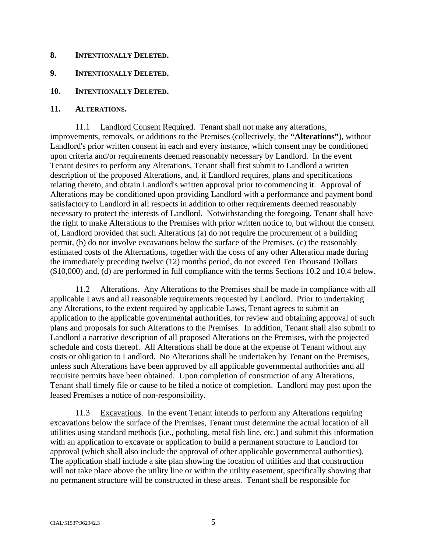#### **8. INTENTIONALLY DELETED.**

## **9. INTENTIONALLY DELETED.**

#### **10. INTENTIONALLY DELETED.**

#### **11. ALTERATIONS.**

11.1 Landlord Consent Required. Tenant shall not make any alterations, improvements, removals, or additions to the Premises (collectively, the **"Alterations"**), without Landlord's prior written consent in each and every instance, which consent may be conditioned upon criteria and/or requirements deemed reasonably necessary by Landlord. In the event Tenant desires to perform any Alterations, Tenant shall first submit to Landlord a written description of the proposed Alterations, and, if Landlord requires, plans and specifications relating thereto, and obtain Landlord's written approval prior to commencing it. Approval of Alterations may be conditioned upon providing Landlord with a performance and payment bond satisfactory to Landlord in all respects in addition to other requirements deemed reasonably necessary to protect the interests of Landlord. Notwithstanding the foregoing, Tenant shall have the right to make Alterations to the Premises with prior written notice to, but without the consent of, Landlord provided that such Alterations (a) do not require the procurement of a building permit, (b) do not involve excavations below the surface of the Premises, (c) the reasonably estimated costs of the Alternations, together with the costs of any other Alteration made during the immediately preceding twelve (12) months period, do not exceed Ten Thousand Dollars (\$10,000) and, (d) are performed in full compliance with the terms Sections 10.2 and 10.4 below.

11.2 Alterations. Any Alterations to the Premises shall be made in compliance with all applicable Laws and all reasonable requirements requested by Landlord. Prior to undertaking any Alterations, to the extent required by applicable Laws, Tenant agrees to submit an application to the applicable governmental authorities, for review and obtaining approval of such plans and proposals for such Alterations to the Premises. In addition, Tenant shall also submit to Landlord a narrative description of all proposed Alterations on the Premises, with the projected schedule and costs thereof. All Alterations shall be done at the expense of Tenant without any costs or obligation to Landlord. No Alterations shall be undertaken by Tenant on the Premises, unless such Alterations have been approved by all applicable governmental authorities and all requisite permits have been obtained. Upon completion of construction of any Alterations, Tenant shall timely file or cause to be filed a notice of completion. Landlord may post upon the leased Premises a notice of non-responsibility.

11.3 Excavations. In the event Tenant intends to perform any Alterations requiring excavations below the surface of the Premises, Tenant must determine the actual location of all utilities using standard methods (i.e., potholing, metal fish line, etc.) and submit this information with an application to excavate or application to build a permanent structure to Landlord for approval (which shall also include the approval of other applicable governmental authorities). The application shall include a site plan showing the location of utilities and that construction will not take place above the utility line or within the utility easement, specifically showing that no permanent structure will be constructed in these areas. Tenant shall be responsible for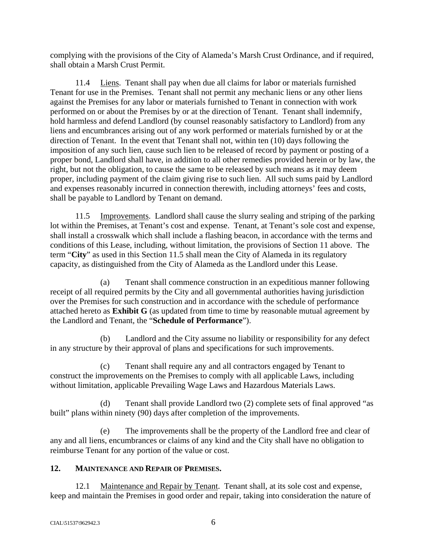complying with the provisions of the City of Alameda's Marsh Crust Ordinance, and if required, shall obtain a Marsh Crust Permit.

11.4 Liens. Tenant shall pay when due all claims for labor or materials furnished Tenant for use in the Premises. Tenant shall not permit any mechanic liens or any other liens against the Premises for any labor or materials furnished to Tenant in connection with work performed on or about the Premises by or at the direction of Tenant. Tenant shall indemnify, hold harmless and defend Landlord (by counsel reasonably satisfactory to Landlord) from any liens and encumbrances arising out of any work performed or materials furnished by or at the direction of Tenant. In the event that Tenant shall not, within ten (10) days following the imposition of any such lien, cause such lien to be released of record by payment or posting of a proper bond, Landlord shall have, in addition to all other remedies provided herein or by law, the right, but not the obligation, to cause the same to be released by such means as it may deem proper, including payment of the claim giving rise to such lien. All such sums paid by Landlord and expenses reasonably incurred in connection therewith, including attorneys' fees and costs, shall be payable to Landlord by Tenant on demand.

11.5 Improvements. Landlord shall cause the slurry sealing and striping of the parking lot within the Premises, at Tenant's cost and expense. Tenant, at Tenant's sole cost and expense, shall install a crosswalk which shall include a flashing beacon, in accordance with the terms and conditions of this Lease, including, without limitation, the provisions of Section 11 above. The term "**City**" as used in this Section 11.5 shall mean the City of Alameda in its regulatory capacity, as distinguished from the City of Alameda as the Landlord under this Lease.

(a) Tenant shall commence construction in an expeditious manner following receipt of all required permits by the City and all governmental authorities having jurisdiction over the Premises for such construction and in accordance with the schedule of performance attached hereto as **Exhibit G** (as updated from time to time by reasonable mutual agreement by the Landlord and Tenant, the "**Schedule of Performance**").

(b) Landlord and the City assume no liability or responsibility for any defect in any structure by their approval of plans and specifications for such improvements.

(c) Tenant shall require any and all contractors engaged by Tenant to construct the improvements on the Premises to comply with all applicable Laws, including without limitation, applicable Prevailing Wage Laws and Hazardous Materials Laws.

(d) Tenant shall provide Landlord two (2) complete sets of final approved "as built" plans within ninety (90) days after completion of the improvements.

(e) The improvements shall be the property of the Landlord free and clear of any and all liens, encumbrances or claims of any kind and the City shall have no obligation to reimburse Tenant for any portion of the value or cost.

## **12. MAINTENANCE AND REPAIR OF PREMISES.**

12.1 Maintenance and Repair by Tenant. Tenant shall, at its sole cost and expense, keep and maintain the Premises in good order and repair, taking into consideration the nature of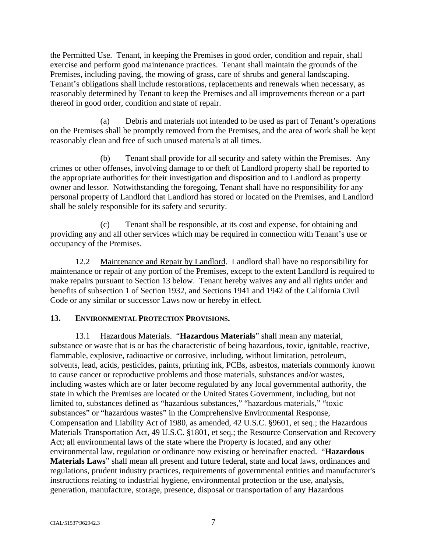the Permitted Use. Tenant, in keeping the Premises in good order, condition and repair, shall exercise and perform good maintenance practices. Tenant shall maintain the grounds of the Premises, including paving, the mowing of grass, care of shrubs and general landscaping. Tenant's obligations shall include restorations, replacements and renewals when necessary, as reasonably determined by Tenant to keep the Premises and all improvements thereon or a part thereof in good order, condition and state of repair.

(a) Debris and materials not intended to be used as part of Tenant's operations on the Premises shall be promptly removed from the Premises, and the area of work shall be kept reasonably clean and free of such unused materials at all times.

(b) Tenant shall provide for all security and safety within the Premises. Any crimes or other offenses, involving damage to or theft of Landlord property shall be reported to the appropriate authorities for their investigation and disposition and to Landlord as property owner and lessor. Notwithstanding the foregoing, Tenant shall have no responsibility for any personal property of Landlord that Landlord has stored or located on the Premises, and Landlord shall be solely responsible for its safety and security.

(c) Tenant shall be responsible, at its cost and expense, for obtaining and providing any and all other services which may be required in connection with Tenant's use or occupancy of the Premises.

12.2 Maintenance and Repair by Landlord. Landlord shall have no responsibility for maintenance or repair of any portion of the Premises, except to the extent Landlord is required to make repairs pursuant to Section 13 below. Tenant hereby waives any and all rights under and benefits of subsection 1 of Section 1932, and Sections 1941 and 1942 of the California Civil Code or any similar or successor Laws now or hereby in effect.

## **13. ENVIRONMENTAL PROTECTION PROVISIONS.**

13.1 Hazardous Materials. "**Hazardous Materials**" shall mean any material, substance or waste that is or has the characteristic of being hazardous, toxic, ignitable, reactive, flammable, explosive, radioactive or corrosive, including, without limitation, petroleum, solvents, lead, acids, pesticides, paints, printing ink, PCBs, asbestos, materials commonly known to cause cancer or reproductive problems and those materials, substances and/or wastes, including wastes which are or later become regulated by any local governmental authority, the state in which the Premises are located or the United States Government, including, but not limited to, substances defined as "hazardous substances," "hazardous materials," "toxic substances" or "hazardous wastes" in the Comprehensive Environmental Response, Compensation and Liability Act of 1980, as amended, 42 U.S.C. §9601, et seq.; the Hazardous Materials Transportation Act, 49 U.S.C. §1801, et seq.; the Resource Conservation and Recovery Act; all environmental laws of the state where the Property is located, and any other environmental law, regulation or ordinance now existing or hereinafter enacted. "**Hazardous Materials Laws**" shall mean all present and future federal, state and local laws, ordinances and regulations, prudent industry practices, requirements of governmental entities and manufacturer's instructions relating to industrial hygiene, environmental protection or the use, analysis, generation, manufacture, storage, presence, disposal or transportation of any Hazardous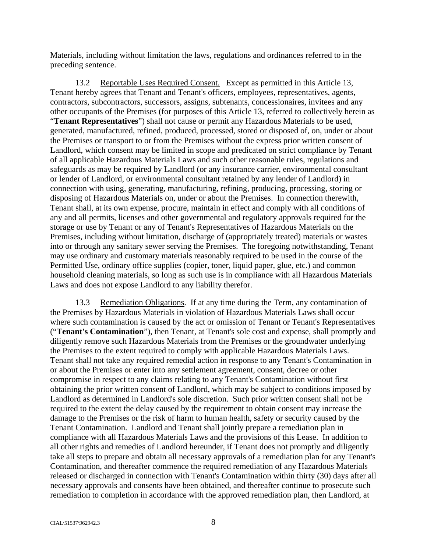Materials, including without limitation the laws, regulations and ordinances referred to in the preceding sentence.

13.2 Reportable Uses Required Consent. Except as permitted in this Article 13, Tenant hereby agrees that Tenant and Tenant's officers, employees, representatives, agents, contractors, subcontractors, successors, assigns, subtenants, concessionaires, invitees and any other occupants of the Premises (for purposes of this Article 13, referred to collectively herein as "**Tenant Representatives**") shall not cause or permit any Hazardous Materials to be used, generated, manufactured, refined, produced, processed, stored or disposed of, on, under or about the Premises or transport to or from the Premises without the express prior written consent of Landlord, which consent may be limited in scope and predicated on strict compliance by Tenant of all applicable Hazardous Materials Laws and such other reasonable rules, regulations and safeguards as may be required by Landlord (or any insurance carrier, environmental consultant or lender of Landlord, or environmental consultant retained by any lender of Landlord) in connection with using, generating, manufacturing, refining, producing, processing, storing or disposing of Hazardous Materials on, under or about the Premises. In connection therewith, Tenant shall, at its own expense, procure, maintain in effect and comply with all conditions of any and all permits, licenses and other governmental and regulatory approvals required for the storage or use by Tenant or any of Tenant's Representatives of Hazardous Materials on the Premises, including without limitation, discharge of (appropriately treated) materials or wastes into or through any sanitary sewer serving the Premises. The foregoing notwithstanding, Tenant may use ordinary and customary materials reasonably required to be used in the course of the Permitted Use, ordinary office supplies (copier, toner, liquid paper, glue, etc.) and common household cleaning materials, so long as such use is in compliance with all Hazardous Materials Laws and does not expose Landlord to any liability therefor.

13.3 Remediation Obligations. If at any time during the Term, any contamination of the Premises by Hazardous Materials in violation of Hazardous Materials Laws shall occur where such contamination is caused by the act or omission of Tenant or Tenant's Representatives ("**Tenant's Contamination**"), then Tenant, at Tenant's sole cost and expense, shall promptly and diligently remove such Hazardous Materials from the Premises or the groundwater underlying the Premises to the extent required to comply with applicable Hazardous Materials Laws. Tenant shall not take any required remedial action in response to any Tenant's Contamination in or about the Premises or enter into any settlement agreement, consent, decree or other compromise in respect to any claims relating to any Tenant's Contamination without first obtaining the prior written consent of Landlord, which may be subject to conditions imposed by Landlord as determined in Landlord's sole discretion. Such prior written consent shall not be required to the extent the delay caused by the requirement to obtain consent may increase the damage to the Premises or the risk of harm to human health, safety or security caused by the Tenant Contamination. Landlord and Tenant shall jointly prepare a remediation plan in compliance with all Hazardous Materials Laws and the provisions of this Lease. In addition to all other rights and remedies of Landlord hereunder, if Tenant does not promptly and diligently take all steps to prepare and obtain all necessary approvals of a remediation plan for any Tenant's Contamination, and thereafter commence the required remediation of any Hazardous Materials released or discharged in connection with Tenant's Contamination within thirty (30) days after all necessary approvals and consents have been obtained, and thereafter continue to prosecute such remediation to completion in accordance with the approved remediation plan, then Landlord, at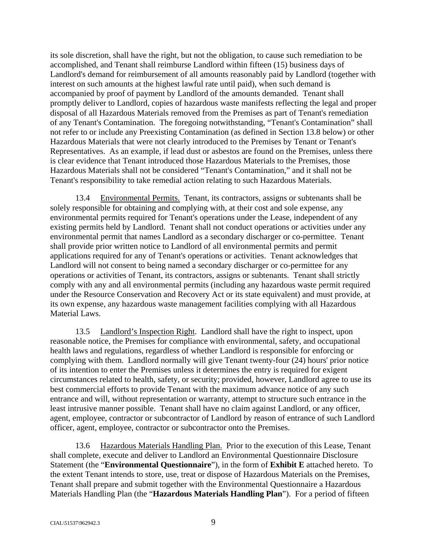its sole discretion, shall have the right, but not the obligation, to cause such remediation to be accomplished, and Tenant shall reimburse Landlord within fifteen (15) business days of Landlord's demand for reimbursement of all amounts reasonably paid by Landlord (together with interest on such amounts at the highest lawful rate until paid), when such demand is accompanied by proof of payment by Landlord of the amounts demanded. Tenant shall promptly deliver to Landlord, copies of hazardous waste manifests reflecting the legal and proper disposal of all Hazardous Materials removed from the Premises as part of Tenant's remediation of any Tenant's Contamination. The foregoing notwithstanding, "Tenant's Contamination" shall not refer to or include any Preexisting Contamination (as defined in Section 13.8 below) or other Hazardous Materials that were not clearly introduced to the Premises by Tenant or Tenant's Representatives. As an example, if lead dust or asbestos are found on the Premises, unless there is clear evidence that Tenant introduced those Hazardous Materials to the Premises, those Hazardous Materials shall not be considered "Tenant's Contamination," and it shall not be Tenant's responsibility to take remedial action relating to such Hazardous Materials.

13.4 Environmental Permits. Tenant, its contractors, assigns or subtenants shall be solely responsible for obtaining and complying with, at their cost and sole expense, any environmental permits required for Tenant's operations under the Lease, independent of any existing permits held by Landlord. Tenant shall not conduct operations or activities under any environmental permit that names Landlord as a secondary discharger or co-permittee. Tenant shall provide prior written notice to Landlord of all environmental permits and permit applications required for any of Tenant's operations or activities. Tenant acknowledges that Landlord will not consent to being named a secondary discharger or co-permittee for any operations or activities of Tenant, its contractors, assigns or subtenants. Tenant shall strictly comply with any and all environmental permits (including any hazardous waste permit required under the Resource Conservation and Recovery Act or its state equivalent) and must provide, at its own expense, any hazardous waste management facilities complying with all Hazardous Material Laws.

13.5 Landlord's Inspection Right. Landlord shall have the right to inspect, upon reasonable notice, the Premises for compliance with environmental, safety, and occupational health laws and regulations, regardless of whether Landlord is responsible for enforcing or complying with them. Landlord normally will give Tenant twenty-four (24) hours' prior notice of its intention to enter the Premises unless it determines the entry is required for exigent circumstances related to health, safety, or security; provided, however, Landlord agree to use its best commercial efforts to provide Tenant with the maximum advance notice of any such entrance and will, without representation or warranty, attempt to structure such entrance in the least intrusive manner possible. Tenant shall have no claim against Landlord, or any officer, agent, employee, contractor or subcontractor of Landlord by reason of entrance of such Landlord officer, agent, employee, contractor or subcontractor onto the Premises.

13.6 Hazardous Materials Handling Plan. Prior to the execution of this Lease, Tenant shall complete, execute and deliver to Landlord an Environmental Questionnaire Disclosure Statement (the "**Environmental Questionnaire**"), in the form of **Exhibit E** attached hereto. To the extent Tenant intends to store, use, treat or dispose of Hazardous Materials on the Premises, Tenant shall prepare and submit together with the Environmental Questionnaire a Hazardous Materials Handling Plan (the "**Hazardous Materials Handling Plan**"). For a period of fifteen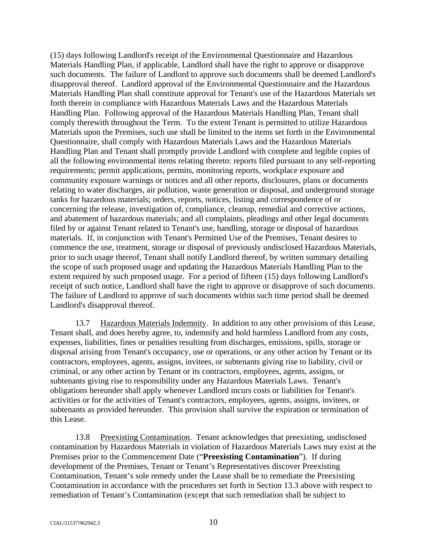(15) days following Landlord's receipt of the Environmental Questionnaire and Hazardous Materials Handling Plan, if applicable, Landlord shall have the right to approve or disapprove such documents. The failure of Landlord to approve such documents shall be deemed Landlord's disapproval thereof. Landlord approval of the Environmental Questionnaire and the Hazardous Materials Handling Plan shall constitute approval for Tenant's use of the Hazardous Materials set forth therein in compliance with Hazardous Materials Laws and the Hazardous Materials Handling Plan. Following approval of the Hazardous Materials Handling Plan, Tenant shall comply therewith throughout the Term. To the extent Tenant is permitted to utilize Hazardous Materials upon the Premises, such use shall be limited to the items set forth in the Environmental Questionnaire, shall comply with Hazardous Materials Laws and the Hazardous Materials Handling Plan and Tenant shall promptly provide Landlord with complete and legible copies of all the following environmental items relating thereto: reports filed pursuant to any self-reporting requirements; permit applications, permits, monitoring reports, workplace exposure and community exposure warnings or notices and all other reports, disclosures, plans or documents relating to water discharges, air pollution, waste generation or disposal, and underground storage tanks for hazardous materials; orders, reports, notices, listing and correspondence of or concerning the release, investigation of, compliance, cleanup, remedial and corrective actions, and abatement of hazardous materials; and all complaints, pleadings and other legal documents filed by or against Tenant related to Tenant's use, handling, storage or disposal of hazardous materials. If, in conjunction with Tenant's Permitted Use of the Premises, Tenant desires to commence the use, treatment, storage or disposal of previously undisclosed Hazardous Materials, prior to such usage thereof, Tenant shall notify Landlord thereof, by written summary detailing the scope of such proposed usage and updating the Hazardous Materials Handling Plan to the extent required by such proposed usage. For a period of fifteen (15) days following Landlord's receipt of such notice, Landlord shall have the right to approve or disapprove of such documents. The failure of Landlord to approve of such documents within such time period shall be deemed Landlord's disapproval thereof.

13.7 Hazardous Materials Indemnity. In addition to any other provisions of this Lease, Tenant shall, and does hereby agree, to, indemnify and hold harmless Landlord from any costs, expenses, liabilities, fines or penalties resulting from discharges, emissions, spills, storage or disposal arising from Tenant's occupancy, use or operations, or any other action by Tenant or its contractors, employees, agents, assigns, invitees, or subtenants giving rise to liability, civil or criminal, or any other action by Tenant or its contractors, employees, agents, assigns, or subtenants giving rise to responsibility under any Hazardous Materials Laws. Tenant's obligations hereunder shall apply whenever Landlord incurs costs or liabilities for Tenant's activities or for the activities of Tenant's contractors, employees, agents, assigns, invitees, or subtenants as provided hereunder. This provision shall survive the expiration or termination of this Lease.

13.8 Preexisting Contamination. Tenant acknowledges that preexisting, undisclosed contamination by Hazardous Materials in violation of Hazardous Materials Laws may exist at the Premises prior to the Commencement Date ("**Preexisting Contamination**"). If during development of the Premises, Tenant or Tenant's Representatives discover Preexisting Contamination, Tenant's sole remedy under the Lease shall be to remediate the Preexisting Contamination in accordance with the procedures set forth in Section 13.3 above with respect to remediation of Tenant's Contamination (except that such remediation shall be subject to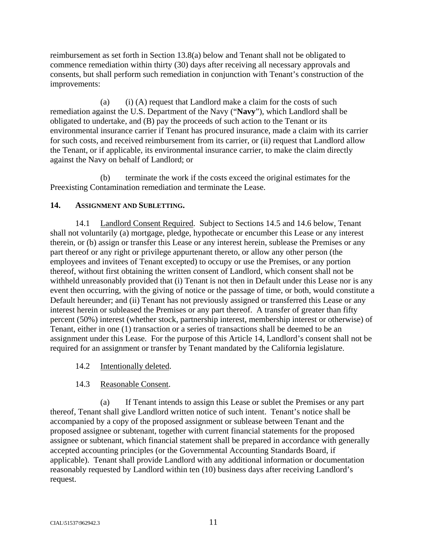reimbursement as set forth in Section 13.8(a) below and Tenant shall not be obligated to commence remediation within thirty (30) days after receiving all necessary approvals and consents, but shall perform such remediation in conjunction with Tenant's construction of the improvements:

(a) (i) (A) request that Landlord make a claim for the costs of such remediation against the U.S. Department of the Navy ("**Navy**"), which Landlord shall be obligated to undertake, and (B) pay the proceeds of such action to the Tenant or its environmental insurance carrier if Tenant has procured insurance, made a claim with its carrier for such costs, and received reimbursement from its carrier, or (ii) request that Landlord allow the Tenant, or if applicable, its environmental insurance carrier, to make the claim directly against the Navy on behalf of Landlord; or

(b) terminate the work if the costs exceed the original estimates for the Preexisting Contamination remediation and terminate the Lease.

## **14. ASSIGNMENT AND SUBLETTING.**

14.1 Landlord Consent Required. Subject to Sections 14.5 and 14.6 below, Tenant shall not voluntarily (a) mortgage, pledge, hypothecate or encumber this Lease or any interest therein, or (b) assign or transfer this Lease or any interest herein, sublease the Premises or any part thereof or any right or privilege appurtenant thereto, or allow any other person (the employees and invitees of Tenant excepted) to occupy or use the Premises, or any portion thereof, without first obtaining the written consent of Landlord, which consent shall not be withheld unreasonably provided that (i) Tenant is not then in Default under this Lease nor is any event then occurring, with the giving of notice or the passage of time, or both, would constitute a Default hereunder; and (ii) Tenant has not previously assigned or transferred this Lease or any interest herein or subleased the Premises or any part thereof. A transfer of greater than fifty percent (50%) interest (whether stock, partnership interest, membership interest or otherwise) of Tenant, either in one (1) transaction or a series of transactions shall be deemed to be an assignment under this Lease. For the purpose of this Article 14, Landlord's consent shall not be required for an assignment or transfer by Tenant mandated by the California legislature.

14.2 Intentionally deleted.

## 14.3 Reasonable Consent.

(a) If Tenant intends to assign this Lease or sublet the Premises or any part thereof, Tenant shall give Landlord written notice of such intent. Tenant's notice shall be accompanied by a copy of the proposed assignment or sublease between Tenant and the proposed assignee or subtenant, together with current financial statements for the proposed assignee or subtenant, which financial statement shall be prepared in accordance with generally accepted accounting principles (or the Governmental Accounting Standards Board, if applicable). Tenant shall provide Landlord with any additional information or documentation reasonably requested by Landlord within ten (10) business days after receiving Landlord's request.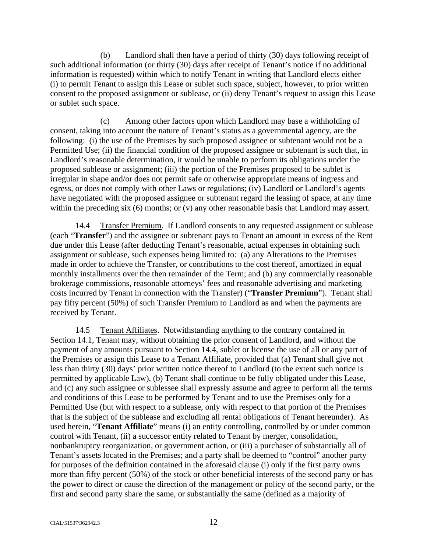(b) Landlord shall then have a period of thirty (30) days following receipt of such additional information (or thirty (30) days after receipt of Tenant's notice if no additional information is requested) within which to notify Tenant in writing that Landlord elects either (i) to permit Tenant to assign this Lease or sublet such space, subject, however, to prior written consent to the proposed assignment or sublease, or (ii) deny Tenant's request to assign this Lease or sublet such space.

(c) Among other factors upon which Landlord may base a withholding of consent, taking into account the nature of Tenant's status as a governmental agency, are the following: (i) the use of the Premises by such proposed assignee or subtenant would not be a Permitted Use; (ii) the financial condition of the proposed assignee or subtenant is such that, in Landlord's reasonable determination, it would be unable to perform its obligations under the proposed sublease or assignment; (iii) the portion of the Premises proposed to be sublet is irregular in shape and/or does not permit safe or otherwise appropriate means of ingress and egress, or does not comply with other Laws or regulations; (iv) Landlord or Landlord's agents have negotiated with the proposed assignee or subtenant regard the leasing of space, at any time within the preceding six (6) months; or (v) any other reasonable basis that Landlord may assert.

14.4 Transfer Premium. If Landlord consents to any requested assignment or sublease (each "**Transfer**") and the assignee or subtenant pays to Tenant an amount in excess of the Rent due under this Lease (after deducting Tenant's reasonable, actual expenses in obtaining such assignment or sublease, such expenses being limited to: (a) any Alterations to the Premises made in order to achieve the Transfer, or contributions to the cost thereof, amortized in equal monthly installments over the then remainder of the Term; and (b) any commercially reasonable brokerage commissions, reasonable attorneys' fees and reasonable advertising and marketing costs incurred by Tenant in connection with the Transfer) ("**Transfer Premium**"). Tenant shall pay fifty percent (50%) of such Transfer Premium to Landlord as and when the payments are received by Tenant.

14.5 Tenant Affiliates. Notwithstanding anything to the contrary contained in Section 14.1, Tenant may, without obtaining the prior consent of Landlord, and without the payment of any amounts pursuant to Section 14.4, sublet or license the use of all or any part of the Premises or assign this Lease to a Tenant Affiliate, provided that (a) Tenant shall give not less than thirty (30) days' prior written notice thereof to Landlord (to the extent such notice is permitted by applicable Law), (b) Tenant shall continue to be fully obligated under this Lease, and (c) any such assignee or sublessee shall expressly assume and agree to perform all the terms and conditions of this Lease to be performed by Tenant and to use the Premises only for a Permitted Use (but with respect to a sublease, only with respect to that portion of the Premises that is the subject of the sublease and excluding all rental obligations of Tenant hereunder). As used herein, "**Tenant Affiliate**" means (i) an entity controlling, controlled by or under common control with Tenant, (ii) a successor entity related to Tenant by merger, consolidation, nonbankruptcy reorganization, or government action, or (iii) a purchaser of substantially all of Tenant's assets located in the Premises; and a party shall be deemed to "control" another party for purposes of the definition contained in the aforesaid clause (i) only if the first party owns more than fifty percent (50%) of the stock or other beneficial interests of the second party or has the power to direct or cause the direction of the management or policy of the second party, or the first and second party share the same, or substantially the same (defined as a majority of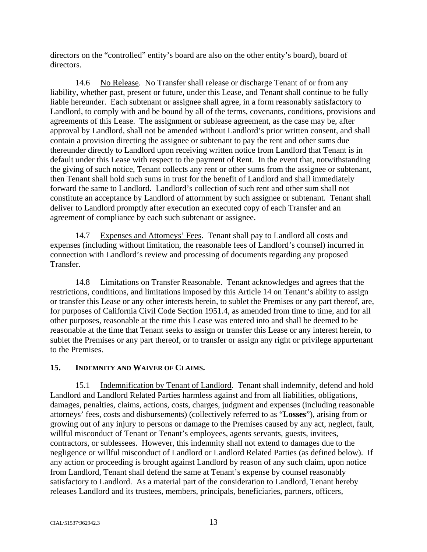directors on the "controlled" entity's board are also on the other entity's board), board of directors.

14.6 No Release. No Transfer shall release or discharge Tenant of or from any liability, whether past, present or future, under this Lease, and Tenant shall continue to be fully liable hereunder. Each subtenant or assignee shall agree, in a form reasonably satisfactory to Landlord, to comply with and be bound by all of the terms, covenants, conditions, provisions and agreements of this Lease. The assignment or sublease agreement, as the case may be, after approval by Landlord, shall not be amended without Landlord's prior written consent, and shall contain a provision directing the assignee or subtenant to pay the rent and other sums due thereunder directly to Landlord upon receiving written notice from Landlord that Tenant is in default under this Lease with respect to the payment of Rent. In the event that, notwithstanding the giving of such notice, Tenant collects any rent or other sums from the assignee or subtenant, then Tenant shall hold such sums in trust for the benefit of Landlord and shall immediately forward the same to Landlord. Landlord's collection of such rent and other sum shall not constitute an acceptance by Landlord of attornment by such assignee or subtenant. Tenant shall deliver to Landlord promptly after execution an executed copy of each Transfer and an agreement of compliance by each such subtenant or assignee.

14.7 Expenses and Attorneys' Fees. Tenant shall pay to Landlord all costs and expenses (including without limitation, the reasonable fees of Landlord's counsel) incurred in connection with Landlord's review and processing of documents regarding any proposed Transfer.

14.8 Limitations on Transfer Reasonable. Tenant acknowledges and agrees that the restrictions, conditions, and limitations imposed by this Article 14 on Tenant's ability to assign or transfer this Lease or any other interests herein, to sublet the Premises or any part thereof, are, for purposes of California Civil Code Section 1951.4, as amended from time to time, and for all other purposes, reasonable at the time this Lease was entered into and shall be deemed to be reasonable at the time that Tenant seeks to assign or transfer this Lease or any interest herein, to sublet the Premises or any part thereof, or to transfer or assign any right or privilege appurtenant to the Premises.

## **15. INDEMNITY AND WAIVER OF CLAIMS.**

15.1 Indemnification by Tenant of Landlord. Tenant shall indemnify, defend and hold Landlord and Landlord Related Parties harmless against and from all liabilities, obligations, damages, penalties, claims, actions, costs, charges, judgment and expenses (including reasonable attorneys' fees, costs and disbursements) (collectively referred to as "**Losses**"), arising from or growing out of any injury to persons or damage to the Premises caused by any act, neglect, fault, willful misconduct of Tenant or Tenant's employees, agents servants, guests, invitees, contractors, or sublessees. However, this indemnity shall not extend to damages due to the negligence or willful misconduct of Landlord or Landlord Related Parties (as defined below). If any action or proceeding is brought against Landlord by reason of any such claim, upon notice from Landlord, Tenant shall defend the same at Tenant's expense by counsel reasonably satisfactory to Landlord. As a material part of the consideration to Landlord, Tenant hereby releases Landlord and its trustees, members, principals, beneficiaries, partners, officers,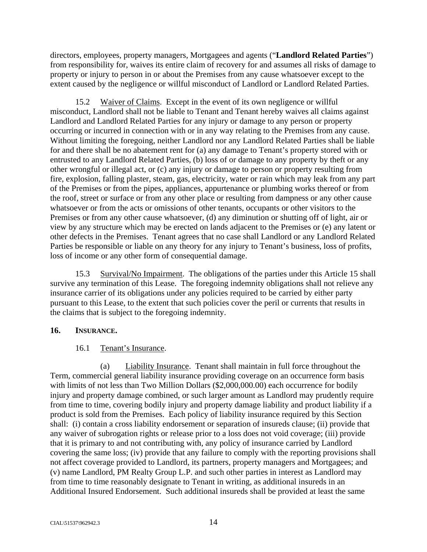directors, employees, property managers, Mortgagees and agents ("**Landlord Related Parties**") from responsibility for, waives its entire claim of recovery for and assumes all risks of damage to property or injury to person in or about the Premises from any cause whatsoever except to the extent caused by the negligence or willful misconduct of Landlord or Landlord Related Parties.

15.2 Waiver of Claims. Except in the event of its own negligence or willful misconduct, Landlord shall not be liable to Tenant and Tenant hereby waives all claims against Landlord and Landlord Related Parties for any injury or damage to any person or property occurring or incurred in connection with or in any way relating to the Premises from any cause. Without limiting the foregoing, neither Landlord nor any Landlord Related Parties shall be liable for and there shall be no abatement rent for (a) any damage to Tenant's property stored with or entrusted to any Landlord Related Parties, (b) loss of or damage to any property by theft or any other wrongful or illegal act, or (c) any injury or damage to person or property resulting from fire, explosion, falling plaster, steam, gas, electricity, water or rain which may leak from any part of the Premises or from the pipes, appliances, appurtenance or plumbing works thereof or from the roof, street or surface or from any other place or resulting from dampness or any other cause whatsoever or from the acts or omissions of other tenants, occupants or other visitors to the Premises or from any other cause whatsoever, (d) any diminution or shutting off of light, air or view by any structure which may be erected on lands adjacent to the Premises or (e) any latent or other defects in the Premises. Tenant agrees that no case shall Landlord or any Landlord Related Parties be responsible or liable on any theory for any injury to Tenant's business, loss of profits, loss of income or any other form of consequential damage.

15.3 Survival/No Impairment. The obligations of the parties under this Article 15 shall survive any termination of this Lease. The foregoing indemnity obligations shall not relieve any insurance carrier of its obligations under any policies required to be carried by either party pursuant to this Lease, to the extent that such policies cover the peril or currents that results in the claims that is subject to the foregoing indemnity.

## **16. INSURANCE.**

## 16.1 Tenant's Insurance.

(a) Liability Insurance. Tenant shall maintain in full force throughout the Term, commercial general liability insurance providing coverage on an occurrence form basis with limits of not less than Two Million Dollars (\$2,000,000.00) each occurrence for bodily injury and property damage combined, or such larger amount as Landlord may prudently require from time to time, covering bodily injury and property damage liability and product liability if a product is sold from the Premises. Each policy of liability insurance required by this Section shall: (i) contain a cross liability endorsement or separation of insureds clause; (ii) provide that any waiver of subrogation rights or release prior to a loss does not void coverage; (iii) provide that it is primary to and not contributing with, any policy of insurance carried by Landlord covering the same loss; (iv) provide that any failure to comply with the reporting provisions shall not affect coverage provided to Landlord, its partners, property managers and Mortgagees; and (v) name Landlord, PM Realty Group L.P. and such other parties in interest as Landlord may from time to time reasonably designate to Tenant in writing, as additional insureds in an Additional Insured Endorsement. Such additional insureds shall be provided at least the same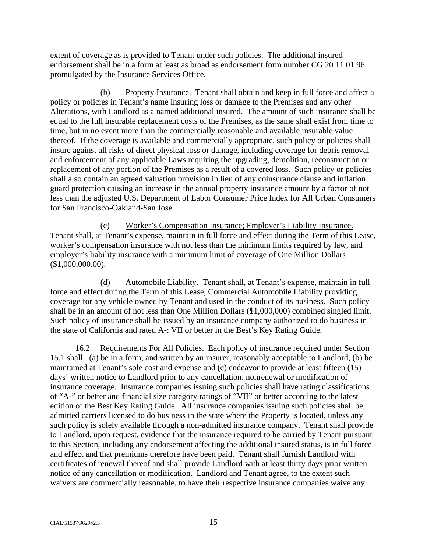extent of coverage as is provided to Tenant under such policies. The additional insured endorsement shall be in a form at least as broad as endorsement form number CG 20 11 01 96 promulgated by the Insurance Services Office.

(b) Property Insurance. Tenant shall obtain and keep in full force and affect a policy or policies in Tenant's name insuring loss or damage to the Premises and any other Alterations, with Landlord as a named additional insured. The amount of such insurance shall be equal to the full insurable replacement costs of the Premises, as the same shall exist from time to time, but in no event more than the commercially reasonable and available insurable value thereof. If the coverage is available and commercially appropriate, such policy or policies shall insure against all risks of direct physical loss or damage, including coverage for debris removal and enforcement of any applicable Laws requiring the upgrading, demolition, reconstruction or replacement of any portion of the Premises as a result of a covered loss. Such policy or policies shall also contain an agreed valuation provision in lieu of any coinsurance clause and inflation guard protection causing an increase in the annual property insurance amount by a factor of not less than the adjusted U.S. Department of Labor Consumer Price Index for All Urban Consumers for San Francisco-Oakland-San Jose.

(c) Worker's Compensation Insurance; Employer's Liability Insurance. Tenant shall, at Tenant's expense, maintain in full force and effect during the Term of this Lease, worker's compensation insurance with not less than the minimum limits required by law, and employer's liability insurance with a minimum limit of coverage of One Million Dollars (\$1,000,000.00).

(d) Automobile Liability. Tenant shall, at Tenant's expense, maintain in full force and effect during the Term of this Lease, Commercial Automobile Liability providing coverage for any vehicle owned by Tenant and used in the conduct of its business. Such policy shall be in an amount of not less than One Million Dollars (\$1,000,000) combined singled limit. Such policy of insurance shall be issued by an insurance company authorized to do business in the state of California and rated A-: VII or better in the Best's Key Rating Guide.

16.2 Requirements For All Policies. Each policy of insurance required under Section 15.1 shall: (a) be in a form, and written by an insurer, reasonably acceptable to Landlord, (b) be maintained at Tenant's sole cost and expense and (c) endeavor to provide at least fifteen (15) days' written notice to Landlord prior to any cancellation, nonrenewal or modification of insurance coverage. Insurance companies issuing such policies shall have rating classifications of "A-" or better and financial size category ratings of "VII" or better according to the latest edition of the Best Key Rating Guide. All insurance companies issuing such policies shall be admitted carriers licensed to do business in the state where the Property is located, unless any such policy is solely available through a non-admitted insurance company. Tenant shall provide to Landlord, upon request, evidence that the insurance required to be carried by Tenant pursuant to this Section, including any endorsement affecting the additional insured status, is in full force and effect and that premiums therefore have been paid. Tenant shall furnish Landlord with certificates of renewal thereof and shall provide Landlord with at least thirty days prior written notice of any cancellation or modification. Landlord and Tenant agree, to the extent such waivers are commercially reasonable, to have their respective insurance companies waive any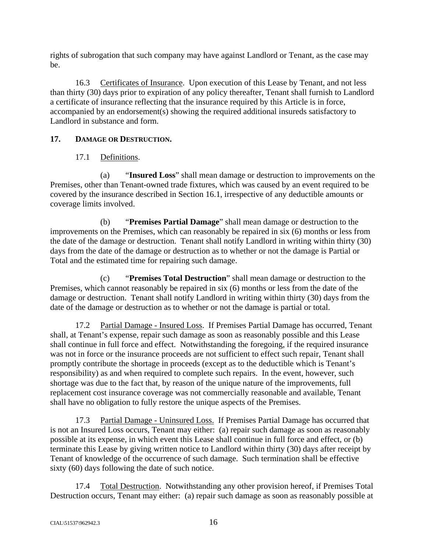rights of subrogation that such company may have against Landlord or Tenant, as the case may be.

16.3 Certificates of Insurance. Upon execution of this Lease by Tenant, and not less than thirty (30) days prior to expiration of any policy thereafter, Tenant shall furnish to Landlord a certificate of insurance reflecting that the insurance required by this Article is in force, accompanied by an endorsement(s) showing the required additional insureds satisfactory to Landlord in substance and form.

# **17. DAMAGE OR DESTRUCTION.**

# 17.1 Definitions.

(a) "**Insured Loss**" shall mean damage or destruction to improvements on the Premises, other than Tenant-owned trade fixtures, which was caused by an event required to be covered by the insurance described in Section 16.1, irrespective of any deductible amounts or coverage limits involved.

(b) "**Premises Partial Damage**" shall mean damage or destruction to the improvements on the Premises, which can reasonably be repaired in six (6) months or less from the date of the damage or destruction. Tenant shall notify Landlord in writing within thirty (30) days from the date of the damage or destruction as to whether or not the damage is Partial or Total and the estimated time for repairing such damage.

(c) "**Premises Total Destruction**" shall mean damage or destruction to the Premises, which cannot reasonably be repaired in six (6) months or less from the date of the damage or destruction. Tenant shall notify Landlord in writing within thirty (30) days from the date of the damage or destruction as to whether or not the damage is partial or total.

17.2 Partial Damage - Insured Loss. If Premises Partial Damage has occurred, Tenant shall, at Tenant's expense, repair such damage as soon as reasonably possible and this Lease shall continue in full force and effect. Notwithstanding the foregoing, if the required insurance was not in force or the insurance proceeds are not sufficient to effect such repair, Tenant shall promptly contribute the shortage in proceeds (except as to the deductible which is Tenant's responsibility) as and when required to complete such repairs. In the event, however, such shortage was due to the fact that, by reason of the unique nature of the improvements, full replacement cost insurance coverage was not commercially reasonable and available, Tenant shall have no obligation to fully restore the unique aspects of the Premises.

17.3 Partial Damage - Uninsured Loss. If Premises Partial Damage has occurred that is not an Insured Loss occurs, Tenant may either: (a) repair such damage as soon as reasonably possible at its expense, in which event this Lease shall continue in full force and effect, or (b) terminate this Lease by giving written notice to Landlord within thirty (30) days after receipt by Tenant of knowledge of the occurrence of such damage. Such termination shall be effective sixty (60) days following the date of such notice.

17.4 Total Destruction. Notwithstanding any other provision hereof, if Premises Total Destruction occurs, Tenant may either: (a) repair such damage as soon as reasonably possible at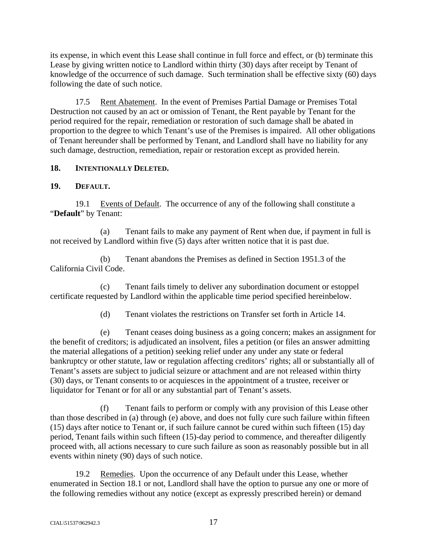its expense, in which event this Lease shall continue in full force and effect, or (b) terminate this Lease by giving written notice to Landlord within thirty (30) days after receipt by Tenant of knowledge of the occurrence of such damage. Such termination shall be effective sixty (60) days following the date of such notice.

17.5 Rent Abatement. In the event of Premises Partial Damage or Premises Total Destruction not caused by an act or omission of Tenant, the Rent payable by Tenant for the period required for the repair, remediation or restoration of such damage shall be abated in proportion to the degree to which Tenant's use of the Premises is impaired. All other obligations of Tenant hereunder shall be performed by Tenant, and Landlord shall have no liability for any such damage, destruction, remediation, repair or restoration except as provided herein.

# **18. INTENTIONALLY DELETED.**

# **19. DEFAULT.**

19.1 Events of Default. The occurrence of any of the following shall constitute a "**Default**" by Tenant:

(a) Tenant fails to make any payment of Rent when due, if payment in full is not received by Landlord within five (5) days after written notice that it is past due.

(b) Tenant abandons the Premises as defined in Section 1951.3 of the California Civil Code.

(c) Tenant fails timely to deliver any subordination document or estoppel certificate requested by Landlord within the applicable time period specified hereinbelow.

(d) Tenant violates the restrictions on Transfer set forth in Article 14.

(e) Tenant ceases doing business as a going concern; makes an assignment for the benefit of creditors; is adjudicated an insolvent, files a petition (or files an answer admitting the material allegations of a petition) seeking relief under any under any state or federal bankruptcy or other statute, law or regulation affecting creditors' rights; all or substantially all of Tenant's assets are subject to judicial seizure or attachment and are not released within thirty (30) days, or Tenant consents to or acquiesces in the appointment of a trustee, receiver or liquidator for Tenant or for all or any substantial part of Tenant's assets.

(f) Tenant fails to perform or comply with any provision of this Lease other than those described in (a) through (e) above, and does not fully cure such failure within fifteen (15) days after notice to Tenant or, if such failure cannot be cured within such fifteen (15) day period, Tenant fails within such fifteen (15)-day period to commence, and thereafter diligently proceed with, all actions necessary to cure such failure as soon as reasonably possible but in all events within ninety (90) days of such notice.

19.2 Remedies. Upon the occurrence of any Default under this Lease, whether enumerated in Section 18.1 or not, Landlord shall have the option to pursue any one or more of the following remedies without any notice (except as expressly prescribed herein) or demand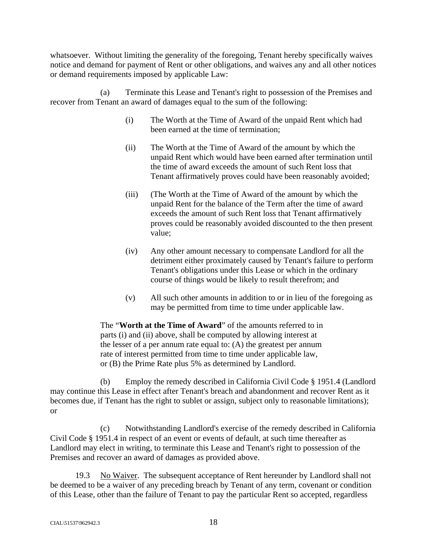whatsoever. Without limiting the generality of the foregoing, Tenant hereby specifically waives notice and demand for payment of Rent or other obligations, and waives any and all other notices or demand requirements imposed by applicable Law:

(a) Terminate this Lease and Tenant's right to possession of the Premises and recover from Tenant an award of damages equal to the sum of the following:

- (i) The Worth at the Time of Award of the unpaid Rent which had been earned at the time of termination;
- (ii) The Worth at the Time of Award of the amount by which the unpaid Rent which would have been earned after termination until the time of award exceeds the amount of such Rent loss that Tenant affirmatively proves could have been reasonably avoided;
- (iii) (The Worth at the Time of Award of the amount by which the unpaid Rent for the balance of the Term after the time of award exceeds the amount of such Rent loss that Tenant affirmatively proves could be reasonably avoided discounted to the then present value;
- (iv) Any other amount necessary to compensate Landlord for all the detriment either proximately caused by Tenant's failure to perform Tenant's obligations under this Lease or which in the ordinary course of things would be likely to result therefrom; and
- (v) All such other amounts in addition to or in lieu of the foregoing as may be permitted from time to time under applicable law.

The "**Worth at the Time of Award**" of the amounts referred to in parts (i) and (ii) above, shall be computed by allowing interest at the lesser of a per annum rate equal to: (A) the greatest per annum rate of interest permitted from time to time under applicable law, or (B) the Prime Rate plus 5% as determined by Landlord.

(b) Employ the remedy described in California Civil Code § 1951.4 (Landlord may continue this Lease in effect after Tenant's breach and abandonment and recover Rent as it becomes due, if Tenant has the right to sublet or assign, subject only to reasonable limitations); or

(c) Notwithstanding Landlord's exercise of the remedy described in California Civil Code § 1951.4 in respect of an event or events of default, at such time thereafter as Landlord may elect in writing, to terminate this Lease and Tenant's right to possession of the Premises and recover an award of damages as provided above.

19.3 No Waiver. The subsequent acceptance of Rent hereunder by Landlord shall not be deemed to be a waiver of any preceding breach by Tenant of any term, covenant or condition of this Lease, other than the failure of Tenant to pay the particular Rent so accepted, regardless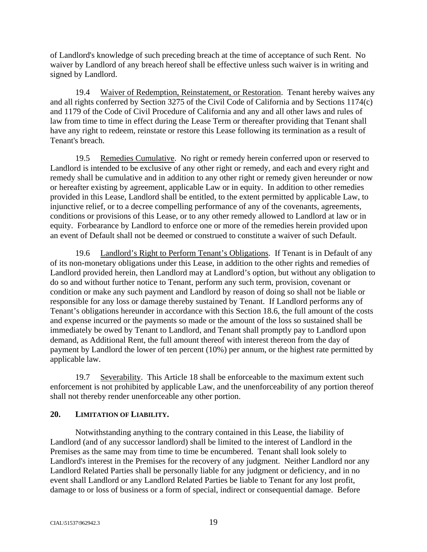of Landlord's knowledge of such preceding breach at the time of acceptance of such Rent. No waiver by Landlord of any breach hereof shall be effective unless such waiver is in writing and signed by Landlord.

19.4 Waiver of Redemption, Reinstatement, or Restoration. Tenant hereby waives any and all rights conferred by Section 3275 of the Civil Code of California and by Sections 1174(c) and 1179 of the Code of Civil Procedure of California and any and all other laws and rules of law from time to time in effect during the Lease Term or thereafter providing that Tenant shall have any right to redeem, reinstate or restore this Lease following its termination as a result of Tenant's breach.

19.5 Remedies Cumulative. No right or remedy herein conferred upon or reserved to Landlord is intended to be exclusive of any other right or remedy, and each and every right and remedy shall be cumulative and in addition to any other right or remedy given hereunder or now or hereafter existing by agreement, applicable Law or in equity. In addition to other remedies provided in this Lease, Landlord shall be entitled, to the extent permitted by applicable Law, to injunctive relief, or to a decree compelling performance of any of the covenants, agreements, conditions or provisions of this Lease, or to any other remedy allowed to Landlord at law or in equity. Forbearance by Landlord to enforce one or more of the remedies herein provided upon an event of Default shall not be deemed or construed to constitute a waiver of such Default.

19.6 Landlord's Right to Perform Tenant's Obligations. If Tenant is in Default of any of its non-monetary obligations under this Lease, in addition to the other rights and remedies of Landlord provided herein, then Landlord may at Landlord's option, but without any obligation to do so and without further notice to Tenant, perform any such term, provision, covenant or condition or make any such payment and Landlord by reason of doing so shall not be liable or responsible for any loss or damage thereby sustained by Tenant. If Landlord performs any of Tenant's obligations hereunder in accordance with this Section 18.6, the full amount of the costs and expense incurred or the payments so made or the amount of the loss so sustained shall be immediately be owed by Tenant to Landlord, and Tenant shall promptly pay to Landlord upon demand, as Additional Rent, the full amount thereof with interest thereon from the day of payment by Landlord the lower of ten percent (10%) per annum, or the highest rate permitted by applicable law.

19.7 Severability. This Article 18 shall be enforceable to the maximum extent such enforcement is not prohibited by applicable Law, and the unenforceability of any portion thereof shall not thereby render unenforceable any other portion.

## **20. LIMITATION OF LIABILITY.**

Notwithstanding anything to the contrary contained in this Lease, the liability of Landlord (and of any successor landlord) shall be limited to the interest of Landlord in the Premises as the same may from time to time be encumbered. Tenant shall look solely to Landlord's interest in the Premises for the recovery of any judgment. Neither Landlord nor any Landlord Related Parties shall be personally liable for any judgment or deficiency, and in no event shall Landlord or any Landlord Related Parties be liable to Tenant for any lost profit, damage to or loss of business or a form of special, indirect or consequential damage. Before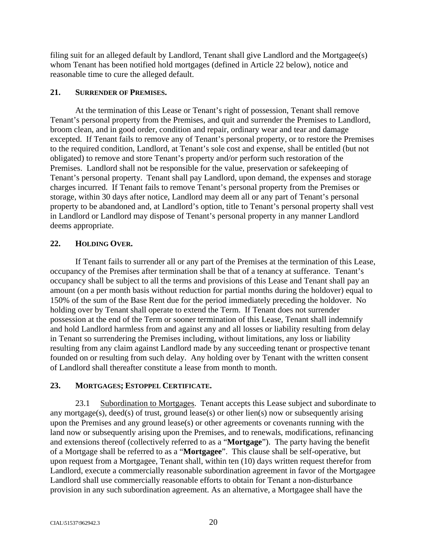filing suit for an alleged default by Landlord, Tenant shall give Landlord and the Mortgagee(s) whom Tenant has been notified hold mortgages (defined in Article 22 below), notice and reasonable time to cure the alleged default.

### **21. SURRENDER OF PREMISES.**

At the termination of this Lease or Tenant's right of possession, Tenant shall remove Tenant's personal property from the Premises, and quit and surrender the Premises to Landlord, broom clean, and in good order, condition and repair, ordinary wear and tear and damage excepted. If Tenant fails to remove any of Tenant's personal property, or to restore the Premises to the required condition, Landlord, at Tenant's sole cost and expense, shall be entitled (but not obligated) to remove and store Tenant's property and/or perform such restoration of the Premises. Landlord shall not be responsible for the value, preservation or safekeeping of Tenant's personal property. Tenant shall pay Landlord, upon demand, the expenses and storage charges incurred. If Tenant fails to remove Tenant's personal property from the Premises or storage, within 30 days after notice, Landlord may deem all or any part of Tenant's personal property to be abandoned and, at Landlord's option, title to Tenant's personal property shall vest in Landlord or Landlord may dispose of Tenant's personal property in any manner Landlord deems appropriate.

## **22. HOLDING OVER.**

If Tenant fails to surrender all or any part of the Premises at the termination of this Lease, occupancy of the Premises after termination shall be that of a tenancy at sufferance. Tenant's occupancy shall be subject to all the terms and provisions of this Lease and Tenant shall pay an amount (on a per month basis without reduction for partial months during the holdover) equal to 150% of the sum of the Base Rent due for the period immediately preceding the holdover. No holding over by Tenant shall operate to extend the Term. If Tenant does not surrender possession at the end of the Term or sooner termination of this Lease, Tenant shall indemnify and hold Landlord harmless from and against any and all losses or liability resulting from delay in Tenant so surrendering the Premises including, without limitations, any loss or liability resulting from any claim against Landlord made by any succeeding tenant or prospective tenant founded on or resulting from such delay. Any holding over by Tenant with the written consent of Landlord shall thereafter constitute a lease from month to month.

## **23. MORTGAGES; ESTOPPEL CERTIFICATE.**

23.1 Subordination to Mortgages. Tenant accepts this Lease subject and subordinate to any mortgage(s), deed(s) of trust, ground lease(s) or other lien(s) now or subsequently arising upon the Premises and any ground lease(s) or other agreements or covenants running with the land now or subsequently arising upon the Premises, and to renewals, modifications, refinancing and extensions thereof (collectively referred to as a "**Mortgage**"). The party having the benefit of a Mortgage shall be referred to as a "**Mortgagee**". This clause shall be self-operative, but upon request from a Mortgagee, Tenant shall, within ten (10) days written request therefor from Landlord, execute a commercially reasonable subordination agreement in favor of the Mortgagee Landlord shall use commercially reasonable efforts to obtain for Tenant a non-disturbance provision in any such subordination agreement. As an alternative, a Mortgagee shall have the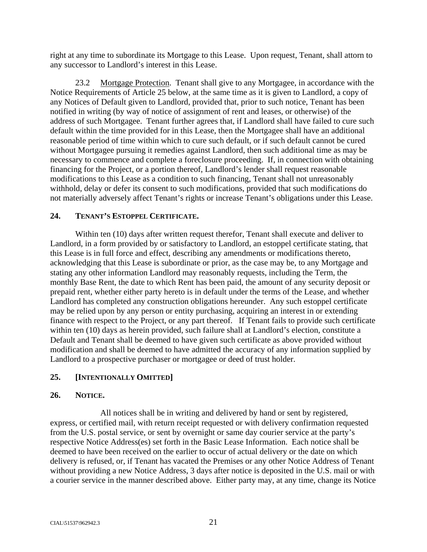right at any time to subordinate its Mortgage to this Lease. Upon request, Tenant, shall attorn to any successor to Landlord's interest in this Lease.

23.2 Mortgage Protection. Tenant shall give to any Mortgagee, in accordance with the Notice Requirements of Article 25 below, at the same time as it is given to Landlord, a copy of any Notices of Default given to Landlord, provided that, prior to such notice, Tenant has been notified in writing (by way of notice of assignment of rent and leases, or otherwise) of the address of such Mortgagee. Tenant further agrees that, if Landlord shall have failed to cure such default within the time provided for in this Lease, then the Mortgagee shall have an additional reasonable period of time within which to cure such default, or if such default cannot be cured without Mortgagee pursuing it remedies against Landlord, then such additional time as may be necessary to commence and complete a foreclosure proceeding. If, in connection with obtaining financing for the Project, or a portion thereof, Landlord's lender shall request reasonable modifications to this Lease as a condition to such financing, Tenant shall not unreasonably withhold, delay or defer its consent to such modifications, provided that such modifications do not materially adversely affect Tenant's rights or increase Tenant's obligations under this Lease.

# **24. TENANT'S ESTOPPEL CERTIFICATE.**

Within ten (10) days after written request therefor, Tenant shall execute and deliver to Landlord, in a form provided by or satisfactory to Landlord, an estoppel certificate stating, that this Lease is in full force and effect, describing any amendments or modifications thereto, acknowledging that this Lease is subordinate or prior, as the case may be, to any Mortgage and stating any other information Landlord may reasonably requests, including the Term, the monthly Base Rent, the date to which Rent has been paid, the amount of any security deposit or prepaid rent, whether either party hereto is in default under the terms of the Lease, and whether Landlord has completed any construction obligations hereunder. Any such estoppel certificate may be relied upon by any person or entity purchasing, acquiring an interest in or extending finance with respect to the Project, or any part thereof. If Tenant fails to provide such certificate within ten (10) days as herein provided, such failure shall at Landlord's election, constitute a Default and Tenant shall be deemed to have given such certificate as above provided without modification and shall be deemed to have admitted the accuracy of any information supplied by Landlord to a prospective purchaser or mortgagee or deed of trust holder.

# **25. [INTENTIONALLY OMITTED]**

## **26. NOTICE.**

All notices shall be in writing and delivered by hand or sent by registered, express, or certified mail, with return receipt requested or with delivery confirmation requested from the U.S. postal service, or sent by overnight or same day courier service at the party's respective Notice Address(es) set forth in the Basic Lease Information. Each notice shall be deemed to have been received on the earlier to occur of actual delivery or the date on which delivery is refused, or, if Tenant has vacated the Premises or any other Notice Address of Tenant without providing a new Notice Address, 3 days after notice is deposited in the U.S. mail or with a courier service in the manner described above. Either party may, at any time, change its Notice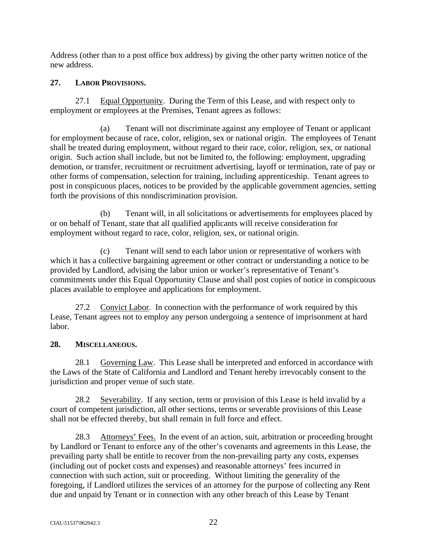Address (other than to a post office box address) by giving the other party written notice of the new address.

# **27. LABOR PROVISIONS.**

27.1 Equal Opportunity. During the Term of this Lease, and with respect only to employment or employees at the Premises, Tenant agrees as follows:

(a) Tenant will not discriminate against any employee of Tenant or applicant for employment because of race, color, religion, sex or national origin. The employees of Tenant shall be treated during employment, without regard to their race, color, religion, sex, or national origin. Such action shall include, but not be limited to, the following: employment, upgrading demotion, or transfer, recruitment or recruitment advertising, layoff or termination, rate of pay or other forms of compensation, selection for training, including apprenticeship. Tenant agrees to post in conspicuous places, notices to be provided by the applicable government agencies, setting forth the provisions of this nondiscrimination provision.

(b) Tenant will, in all solicitations or advertisements for employees placed by or on behalf of Tenant, state that all qualified applicants will receive consideration for employment without regard to race, color, religion, sex, or national origin.

(c) Tenant will send to each labor union or representative of workers with which it has a collective bargaining agreement or other contract or understanding a notice to be provided by Landlord, advising the labor union or worker's representative of Tenant's commitments under this Equal Opportunity Clause and shall post copies of notice in conspicuous places available to employee and applications for employment.

27.2 Convict Labor. In connection with the performance of work required by this Lease, Tenant agrees not to employ any person undergoing a sentence of imprisonment at hard labor.

# **28. MISCELLANEOUS.**

28.1 Governing Law. This Lease shall be interpreted and enforced in accordance with the Laws of the State of California and Landlord and Tenant hereby irrevocably consent to the jurisdiction and proper venue of such state.

28.2 Severability. If any section, term or provision of this Lease is held invalid by a court of competent jurisdiction, all other sections, terms or severable provisions of this Lease shall not be effected thereby, but shall remain in full force and effect.

28.3 Attorneys' Fees. In the event of an action, suit, arbitration or proceeding brought by Landlord or Tenant to enforce any of the other's covenants and agreements in this Lease, the prevailing party shall be entitle to recover from the non-prevailing party any costs, expenses (including out of pocket costs and expenses) and reasonable attorneys' fees incurred in connection with such action, suit or proceeding. Without limiting the generality of the foregoing, if Landlord utilizes the services of an attorney for the purpose of collecting any Rent due and unpaid by Tenant or in connection with any other breach of this Lease by Tenant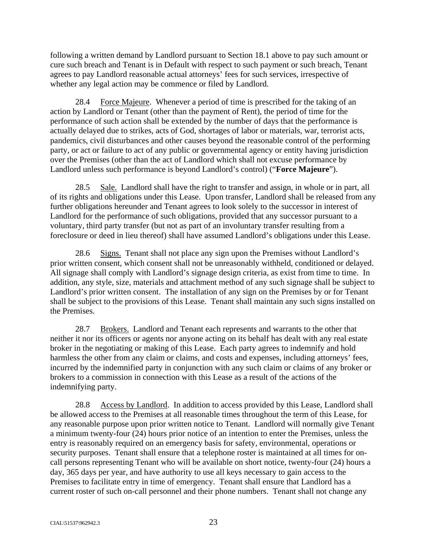following a written demand by Landlord pursuant to Section 18.1 above to pay such amount or cure such breach and Tenant is in Default with respect to such payment or such breach, Tenant agrees to pay Landlord reasonable actual attorneys' fees for such services, irrespective of whether any legal action may be commence or filed by Landlord.

28.4 Force Majeure. Whenever a period of time is prescribed for the taking of an action by Landlord or Tenant (other than the payment of Rent), the period of time for the performance of such action shall be extended by the number of days that the performance is actually delayed due to strikes, acts of God, shortages of labor or materials, war, terrorist acts, pandemics, civil disturbances and other causes beyond the reasonable control of the performing party, or act or failure to act of any public or governmental agency or entity having jurisdiction over the Premises (other than the act of Landlord which shall not excuse performance by Landlord unless such performance is beyond Landlord's control) ("**Force Majeure**").

28.5 Sale. Landlord shall have the right to transfer and assign, in whole or in part, all of its rights and obligations under this Lease. Upon transfer, Landlord shall be released from any further obligations hereunder and Tenant agrees to look solely to the successor in interest of Landlord for the performance of such obligations, provided that any successor pursuant to a voluntary, third party transfer (but not as part of an involuntary transfer resulting from a foreclosure or deed in lieu thereof) shall have assumed Landlord's obligations under this Lease.

28.6 Signs. Tenant shall not place any sign upon the Premises without Landlord's prior written consent, which consent shall not be unreasonably withheld, conditioned or delayed. All signage shall comply with Landlord's signage design criteria, as exist from time to time. In addition, any style, size, materials and attachment method of any such signage shall be subject to Landlord's prior written consent. The installation of any sign on the Premises by or for Tenant shall be subject to the provisions of this Lease. Tenant shall maintain any such signs installed on the Premises.

28.7 Brokers. Landlord and Tenant each represents and warrants to the other that neither it nor its officers or agents nor anyone acting on its behalf has dealt with any real estate broker in the negotiating or making of this Lease. Each party agrees to indemnify and hold harmless the other from any claim or claims, and costs and expenses, including attorneys' fees, incurred by the indemnified party in conjunction with any such claim or claims of any broker or brokers to a commission in connection with this Lease as a result of the actions of the indemnifying party.

28.8 Access by Landlord. In addition to access provided by this Lease, Landlord shall be allowed access to the Premises at all reasonable times throughout the term of this Lease, for any reasonable purpose upon prior written notice to Tenant. Landlord will normally give Tenant a minimum twenty-four (24) hours prior notice of an intention to enter the Premises, unless the entry is reasonably required on an emergency basis for safety, environmental, operations or security purposes. Tenant shall ensure that a telephone roster is maintained at all times for oncall persons representing Tenant who will be available on short notice, twenty-four (24) hours a day, 365 days per year, and have authority to use all keys necessary to gain access to the Premises to facilitate entry in time of emergency. Tenant shall ensure that Landlord has a current roster of such on-call personnel and their phone numbers. Tenant shall not change any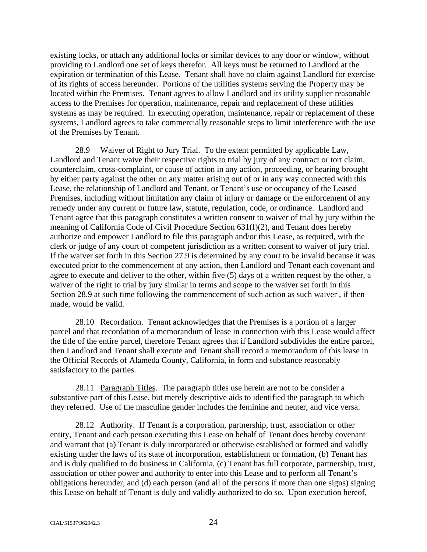existing locks, or attach any additional locks or similar devices to any door or window, without providing to Landlord one set of keys therefor. All keys must be returned to Landlord at the expiration or termination of this Lease. Tenant shall have no claim against Landlord for exercise of its rights of access hereunder. Portions of the utilities systems serving the Property may be located within the Premises. Tenant agrees to allow Landlord and its utility supplier reasonable access to the Premises for operation, maintenance, repair and replacement of these utilities systems as may be required. In executing operation, maintenance, repair or replacement of these systems, Landlord agrees to take commercially reasonable steps to limit interference with the use of the Premises by Tenant.

28.9 Waiver of Right to Jury Trial. To the extent permitted by applicable Law, Landlord and Tenant waive their respective rights to trial by jury of any contract or tort claim, counterclaim, cross-complaint, or cause of action in any action, proceeding, or hearing brought by either party against the other on any matter arising out of or in any way connected with this Lease, the relationship of Landlord and Tenant, or Tenant's use or occupancy of the Leased Premises, including without limitation any claim of injury or damage or the enforcement of any remedy under any current or future law, statute, regulation, code, or ordinance. Landlord and Tenant agree that this paragraph constitutes a written consent to waiver of trial by jury within the meaning of California Code of Civil Procedure Section 631(f)(2), and Tenant does hereby authorize and empower Landlord to file this paragraph and/or this Lease, as required, with the clerk or judge of any court of competent jurisdiction as a written consent to waiver of jury trial. If the waiver set forth in this Section 27.9 is determined by any court to be invalid because it was executed prior to the commencement of any action, then Landlord and Tenant each covenant and agree to execute and deliver to the other, within five (5) days of a written request by the other, a waiver of the right to trial by jury similar in terms and scope to the waiver set forth in this Section 28.9 at such time following the commencement of such action as such waiver , if then made, would be valid.

28.10 Recordation. Tenant acknowledges that the Premises is a portion of a larger parcel and that recordation of a memorandum of lease in connection with this Lease would affect the title of the entire parcel, therefore Tenant agrees that if Landlord subdivides the entire parcel, then Landlord and Tenant shall execute and Tenant shall record a memorandum of this lease in the Official Records of Alameda County, California, in form and substance reasonably satisfactory to the parties.

28.11 Paragraph Titles. The paragraph titles use herein are not to be consider a substantive part of this Lease, but merely descriptive aids to identified the paragraph to which they referred. Use of the masculine gender includes the feminine and neuter, and vice versa.

28.12 Authority. If Tenant is a corporation, partnership, trust, association or other entity, Tenant and each person executing this Lease on behalf of Tenant does hereby covenant and warrant that (a) Tenant is duly incorporated or otherwise established or formed and validly existing under the laws of its state of incorporation, establishment or formation, (b) Tenant has and is duly qualified to do business in California, (c) Tenant has full corporate, partnership, trust, association or other power and authority to enter into this Lease and to perform all Tenant's obligations hereunder, and (d) each person (and all of the persons if more than one signs) signing this Lease on behalf of Tenant is duly and validly authorized to do so. Upon execution hereof,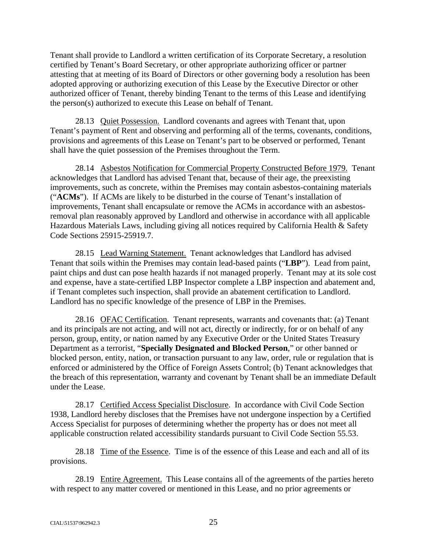Tenant shall provide to Landlord a written certification of its Corporate Secretary, a resolution certified by Tenant's Board Secretary, or other appropriate authorizing officer or partner attesting that at meeting of its Board of Directors or other governing body a resolution has been adopted approving or authorizing execution of this Lease by the Executive Director or other authorized officer of Tenant, thereby binding Tenant to the terms of this Lease and identifying the person(s) authorized to execute this Lease on behalf of Tenant.

28.13 Quiet Possession. Landlord covenants and agrees with Tenant that, upon Tenant's payment of Rent and observing and performing all of the terms, covenants, conditions, provisions and agreements of this Lease on Tenant's part to be observed or performed, Tenant shall have the quiet possession of the Premises throughout the Term.

28.14 Asbestos Notification for Commercial Property Constructed Before 1979. Tenant acknowledges that Landlord has advised Tenant that, because of their age, the preexisting improvements, such as concrete, within the Premises may contain asbestos-containing materials ("**ACMs**"). If ACMs are likely to be disturbed in the course of Tenant's installation of improvements, Tenant shall encapsulate or remove the ACMs in accordance with an asbestosremoval plan reasonably approved by Landlord and otherwise in accordance with all applicable Hazardous Materials Laws, including giving all notices required by California Health & Safety Code Sections 25915-25919.7.

28.15 Lead Warning Statement. Tenant acknowledges that Landlord has advised Tenant that soils within the Premises may contain lead-based paints ("**LBP**"). Lead from paint, paint chips and dust can pose health hazards if not managed properly. Tenant may at its sole cost and expense, have a state-certified LBP Inspector complete a LBP inspection and abatement and, if Tenant completes such inspection, shall provide an abatement certification to Landlord. Landlord has no specific knowledge of the presence of LBP in the Premises.

28.16 OFAC Certification. Tenant represents, warrants and covenants that: (a) Tenant and its principals are not acting, and will not act, directly or indirectly, for or on behalf of any person, group, entity, or nation named by any Executive Order or the United States Treasury Department as a terrorist, "**Specially Designated and Blocked Person**," or other banned or blocked person, entity, nation, or transaction pursuant to any law, order, rule or regulation that is enforced or administered by the Office of Foreign Assets Control; (b) Tenant acknowledges that the breach of this representation, warranty and covenant by Tenant shall be an immediate Default under the Lease.

28.17 Certified Access Specialist Disclosure. In accordance with Civil Code Section 1938, Landlord hereby discloses that the Premises have not undergone inspection by a Certified Access Specialist for purposes of determining whether the property has or does not meet all applicable construction related accessibility standards pursuant to Civil Code Section 55.53.

28.18 Time of the Essence. Time is of the essence of this Lease and each and all of its provisions.

28.19 Entire Agreement. This Lease contains all of the agreements of the parties hereto with respect to any matter covered or mentioned in this Lease, and no prior agreements or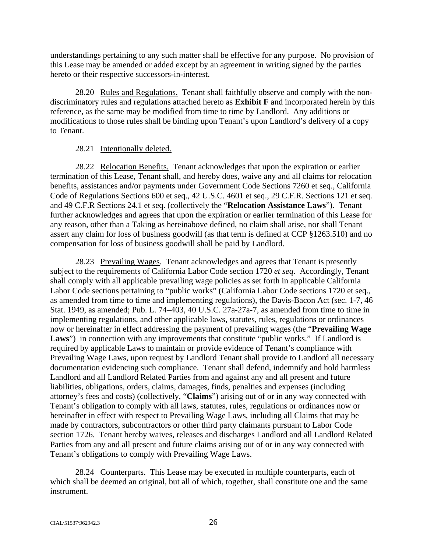understandings pertaining to any such matter shall be effective for any purpose. No provision of this Lease may be amended or added except by an agreement in writing signed by the parties hereto or their respective successors-in-interest.

28.20 Rules and Regulations. Tenant shall faithfully observe and comply with the nondiscriminatory rules and regulations attached hereto as **Exhibit F** and incorporated herein by this reference, as the same may be modified from time to time by Landlord. Any additions or modifications to those rules shall be binding upon Tenant's upon Landlord's delivery of a copy to Tenant.

### 28.21 Intentionally deleted.

28.22 Relocation Benefits. Tenant acknowledges that upon the expiration or earlier termination of this Lease, Tenant shall, and hereby does, waive any and all claims for relocation benefits, assistances and/or payments under Government Code Sections 7260 et seq., California Code of Regulations Sections 600 et seq., 42 U.S.C. 4601 et seq., 29 C.F.R. Sections 121 et seq. and 49 C.F.R Sections 24.1 et seq. (collectively the "**Relocation Assistance Laws**"). Tenant further acknowledges and agrees that upon the expiration or earlier termination of this Lease for any reason, other than a Taking as hereinabove defined, no claim shall arise, nor shall Tenant assert any claim for loss of business goodwill (as that term is defined at CCP §1263.510) and no compensation for loss of business goodwill shall be paid by Landlord.

28.23 Prevailing Wages. Tenant acknowledges and agrees that Tenant is presently subject to the requirements of California Labor Code section 1720 *et seq*. Accordingly, Tenant shall comply with all applicable prevailing wage policies as set forth in applicable California Labor Code sections pertaining to "public works" (California Labor Code sections 1720 et seq., as amended from time to time and implementing regulations), the Davis-Bacon Act (sec. 1-7, 46 Stat. 1949, as amended; Pub. L. 74–403, 40 U.S.C. 27a-27a-7, as amended from time to time in implementing regulations, and other applicable laws, statutes, rules, regulations or ordinances now or hereinafter in effect addressing the payment of prevailing wages (the "**Prevailing Wage**  Laws") in connection with any improvements that constitute "public works." If Landlord is required by applicable Laws to maintain or provide evidence of Tenant's compliance with Prevailing Wage Laws, upon request by Landlord Tenant shall provide to Landlord all necessary documentation evidencing such compliance. Tenant shall defend, indemnify and hold harmless Landlord and all Landlord Related Parties from and against any and all present and future liabilities, obligations, orders, claims, damages, finds, penalties and expenses (including attorney's fees and costs) (collectively, "**Claims**") arising out of or in any way connected with Tenant's obligation to comply with all laws, statutes, rules, regulations or ordinances now or hereinafter in effect with respect to Prevailing Wage Laws, including all Claims that may be made by contractors, subcontractors or other third party claimants pursuant to Labor Code section 1726. Tenant hereby waives, releases and discharges Landlord and all Landlord Related Parties from any and all present and future claims arising out of or in any way connected with Tenant's obligations to comply with Prevailing Wage Laws.

28.24 Counterparts. This Lease may be executed in multiple counterparts, each of which shall be deemed an original, but all of which, together, shall constitute one and the same instrument.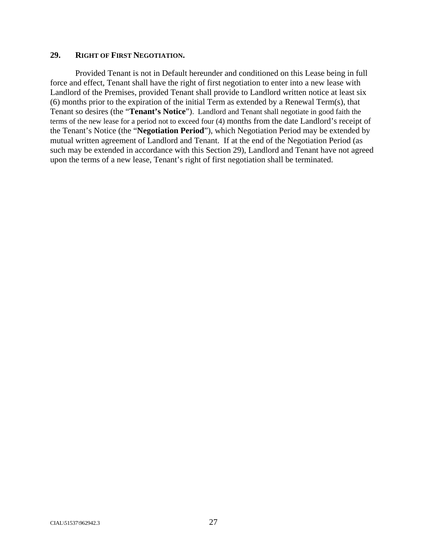### **29. RIGHT OF FIRST NEGOTIATION.**

Provided Tenant is not in Default hereunder and conditioned on this Lease being in full force and effect, Tenant shall have the right of first negotiation to enter into a new lease with Landlord of the Premises, provided Tenant shall provide to Landlord written notice at least six (6) months prior to the expiration of the initial Term as extended by a Renewal Term(s), that Tenant so desires (the "**Tenant's Notice**"). Landlord and Tenant shall negotiate in good faith the terms of the new lease for a period not to exceed four (4) months from the date Landlord's receipt of the Tenant's Notice (the "**Negotiation Period**"), which Negotiation Period may be extended by mutual written agreement of Landlord and Tenant. If at the end of the Negotiation Period (as such may be extended in accordance with this Section 29), Landlord and Tenant have not agreed upon the terms of a new lease, Tenant's right of first negotiation shall be terminated.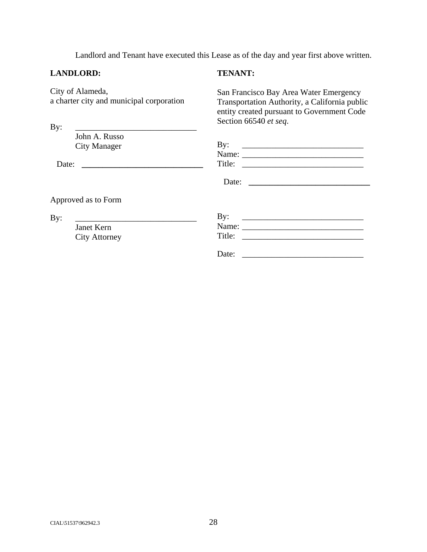Landlord and Tenant have executed this Lease as of the day and year first above written.

### **LANDLORD:**

# **TENANT:**

City of Alameda, a charter city and municipal corporation

By: \_\_\_\_\_\_\_\_\_\_\_\_\_\_\_\_\_\_\_\_\_\_\_\_\_\_\_\_\_

San Francisco Bay Area Water Emergency Transportation Authority, a California public entity created pursuant to Government Code Section 66540 *et seq*.

|       | John A. Russo<br><b>City Manager</b> | $\mathbf{By:}$                                                              |
|-------|--------------------------------------|-----------------------------------------------------------------------------|
| Date: |                                      |                                                                             |
|       |                                      | Date:<br><u> 1989 - Jan Samuel Barbara, margaret e</u>                      |
|       | Approved as to Form                  |                                                                             |
| By:   | Janet Kern                           | $\mathbf{By:}$<br><u> 1989 - Johann Stein, mars an de Frankryk († 1958)</u> |
|       | <b>City Attorney</b>                 |                                                                             |
|       |                                      | Date:                                                                       |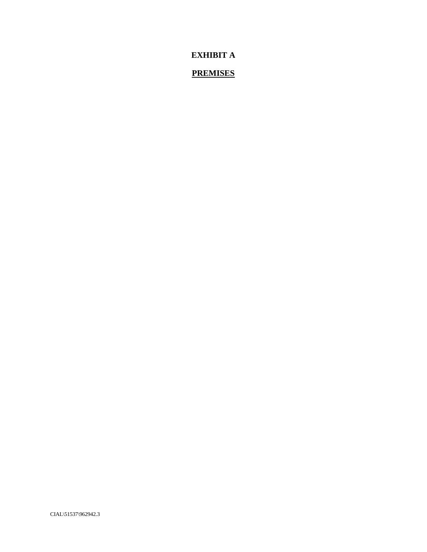**EXHIBIT A** 

# **PREMISES**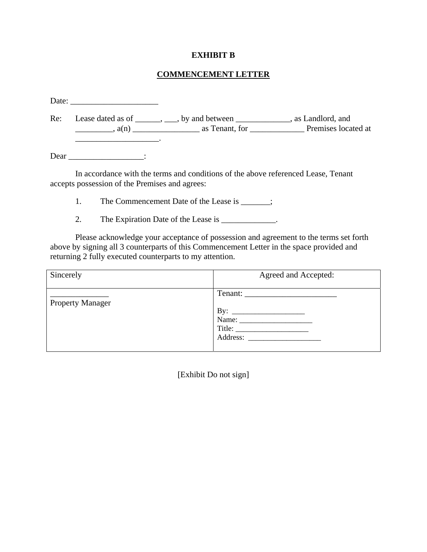### **EXHIBIT B**

# **COMMENCEMENT LETTER**

| Re: |                                                | Lease dated as of _______, ___, by and between ____________, as Landlord, and     |  |
|-----|------------------------------------------------|-----------------------------------------------------------------------------------|--|
|     |                                                |                                                                                   |  |
|     | Dear $\qquad \qquad$ :                         |                                                                                   |  |
|     | accepts possession of the Premises and agrees: | In accordance with the terms and conditions of the above referenced Lease, Tenant |  |

1. The Commencement Date of the Lease is \_\_\_\_\_\_;

2. The Expiration Date of the Lease is \_\_\_\_\_\_\_\_\_\_\_\_\_.

Please acknowledge your acceptance of possession and agreement to the terms set forth above by signing all 3 counterparts of this Commencement Letter in the space provided and returning 2 fully executed counterparts to my attention.

| Sincerely               | Agreed and Accepted: |
|-------------------------|----------------------|
| <b>Property Manager</b> |                      |

[Exhibit Do not sign]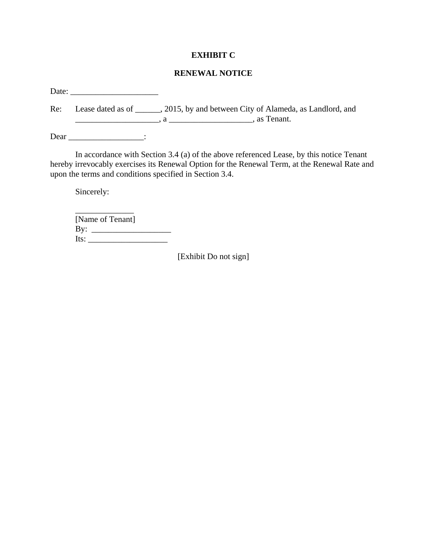### **EXHIBIT C**

# **RENEWAL NOTICE**

Date: \_\_\_\_\_\_\_\_\_\_\_\_\_\_\_\_\_\_\_\_\_

Re: Lease dated as of \_\_\_\_\_, 2015, by and between City of Alameda, as Landlord, and \_\_\_\_\_\_\_\_\_\_\_\_\_\_\_\_\_\_\_\_, a \_\_\_\_\_\_\_\_\_\_\_\_\_\_\_\_\_\_\_\_, as Tenant.

Dear \_\_\_\_\_\_\_\_\_\_\_\_\_\_\_\_\_\_\_\_\_\_\_\_\_:

In accordance with Section 3.4 (a) of the above referenced Lease, by this notice Tenant hereby irrevocably exercises its Renewal Option for the Renewal Term, at the Renewal Rate and upon the terms and conditions specified in Section 3.4.

Sincerely:

\_\_\_\_\_\_\_\_\_\_\_\_\_\_ [Name of Tenant] By: \_\_\_\_\_\_\_\_\_\_\_\_\_\_\_\_\_\_\_ Its: \_\_\_\_\_\_\_\_\_\_\_\_\_\_\_\_\_\_\_

[Exhibit Do not sign]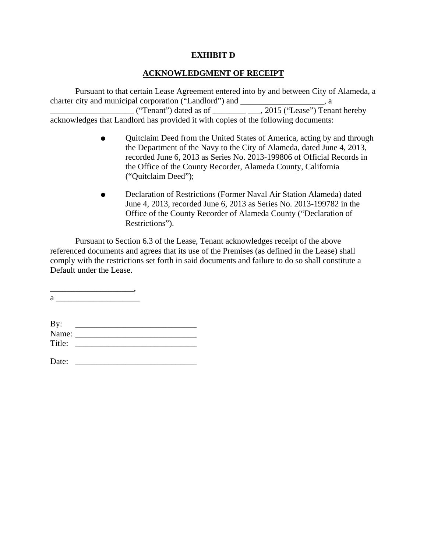## **EXHIBIT D**

# **ACKNOWLEDGMENT OF RECEIPT**

Pursuant to that certain Lease Agreement entered into by and between City of Alameda, a charter city and municipal corporation ("Landlord") and \_\_\_\_\_\_\_\_\_\_\_\_\_\_\_\_\_\_, a  $\frac{1}{\sqrt{2\pi}}$  ("Tenant") dated as of  $\frac{1}{\sqrt{2\pi}}$   $\frac{1}{\sqrt{2}}$ , 2015 ("Lease") Tenant hereby acknowledges that Landlord has provided it with copies of the following documents:

- Quitclaim Deed from the United States of America, acting by and through the Department of the Navy to the City of Alameda, dated June 4, 2013, recorded June 6, 2013 as Series No. 2013-199806 of Official Records in the Office of the County Recorder, Alameda County, California ("Quitclaim Deed");
- Declaration of Restrictions (Former Naval Air Station Alameda) dated June 4, 2013, recorded June 6, 2013 as Series No. 2013-199782 in the Office of the County Recorder of Alameda County ("Declaration of Restrictions").

Pursuant to Section 6.3 of the Lease, Tenant acknowledges receipt of the above referenced documents and agrees that its use of the Premises (as defined in the Lease) shall comply with the restrictions set forth in said documents and failure to do so shall constitute a Default under the Lease.

\_\_\_\_\_\_\_\_\_\_\_\_\_\_\_\_\_\_\_\_,  $a \overline{\qquad \qquad }$ 

| By:    |  |
|--------|--|
| Name:  |  |
| Title: |  |
|        |  |

Date: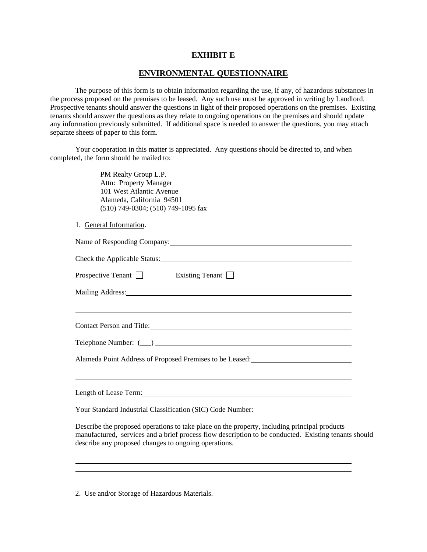### **EXHIBIT E**

# **ENVIRONMENTAL QUESTIONNAIRE**

The purpose of this form is to obtain information regarding the use, if any, of hazardous substances in the process proposed on the premises to be leased. Any such use must be approved in writing by Landlord. Prospective tenants should answer the questions in light of their proposed operations on the premises. Existing tenants should answer the questions as they relate to ongoing operations on the premises and should update any information previously submitted. If additional space is needed to answer the questions, you may attach separate sheets of paper to this form.

Your cooperation in this matter is appreciated. Any questions should be directed to, and when completed, the form should be mailed to:

> PM Realty Group L.P. Attn: Property Manager 101 West Atlantic Avenue Alameda, California 94501 (510) 749-0304; (510) 749-1095 fax

1. General Information.

| Name of Responding Company: 1997 and 2008 and 2009 and 2009 and 2009 and 2009 and 2009 and 2009 and 2009 and 2009 and 2009 and 2009 and 2009 and 2009 and 2009 and 2009 and 2009 and 2009 and 2009 and 2009 and 2009 and 2009 |  |  |
|-------------------------------------------------------------------------------------------------------------------------------------------------------------------------------------------------------------------------------|--|--|
| Check the Applicable Status:                                                                                                                                                                                                  |  |  |
| Prospective Tenant $\Box$ Existing Tenant $\Box$                                                                                                                                                                              |  |  |
|                                                                                                                                                                                                                               |  |  |
| <u> 1989 - Andrea Andrew Maria (h. 1989).</u>                                                                                                                                                                                 |  |  |
|                                                                                                                                                                                                                               |  |  |
|                                                                                                                                                                                                                               |  |  |
|                                                                                                                                                                                                                               |  |  |
|                                                                                                                                                                                                                               |  |  |
|                                                                                                                                                                                                                               |  |  |
| Your Standard Industrial Classification (SIC) Code Number: _____________________                                                                                                                                              |  |  |
| Describe the proposed operations to take place on the property, including principal products                                                                                                                                  |  |  |

manufactured, services and a brief process flow description to be conducted. Existing tenants should describe any proposed changes to ongoing operations.

 $\overline{a}$ 

<sup>2.</sup> Use and/or Storage of Hazardous Materials.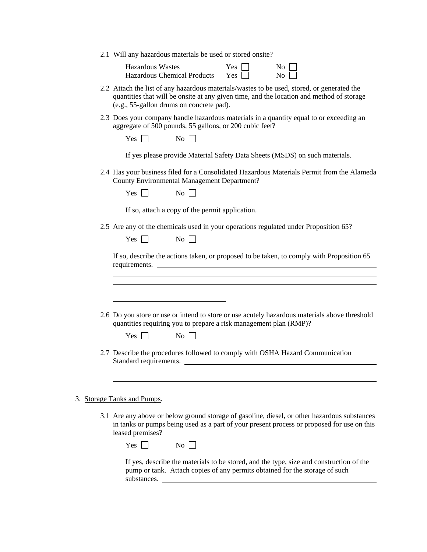2.1 Will any hazardous materials be used or stored onsite?

Hazardous Wastes  $Yes \Box$  No  $\Box$ Hazardous Chemical Prod

|       | $1C2$ $\vert$ $\vert$ | $130 \mid$ |
|-------|-----------------------|------------|
| ducts | Yes $\Box$            | No         |

- 2.2 Attach the list of any hazardous materials/wastes to be used, stored, or generated the quantities that will be onsite at any given time, and the location and method of storage (e.g., 55-gallon drums on concrete pad).
- 2.3 Does your company handle hazardous materials in a quantity equal to or exceeding an aggregate of 500 pounds, 55 gallons, or 200 cubic feet?

If yes please provide Material Safety Data Sheets (MSDS) on such materials.

2.4 Has your business filed for a Consolidated Hazardous Materials Permit from the Alameda County Environmental Management Department?

 $Yes \Box$  No  $\Box$ 

If so, attach a copy of the permit application.

2.5 Are any of the chemicals used in your operations regulated under Proposition 65?

 $Yes \Box$  No  $\Box$ 

If so, describe the actions taken, or proposed to be taken, to comply with Proposition 65 requirements.

- $\overline{a}$ 2.6 Do you store or use or intend to store or use acutely hazardous materials above threshold quantities requiring you to prepare a risk management plan (RMP)?  $Yes \Box$  No  $\Box$ 
	- 2.7 Describe the procedures followed to comply with OSHA Hazard Communication Standard requirements.

3. Storage Tanks and Pumps.

 $\overline{a}$ 

 $\overline{a}$ 

 $\overline{a}$ 

3.1 Are any above or below ground storage of gasoline, diesel, or other hazardous substances in tanks or pumps being used as a part of your present process or proposed for use on this leased premises?

| T<br>ง∩<br>$\sim$<br>- -<br>$\sim$<br>.,<br>۰. |  |
|------------------------------------------------|--|
|------------------------------------------------|--|

If yes, describe the materials to be stored, and the type, size and construction of the pump or tank. Attach copies of any permits obtained for the storage of such substances.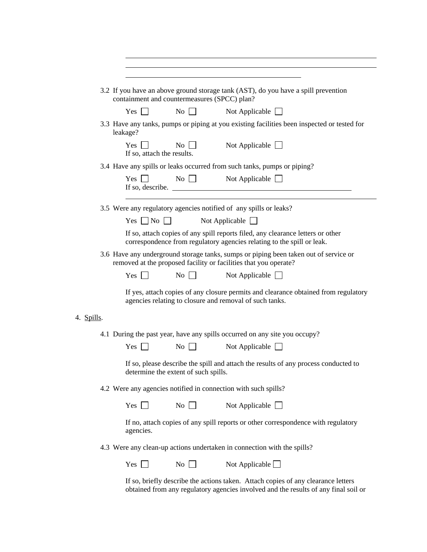|            | containment and countermeasures (SPCC) plan?                   |                                      | 3.2 If you have an above ground storage tank (AST), do you have a spill prevention                                                                                       |
|------------|----------------------------------------------------------------|--------------------------------------|--------------------------------------------------------------------------------------------------------------------------------------------------------------------------|
|            | Yes $\lceil \; \rceil$                                         | $\overline{N_0}$                     | Not Applicable $\Box$                                                                                                                                                    |
|            | leakage?                                                       |                                      | 3.3 Have any tanks, pumps or piping at you existing facilities been inspected or tested for                                                                              |
|            | <b>Yes</b><br>If so, attach the results.                       | $\overline{N_0}$                     | Not Applicable $\Box$                                                                                                                                                    |
|            |                                                                |                                      | 3.4 Have any spills or leaks occurred from such tanks, pumps or piping?                                                                                                  |
|            | $Yes \mid$                                                     | $\overline{N_0}$                     | Not Applicable<br>If so, describe.                                                                                                                                       |
|            |                                                                |                                      | 3.5 Were any regulatory agencies notified of any spills or leaks?                                                                                                        |
|            | Yes $\Box$ No                                                  |                                      | Not Applicable $\Box$                                                                                                                                                    |
|            |                                                                |                                      | If so, attach copies of any spill reports filed, any clearance letters or other<br>correspondence from regulatory agencies relating to the spill or leak.                |
|            |                                                                |                                      | 3.6 Have any underground storage tanks, sumps or piping been taken out of service or<br>removed at the proposed facility or facilities that you operate?                 |
|            | $Yes$                                                          | $\overline{N_{O}}$                   | Not Applicable $\Box$                                                                                                                                                    |
|            |                                                                |                                      | If yes, attach copies of any closure permits and clearance obtained from regulatory<br>agencies relating to closure and removal of such tanks.                           |
| 4. Spills. |                                                                |                                      |                                                                                                                                                                          |
|            |                                                                |                                      | 4.1 During the past year, have any spills occurred on any site you occupy?                                                                                               |
|            | Yes $\Box$                                                     | $\overline{N_0}$                     | Not Applicable $\Box$                                                                                                                                                    |
|            |                                                                | determine the extent of such spills. | If so, please describe the spill and attach the results of any process conducted to                                                                                      |
|            | 4.2 Were any agencies notified in connection with such spills? |                                      |                                                                                                                                                                          |
|            | $Yes \mid \cdot$                                               | No                                   | Not Applicable $\Box$                                                                                                                                                    |
|            | agencies.                                                      |                                      | If no, attach copies of any spill reports or other correspondence with regulatory                                                                                        |
|            |                                                                |                                      | 4.3 Were any clean-up actions undertaken in connection with the spills?                                                                                                  |
|            | Yes $\Box$                                                     | No                                   | Not Applicable $\Box$                                                                                                                                                    |
|            |                                                                |                                      | If so, briefly describe the actions taken. Attach copies of any clearance letters<br>obtained from any regulatory agencies involved and the results of any final soil or |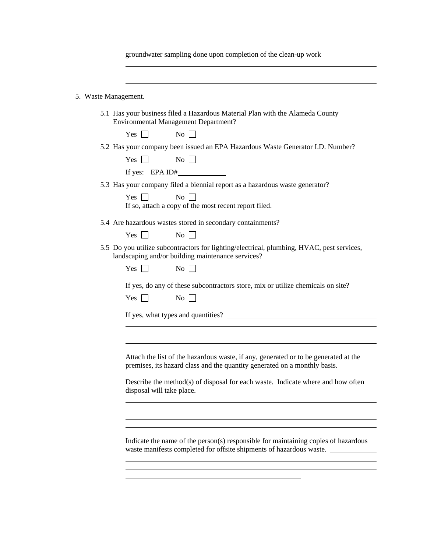| groundwater sampling done upon completion of the clean-up work |  |  |
|----------------------------------------------------------------|--|--|
|                                                                |  |  |

| 5. |  | Waste Management. |
|----|--|-------------------|
|    |  |                   |

 $\overline{a}$ 

5.1 Has your business filed a Hazardous Material Plan with the Alameda County Environmental Management Department?

 $Yes \Box$  No  $\Box$ 

5.2 Has your company been issued an EPA Hazardous Waste Generator I.D. Number?

| Yes $\Box$ | No              |  |
|------------|-----------------|--|
|            | If yes: EPA ID# |  |

5.3 Has your company filed a biennial report as a hazardous waste generator?

 $Yes \n\Box$  No  $\Box$ If so, attach a copy of the most recent report filed.

- 5.4 Are hazardous wastes stored in secondary containments?
	- $Yes \Box$  No  $\Box$
- 5.5 Do you utilize subcontractors for lighting/electrical, plumbing, HVAC, pest services, landscaping and/or building maintenance services?

| <b>Yes</b> |  | No |  |
|------------|--|----|--|
|------------|--|----|--|

If yes, do any of these subcontractors store, mix or utilize chemicals on site?

| L.<br>ÞΣ | Ν٥ |  |
|----------|----|--|
|----------|----|--|

 $\overline{a}$ 

 $\overline{a}$ 

 $\overline{a}$ 

 $\overline{a}$ 

 $\overline{a}$ 

 $\overline{a}$ 

If yes, what types and quantities?

Attach the list of the hazardous waste, if any, generated or to be generated at the premises, its hazard class and the quantity generated on a monthly basis.

Describe the method(s) of disposal for each waste. Indicate where and how often disposal will take place.

Indicate the name of the person(s) responsible for maintaining copies of hazardous waste manifests completed for offsite shipments of hazardous waste.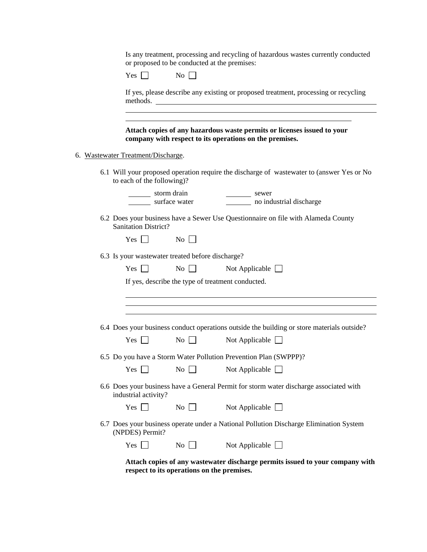Is any treatment, processing and recycling of hazardous wastes currently conducted or proposed to be conducted at the premises:

| ×.<br>$\sim$<br>$\overline{\phantom{a}}$<br>ı<br>$-$ | $\sim$<br>N<br>$\sim$ |
|------------------------------------------------------|-----------------------|
|------------------------------------------------------|-----------------------|

If yes, please describe any existing or proposed treatment, processing or recycling methods.

**Attach copies of any hazardous waste permits or licenses issued to your company with respect to its operations on the premises.**

6. Wastewater Treatment/Discharge.

 $\overline{a}$ 

6.1 Will your proposed operation require the discharge of wastewater to (answer Yes or No to each of the following)?

| storm o |
|---------|
| surface |

storm drain sewer<br>surface water no ind no industrial discharge

6.2 Does your business have a Sewer Use Questionnaire on file with Alameda County Sanitation District?

| ∽⊾<br>f<br>$-$<br>$\sim$ | √օ<br>- |  |
|--------------------------|---------|--|
|--------------------------|---------|--|

| 6.3 Is your wastewater treated before discharge? |                  |                                                                                            |
|--------------------------------------------------|------------------|--------------------------------------------------------------------------------------------|
| $Yes \Box$                                       | No               | Not Applicable $\Box$                                                                      |
|                                                  |                  | If yes, describe the type of treatment conducted.                                          |
|                                                  |                  |                                                                                            |
|                                                  |                  |                                                                                            |
|                                                  |                  | 6.4 Does your business conduct operations outside the building or store materials outside? |
| $Yes$                                            | No               | Not Applicable $\Box$                                                                      |
|                                                  |                  | 6.5 Do you have a Storm Water Pollution Prevention Plan (SWPPP)?                           |
| $Yes$                                            | $\overline{N_0}$ | Not Applicable $\Box$                                                                      |
| industrial activity?                             |                  | 6.6 Does your business have a General Permit for storm water discharge associated with     |
| Yes $\Box$                                       | No               | Not Applicable $\Box$                                                                      |
| (NPDES) Permit?                                  |                  | 6.7 Does your business operate under a National Pollution Discharge Elimination System     |
| $Yes$ $\Box$                                     | No               | Not Applicable $\Box$                                                                      |
|                                                  |                  | Attach conjected www.worterston discharge normits issued to your company with              |

**Attach copies of any wastewater discharge permits issued to your company with respect to its operations on the premises.**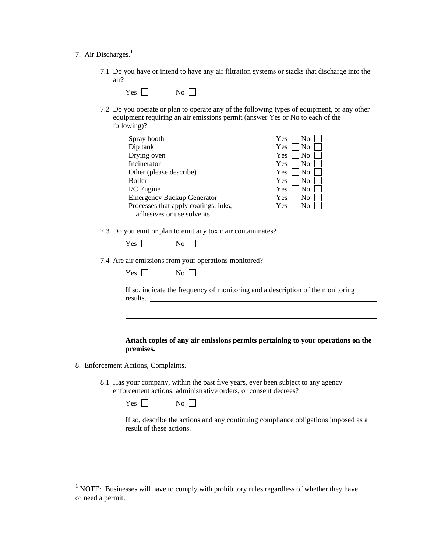### 7. Air Discharges.<sup>1</sup>

7.1 Do you have or intend to have any air filtration systems or stacks that discharge into the air?

| T<br>-<br>$\tilde{\phantom{a}}$<br>$\sim$<br>$\sim$ | ง∩<br>- |  |
|-----------------------------------------------------|---------|--|
|                                                     |         |  |

7.2 Do you operate or plan to operate any of the following types of equipment, or any other equipment requiring an air emissions permit (answer Yes or No to each of the following)?

> Yes  $\Box$  No  $\Box$  $Yes \Box No \Box$ Yes  $\Box$  No  $Yes \Box No \Box$ Yes  $\neg$  No  $\neg$  $Yes \Box No \Box$ Yes  $\Box$  No  $\Box$ Yes  $\Box$  No  $\Box$ Yes  $\Box$  No  $\Box$

| Spray booth                          |  |
|--------------------------------------|--|
| Dip tank                             |  |
| Drying oven                          |  |
| Incinerator                          |  |
| Other (please describe)              |  |
| <b>Boiler</b>                        |  |
| $I/C$ Engine                         |  |
| <b>Emergency Backup Generator</b>    |  |
| Processes that apply coatings, inks, |  |
| adhesives or use solvents            |  |

7.3 Do you emit or plan to emit any toxic air contaminates?

| x<br>÷S<br>t<br>., | $\overline{\phantom{a}}$<br>N<br>× |  |
|--------------------|------------------------------------|--|
|--------------------|------------------------------------|--|

7.4 Are air emissions from your operations monitored?

| ₹:<br>$\sim$ |  | No |  |
|--------------|--|----|--|
|--------------|--|----|--|

If so, indicate the frequency of monitoring and a description of the monitoring results.

**Attach copies of any air emissions permits pertaining to your operations on the premises.**

8. Enforcement Actions, Complaints.

 $\overline{a}$ 

 $\overline{a}$ 

 $\overline{a}$ 

 $\overline{a}$ 

8.1 Has your company, within the past five years, ever been subject to any agency enforcement actions, administrative orders, or consent decrees?

 $Yes \Box$  No  $\Box$ 

If so, describe the actions and any continuing compliance obligations imposed as a result of these actions.

<sup>&</sup>lt;u>1</u> <sup>1</sup> NOTE: Businesses will have to comply with prohibitory rules regardless of whether they have or need a permit.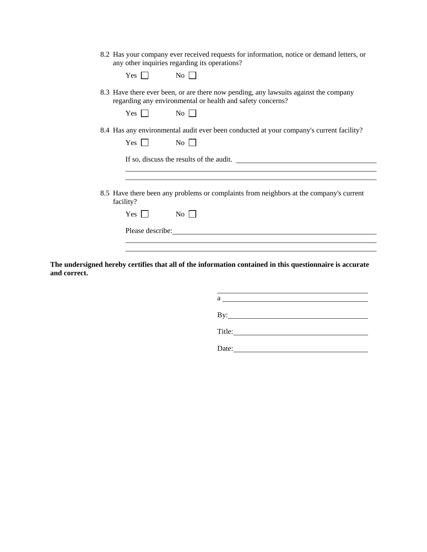| 8.2 Has your company ever received requests for information, notice or demand letters, or |  |  |  |  |
|-------------------------------------------------------------------------------------------|--|--|--|--|
| any other inquiries regarding its operations?                                             |  |  |  |  |

| 8.3 Have there ever been, or are there now pending, any lawsuits against the company |
|--------------------------------------------------------------------------------------|
| regarding any environmental or health and safety concerns?                           |

| ₹.<br>ΈS | Nο |
|----------|----|
|          |    |

 $Yes \t No \t N$ 

 $Yes \Box$  No  $\Box$ 

8.4 Has any environmental audit ever been conducted at your company's current facility?

If so, discuss the results of the audit.

8.5 Have there been any problems or complaints from neighbors at the company's current facility?

| - -<br>$-$<br>$\sim$ | $\sim$ |
|----------------------|--------|
|----------------------|--------|

Please describe: Note and the set of the set of the set of the set of the set of the set of the set of the set of the set of the set of the set of the set of the set of the set of the set of the set of the set of the set o

 $\overline{a}$ 

 $\overline{a}$ 

**The undersigned hereby certifies that all of the information contained in this questionnaire is accurate and correct.**

> a material contract of the contract of the contract of the contract of the contract of the contract of the contract of the contract of the contract of the contract of the contract of the contract of the contract of the con By: **Example 2018**

> Title:

Date: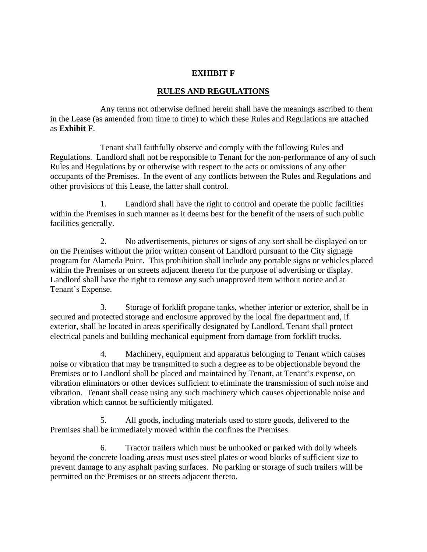# **EXHIBIT F**

# **RULES AND REGULATIONS**

Any terms not otherwise defined herein shall have the meanings ascribed to them in the Lease (as amended from time to time) to which these Rules and Regulations are attached as **Exhibit F**.

Tenant shall faithfully observe and comply with the following Rules and Regulations. Landlord shall not be responsible to Tenant for the non-performance of any of such Rules and Regulations by or otherwise with respect to the acts or omissions of any other occupants of the Premises. In the event of any conflicts between the Rules and Regulations and other provisions of this Lease, the latter shall control.

1. Landlord shall have the right to control and operate the public facilities within the Premises in such manner as it deems best for the benefit of the users of such public facilities generally.

2. No advertisements, pictures or signs of any sort shall be displayed on or on the Premises without the prior written consent of Landlord pursuant to the City signage program for Alameda Point. This prohibition shall include any portable signs or vehicles placed within the Premises or on streets adjacent thereto for the purpose of advertising or display. Landlord shall have the right to remove any such unapproved item without notice and at Tenant's Expense.

3. Storage of forklift propane tanks, whether interior or exterior, shall be in secured and protected storage and enclosure approved by the local fire department and, if exterior, shall be located in areas specifically designated by Landlord. Tenant shall protect electrical panels and building mechanical equipment from damage from forklift trucks.

4. Machinery, equipment and apparatus belonging to Tenant which causes noise or vibration that may be transmitted to such a degree as to be objectionable beyond the Premises or to Landlord shall be placed and maintained by Tenant, at Tenant's expense, on vibration eliminators or other devices sufficient to eliminate the transmission of such noise and vibration. Tenant shall cease using any such machinery which causes objectionable noise and vibration which cannot be sufficiently mitigated.

5. All goods, including materials used to store goods, delivered to the Premises shall be immediately moved within the confines the Premises.

6. Tractor trailers which must be unhooked or parked with dolly wheels beyond the concrete loading areas must uses steel plates or wood blocks of sufficient size to prevent damage to any asphalt paving surfaces. No parking or storage of such trailers will be permitted on the Premises or on streets adjacent thereto.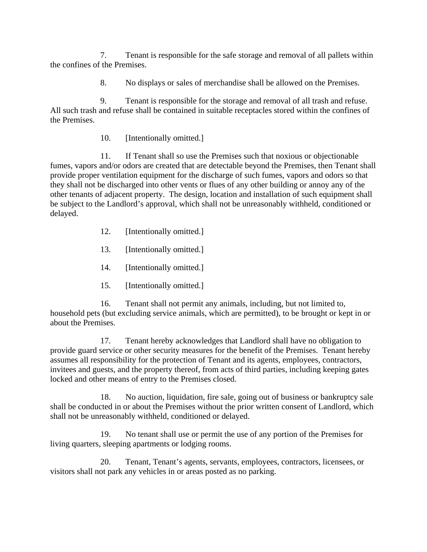7. Tenant is responsible for the safe storage and removal of all pallets within the confines of the Premises.

8. No displays or sales of merchandise shall be allowed on the Premises.

9. Tenant is responsible for the storage and removal of all trash and refuse. All such trash and refuse shall be contained in suitable receptacles stored within the confines of the Premises.

10. [Intentionally omitted.]

11. If Tenant shall so use the Premises such that noxious or objectionable fumes, vapors and/or odors are created that are detectable beyond the Premises, then Tenant shall provide proper ventilation equipment for the discharge of such fumes, vapors and odors so that they shall not be discharged into other vents or flues of any other building or annoy any of the other tenants of adjacent property. The design, location and installation of such equipment shall be subject to the Landlord's approval, which shall not be unreasonably withheld, conditioned or delayed.

- 12. [Intentionally omitted.]
- 13. [Intentionally omitted.]
- 14. [Intentionally omitted.]
- 15. [Intentionally omitted.]

16. Tenant shall not permit any animals, including, but not limited to, household pets (but excluding service animals, which are permitted), to be brought or kept in or about the Premises.

17. Tenant hereby acknowledges that Landlord shall have no obligation to provide guard service or other security measures for the benefit of the Premises. Tenant hereby assumes all responsibility for the protection of Tenant and its agents, employees, contractors, invitees and guests, and the property thereof, from acts of third parties, including keeping gates locked and other means of entry to the Premises closed.

18. No auction, liquidation, fire sale, going out of business or bankruptcy sale shall be conducted in or about the Premises without the prior written consent of Landlord, which shall not be unreasonably withheld, conditioned or delayed.

19. No tenant shall use or permit the use of any portion of the Premises for living quarters, sleeping apartments or lodging rooms.

20. Tenant, Tenant's agents, servants, employees, contractors, licensees, or visitors shall not park any vehicles in or areas posted as no parking.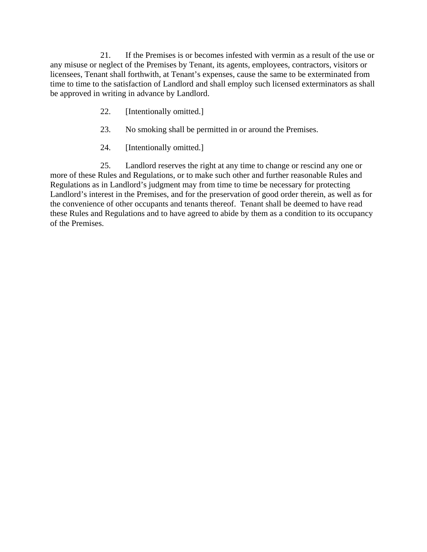21. If the Premises is or becomes infested with vermin as a result of the use or any misuse or neglect of the Premises by Tenant, its agents, employees, contractors, visitors or licensees, Tenant shall forthwith, at Tenant's expenses, cause the same to be exterminated from time to time to the satisfaction of Landlord and shall employ such licensed exterminators as shall be approved in writing in advance by Landlord.

- 22. [Intentionally omitted.]
- 23. No smoking shall be permitted in or around the Premises.
- 24. [Intentionally omitted.]

25. Landlord reserves the right at any time to change or rescind any one or more of these Rules and Regulations, or to make such other and further reasonable Rules and Regulations as in Landlord's judgment may from time to time be necessary for protecting Landlord's interest in the Premises, and for the preservation of good order therein, as well as for the convenience of other occupants and tenants thereof. Tenant shall be deemed to have read these Rules and Regulations and to have agreed to abide by them as a condition to its occupancy of the Premises.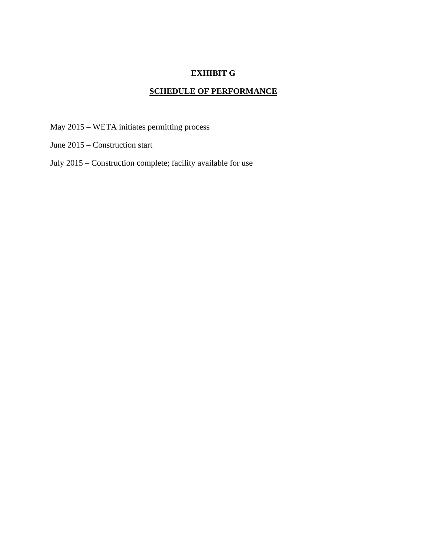# **EXHIBIT G**

# **SCHEDULE OF PERFORMANCE**

May 2015 – WETA initiates permitting process

- June 2015 Construction start
- July 2015 Construction complete; facility available for use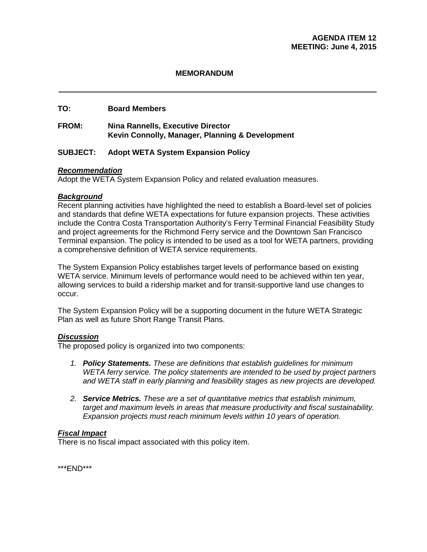### **MEMORANDUM**

## **TO: Board Members**

### **FROM: Nina Rannells, Executive Director Kevin Connolly, Manager, Planning & Development**

### **SUBJECT: Adopt WETA System Expansion Policy**

### *Recommendation*

Adopt the WETA System Expansion Policy and related evaluation measures.

### *Background*

Recent planning activities have highlighted the need to establish a Board-level set of policies and standards that define WETA expectations for future expansion projects. These activities include the Contra Costa Transportation Authority's Ferry Terminal Financial Feasibility Study and project agreements for the Richmond Ferry service and the Downtown San Francisco Terminal expansion. The policy is intended to be used as a tool for WETA partners, providing a comprehensive definition of WETA service requirements.

The System Expansion Policy establishes target levels of performance based on existing WETA service. Minimum levels of performance would need to be achieved within ten year, allowing services to build a ridership market and for transit-supportive land use changes to occur.

The System Expansion Policy will be a supporting document in the future WETA Strategic Plan as well as future Short Range Transit Plans.

### *Discussion*

The proposed policy is organized into two components:

- *1. Policy Statements. These are definitions that establish guidelines for minimum WETA ferry service. The policy statements are intended to be used by project partners and WETA staff in early planning and feasibility stages as new projects are developed.*
- *2. Service Metrics. These are a set of quantitative metrics that establish minimum, target and maximum levels in areas that measure productivity and fiscal sustainability. Expansion projects must reach minimum levels within 10 years of operation.*

### *Fiscal Impact*

There is no fiscal impact associated with this policy item.

\*\*\*END\*\*\*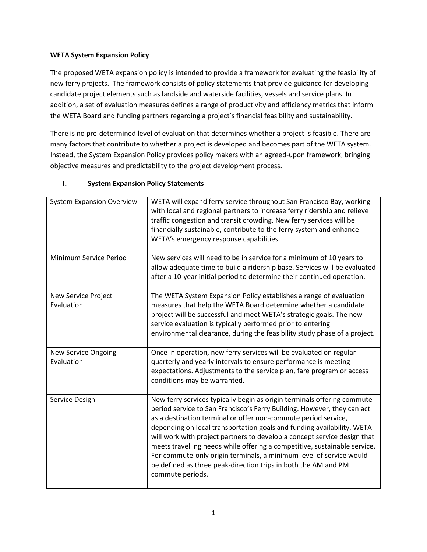### **WETA System Expansion Policy**

The proposed WETA expansion policy is intended to provide a framework for evaluating the feasibility of new ferry projects. The framework consists of policy statements that provide guidance for developing candidate project elements such as landside and waterside facilities, vessels and service plans. In addition, a set of evaluation measures defines a range of productivity and efficiency metrics that inform the WETA Board and funding partners regarding a project's financial feasibility and sustainability.

There is no pre-determined level of evaluation that determines whether a project is feasible. There are many factors that contribute to whether a project is developed and becomes part of the WETA system. Instead, the System Expansion Policy provides policy makers with an agreed-upon framework, bringing objective measures and predictability to the project development process.

| <b>System Expansion Overview</b>         | WETA will expand ferry service throughout San Francisco Bay, working<br>with local and regional partners to increase ferry ridership and relieve<br>traffic congestion and transit crowding. New ferry services will be<br>financially sustainable, contribute to the ferry system and enhance<br>WETA's emergency response capabilities.                                                                                                                                                                                                                                                                             |
|------------------------------------------|-----------------------------------------------------------------------------------------------------------------------------------------------------------------------------------------------------------------------------------------------------------------------------------------------------------------------------------------------------------------------------------------------------------------------------------------------------------------------------------------------------------------------------------------------------------------------------------------------------------------------|
| Minimum Service Period                   | New services will need to be in service for a minimum of 10 years to<br>allow adequate time to build a ridership base. Services will be evaluated<br>after a 10-year initial period to determine their continued operation.                                                                                                                                                                                                                                                                                                                                                                                           |
| New Service Project<br>Evaluation        | The WETA System Expansion Policy establishes a range of evaluation<br>measures that help the WETA Board determine whether a candidate<br>project will be successful and meet WETA's strategic goals. The new<br>service evaluation is typically performed prior to entering<br>environmental clearance, during the feasibility study phase of a project.                                                                                                                                                                                                                                                              |
| <b>New Service Ongoing</b><br>Evaluation | Once in operation, new ferry services will be evaluated on regular<br>quarterly and yearly intervals to ensure performance is meeting<br>expectations. Adjustments to the service plan, fare program or access<br>conditions may be warranted.                                                                                                                                                                                                                                                                                                                                                                        |
| Service Design                           | New ferry services typically begin as origin terminals offering commute-<br>period service to San Francisco's Ferry Building. However, they can act<br>as a destination terminal or offer non-commute period service,<br>depending on local transportation goals and funding availability. WETA<br>will work with project partners to develop a concept service design that<br>meets travelling needs while offering a competitive, sustainable service.<br>For commute-only origin terminals, a minimum level of service would<br>be defined as three peak-direction trips in both the AM and PM<br>commute periods. |

## **I. System Expansion Policy Statements**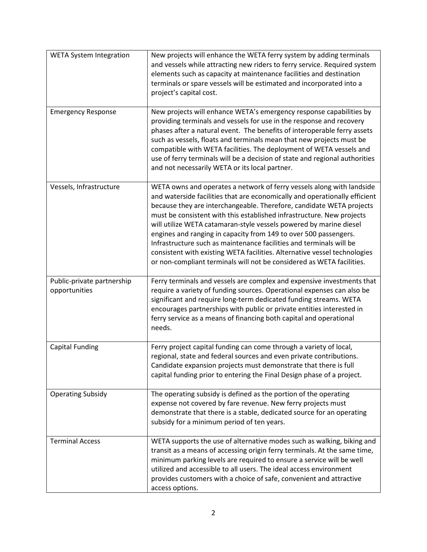| <b>WETA System Integration</b>              | New projects will enhance the WETA ferry system by adding terminals<br>and vessels while attracting new riders to ferry service. Required system<br>elements such as capacity at maintenance facilities and destination<br>terminals or spare vessels will be estimated and incorporated into a<br>project's capital cost.                                                                                                                                                                                                                                                                                                                                                  |
|---------------------------------------------|-----------------------------------------------------------------------------------------------------------------------------------------------------------------------------------------------------------------------------------------------------------------------------------------------------------------------------------------------------------------------------------------------------------------------------------------------------------------------------------------------------------------------------------------------------------------------------------------------------------------------------------------------------------------------------|
| <b>Emergency Response</b>                   | New projects will enhance WETA's emergency response capabilities by<br>providing terminals and vessels for use in the response and recovery<br>phases after a natural event. The benefits of interoperable ferry assets<br>such as vessels, floats and terminals mean that new projects must be<br>compatible with WETA facilities. The deployment of WETA vessels and<br>use of ferry terminals will be a decision of state and regional authorities<br>and not necessarily WETA or its local partner.                                                                                                                                                                     |
| Vessels, Infrastructure                     | WETA owns and operates a network of ferry vessels along with landside<br>and waterside facilities that are economically and operationally efficient<br>because they are interchangeable. Therefore, candidate WETA projects<br>must be consistent with this established infrastructure. New projects<br>will utilize WETA catamaran-style vessels powered by marine diesel<br>engines and ranging in capacity from 149 to over 500 passengers.<br>Infrastructure such as maintenance facilities and terminals will be<br>consistent with existing WETA facilities. Alternative vessel technologies<br>or non-compliant terminals will not be considered as WETA facilities. |
| Public-private partnership<br>opportunities | Ferry terminals and vessels are complex and expensive investments that<br>require a variety of funding sources. Operational expenses can also be<br>significant and require long-term dedicated funding streams. WETA<br>encourages partnerships with public or private entities interested in<br>ferry service as a means of financing both capital and operational<br>needs.                                                                                                                                                                                                                                                                                              |
| <b>Capital Funding</b>                      | Ferry project capital funding can come through a variety of local,<br>regional, state and federal sources and even private contributions.<br>Candidate expansion projects must demonstrate that there is full<br>capital funding prior to entering the Final Design phase of a project.                                                                                                                                                                                                                                                                                                                                                                                     |
| <b>Operating Subsidy</b>                    | The operating subsidy is defined as the portion of the operating<br>expense not covered by fare revenue. New ferry projects must<br>demonstrate that there is a stable, dedicated source for an operating<br>subsidy for a minimum period of ten years.                                                                                                                                                                                                                                                                                                                                                                                                                     |
| <b>Terminal Access</b>                      | WETA supports the use of alternative modes such as walking, biking and<br>transit as a means of accessing origin ferry terminals. At the same time,<br>minimum parking levels are required to ensure a service will be well<br>utilized and accessible to all users. The ideal access environment<br>provides customers with a choice of safe, convenient and attractive<br>access options.                                                                                                                                                                                                                                                                                 |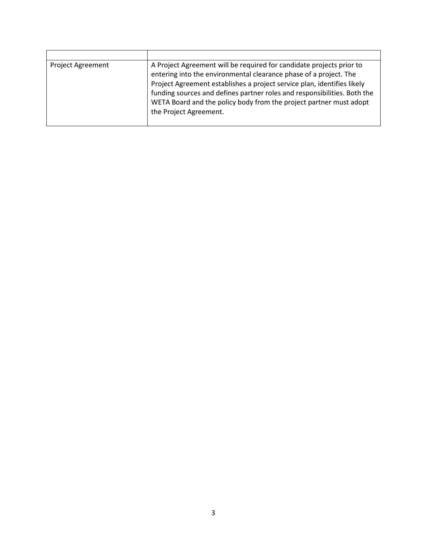| <b>Project Agreement</b> | A Project Agreement will be required for candidate projects prior to<br>entering into the environmental clearance phase of a project. The<br>Project Agreement establishes a project service plan, identifies likely<br>funding sources and defines partner roles and responsibilities. Both the<br>WETA Board and the policy body from the project partner must adopt<br>the Project Agreement. |
|--------------------------|--------------------------------------------------------------------------------------------------------------------------------------------------------------------------------------------------------------------------------------------------------------------------------------------------------------------------------------------------------------------------------------------------|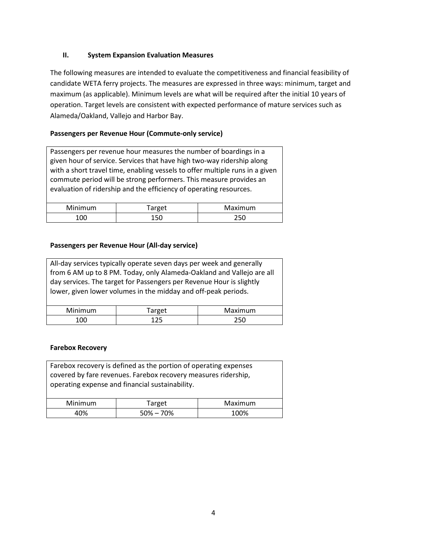### **II. System Expansion Evaluation Measures**

The following measures are intended to evaluate the competitiveness and financial feasibility of candidate WETA ferry projects. The measures are expressed in three ways: minimum, target and maximum (as applicable). Minimum levels are what will be required after the initial 10 years of operation. Target levels are consistent with expected performance of mature services such as Alameda/Oakland, Vallejo and Harbor Bay.

### **Passengers per Revenue Hour (Commute-only service)**

Passengers per revenue hour measures the number of boardings in a given hour of service. Services that have high two-way ridership along with a short travel time, enabling vessels to offer multiple runs in a given commute period will be strong performers. This measure provides an evaluation of ridership and the efficiency of operating resources.

| Minimum | Target | Maximum |
|---------|--------|---------|
| 100     | 150    | 250     |

### **Passengers per Revenue Hour (All-day service)**

| All-day services typically operate seven days per week and generally  |        |         |
|-----------------------------------------------------------------------|--------|---------|
| from 6 AM up to 8 PM. Today, only Alameda-Oakland and Vallejo are all |        |         |
| day services. The target for Passengers per Revenue Hour is slightly  |        |         |
| lower, given lower volumes in the midday and off-peak periods.        |        |         |
|                                                                       |        |         |
| Minimum                                                               | Target | Maximum |
| 100                                                                   | 125    | 250     |

#### **Farebox Recovery**

| Farebox recovery is defined as the portion of operating expenses<br>covered by fare revenues. Farebox recovery measures ridership,<br>operating expense and financial sustainability. |               |         |
|---------------------------------------------------------------------------------------------------------------------------------------------------------------------------------------|---------------|---------|
| Minimum                                                                                                                                                                               | Target        | Maximum |
| 4በ%                                                                                                                                                                                   | $50\% - 70\%$ | 100%    |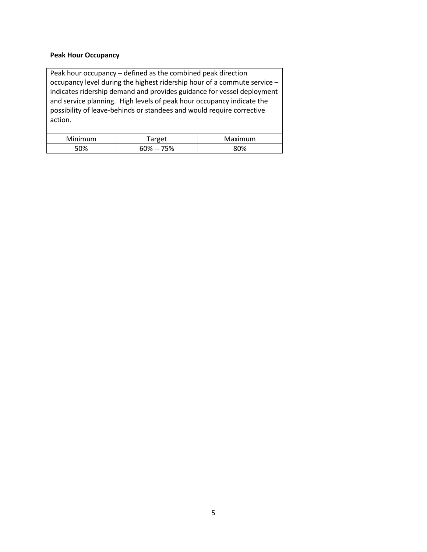#### **Peak Hour Occupancy**

Peak hour occupancy – defined as the combined peak direction occupancy level during the highest ridership hour of a commute service – indicates ridership demand and provides guidance for vessel deployment and service planning. High levels of peak hour occupancy indicate the possibility of leave-behinds or standees and would require corrective action. Minimum | Target | Maximum

50% 60% -- 75% 80%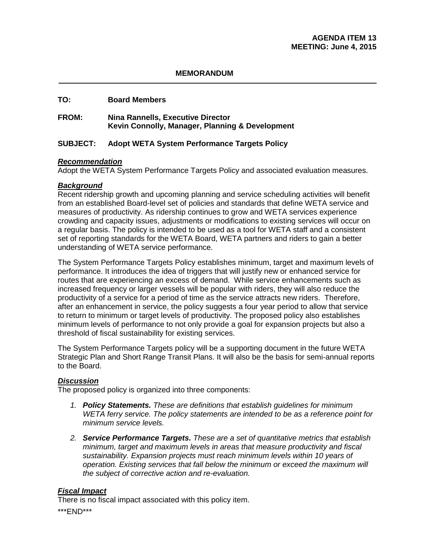### **MEMORANDUM**

### **TO: Board Members**

### **FROM: Nina Rannells, Executive Director Kevin Connolly, Manager, Planning & Development**

### **SUBJECT: Adopt WETA System Performance Targets Policy**

### *Recommendation*

Adopt the WETA System Performance Targets Policy and associated evaluation measures.

### *Background*

Recent ridership growth and upcoming planning and service scheduling activities will benefit from an established Board-level set of policies and standards that define WETA service and measures of productivity. As ridership continues to grow and WETA services experience crowding and capacity issues, adjustments or modifications to existing services will occur on a regular basis. The policy is intended to be used as a tool for WETA staff and a consistent set of reporting standards for the WETA Board, WETA partners and riders to gain a better understanding of WETA service performance.

The System Performance Targets Policy establishes minimum, target and maximum levels of performance. It introduces the idea of triggers that will justify new or enhanced service for routes that are experiencing an excess of demand. While service enhancements such as increased frequency or larger vessels will be popular with riders, they will also reduce the productivity of a service for a period of time as the service attracts new riders. Therefore, after an enhancement in service, the policy suggests a four year period to allow that service to return to minimum or target levels of productivity. The proposed policy also establishes minimum levels of performance to not only provide a goal for expansion projects but also a threshold of fiscal sustainability for existing services.

The System Performance Targets policy will be a supporting document in the future WETA Strategic Plan and Short Range Transit Plans. It will also be the basis for semi-annual reports to the Board.

## *Discussion*

The proposed policy is organized into three components:

- *1. Policy Statements. These are definitions that establish guidelines for minimum WETA ferry service. The policy statements are intended to be as a reference point for minimum service levels.*
- *2. Service Performance Targets. These are a set of quantitative metrics that establish minimum, target and maximum levels in areas that measure productivity and fiscal sustainability. Expansion projects must reach minimum levels within 10 years of operation. Existing services that fall below the minimum or exceed the maximum will the subject of corrective action and re-evaluation.*

### *Fiscal Impact*

There is no fiscal impact associated with this policy item.

\*\*\*END\*\*\*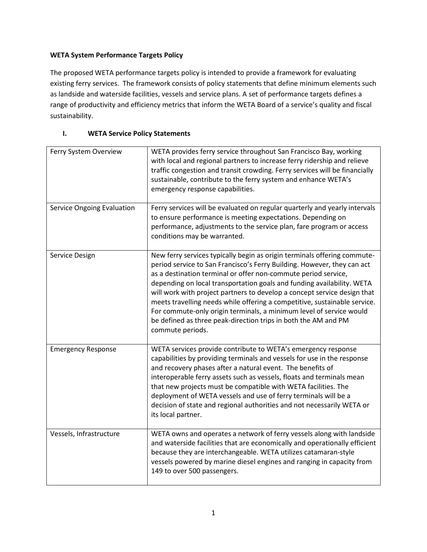# **WETA System Performance Targets Policy**

The proposed WETA performance targets policy is intended to provide a framework for evaluating existing ferry services. The framework consists of policy statements that define minimum elements such as landside and waterside facilities, vessels and service plans. A set of performance targets defines a range of productivity and efficiency metrics that inform the WETA Board of a service's quality and fiscal sustainability.

# **I. WETA Service Policy Statements**

| Ferry System Overview             | WETA provides ferry service throughout San Francisco Bay, working<br>with local and regional partners to increase ferry ridership and relieve<br>traffic congestion and transit crowding. Ferry services will be financially<br>sustainable, contribute to the ferry system and enhance WETA's<br>emergency response capabilities.                                                                                                                                                                                                                                                                                    |
|-----------------------------------|-----------------------------------------------------------------------------------------------------------------------------------------------------------------------------------------------------------------------------------------------------------------------------------------------------------------------------------------------------------------------------------------------------------------------------------------------------------------------------------------------------------------------------------------------------------------------------------------------------------------------|
| <b>Service Ongoing Evaluation</b> | Ferry services will be evaluated on regular quarterly and yearly intervals<br>to ensure performance is meeting expectations. Depending on<br>performance, adjustments to the service plan, fare program or access<br>conditions may be warranted.                                                                                                                                                                                                                                                                                                                                                                     |
| Service Design                    | New ferry services typically begin as origin terminals offering commute-<br>period service to San Francisco's Ferry Building. However, they can act<br>as a destination terminal or offer non-commute period service,<br>depending on local transportation goals and funding availability. WETA<br>will work with project partners to develop a concept service design that<br>meets travelling needs while offering a competitive, sustainable service.<br>For commute-only origin terminals, a minimum level of service would<br>be defined as three peak-direction trips in both the AM and PM<br>commute periods. |
| <b>Emergency Response</b>         | WETA services provide contribute to WETA's emergency response<br>capabilities by providing terminals and vessels for use in the response<br>and recovery phases after a natural event. The benefits of<br>interoperable ferry assets such as vessels, floats and terminals mean<br>that new projects must be compatible with WETA facilities. The<br>deployment of WETA vessels and use of ferry terminals will be a<br>decision of state and regional authorities and not necessarily WETA or<br>its local partner.                                                                                                  |
| Vessels, Infrastructure           | WETA owns and operates a network of ferry vessels along with landside<br>and waterside facilities that are economically and operationally efficient<br>because they are interchangeable. WETA utilizes catamaran-style<br>vessels powered by marine diesel engines and ranging in capacity from<br>149 to over 500 passengers.                                                                                                                                                                                                                                                                                        |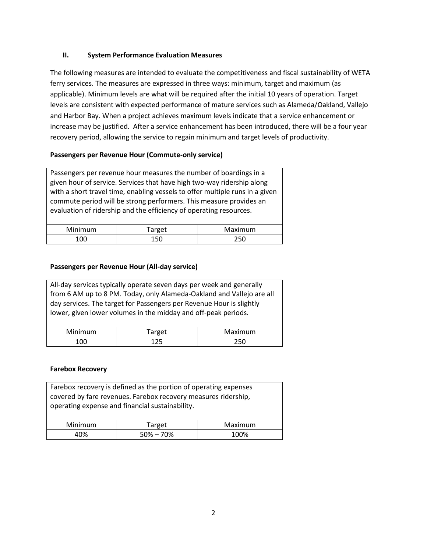### **II. System Performance Evaluation Measures**

The following measures are intended to evaluate the competitiveness and fiscal sustainability of WETA ferry services. The measures are expressed in three ways: minimum, target and maximum (as applicable). Minimum levels are what will be required after the initial 10 years of operation. Target levels are consistent with expected performance of mature services such as Alameda/Oakland, Vallejo and Harbor Bay. When a project achieves maximum levels indicate that a service enhancement or increase may be justified. After a service enhancement has been introduced, there will be a four year recovery period, allowing the service to regain minimum and target levels of productivity.

## **Passengers per Revenue Hour (Commute-only service)**

Passengers per revenue hour measures the number of boardings in a given hour of service. Services that have high two-way ridership along with a short travel time, enabling vessels to offer multiple runs in a given commute period will be strong performers. This measure provides an evaluation of ridership and the efficiency of operating resources.

| <b>Minimum</b> | arget <sup>-</sup> | Maximum |
|----------------|--------------------|---------|
| nr             | 150                | 250     |

## **Passengers per Revenue Hour (All-day service)**

All-day services typically operate seven days per week and generally from 6 AM up to 8 PM. Today, only Alameda-Oakland and Vallejo are all day services. The target for Passengers per Revenue Hour is slightly lower, given lower volumes in the midday and off-peak periods.

| Minimum | <sup>r</sup> arget | Maximum |
|---------|--------------------|---------|
| 0C      |                    | ว แก    |

### **Farebox Recovery**

| Farebox recovery is defined as the portion of operating expenses<br>covered by fare revenues. Farebox recovery measures ridership,<br>operating expense and financial sustainability. |               |         |
|---------------------------------------------------------------------------------------------------------------------------------------------------------------------------------------|---------------|---------|
| Minimum                                                                                                                                                                               | Target        | Maximum |
| 40%                                                                                                                                                                                   | $50\% - 70\%$ | 100%    |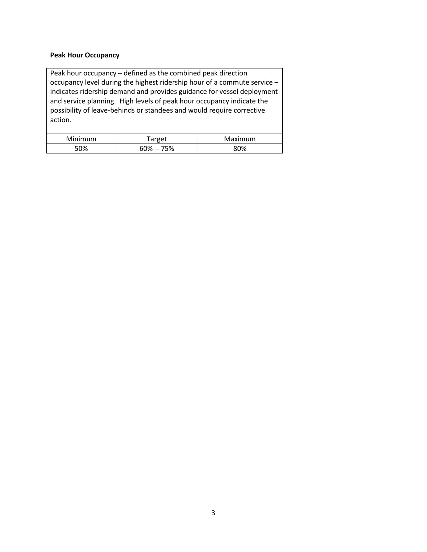#### **Peak Hour Occupancy**

Peak hour occupancy – defined as the combined peak direction occupancy level during the highest ridership hour of a commute service – indicates ridership demand and provides guidance for vessel deployment and service planning. High levels of peak hour occupancy indicate the possibility of leave-behinds or standees and would require corrective action. Minimum | Target | Maximum

50% 60% -- 75% 80%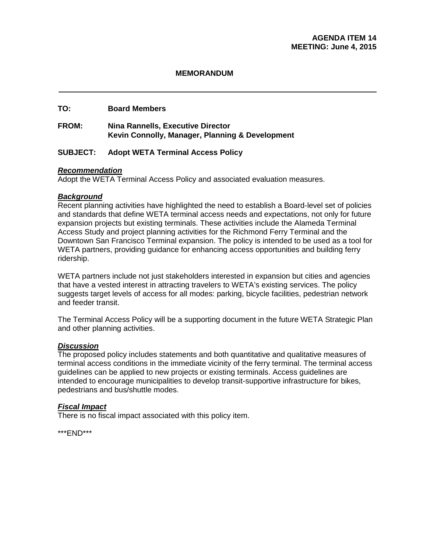## **MEMORANDUM**

# **TO: Board Members**

# **FROM: Nina Rannells, Executive Director Kevin Connolly, Manager, Planning & Development**

## **SUBJECT: Adopt WETA Terminal Access Policy**

### *Recommendation*

Adopt the WETA Terminal Access Policy and associated evaluation measures.

### *Background*

Recent planning activities have highlighted the need to establish a Board-level set of policies and standards that define WETA terminal access needs and expectations, not only for future expansion projects but existing terminals. These activities include the Alameda Terminal Access Study and project planning activities for the Richmond Ferry Terminal and the Downtown San Francisco Terminal expansion. The policy is intended to be used as a tool for WETA partners, providing guidance for enhancing access opportunities and building ferry ridership.

WETA partners include not just stakeholders interested in expansion but cities and agencies that have a vested interest in attracting travelers to WETA's existing services. The policy suggests target levels of access for all modes: parking, bicycle facilities, pedestrian network and feeder transit.

The Terminal Access Policy will be a supporting document in the future WETA Strategic Plan and other planning activities.

### *Discussion*

The proposed policy includes statements and both quantitative and qualitative measures of terminal access conditions in the immediate vicinity of the ferry terminal. The terminal access guidelines can be applied to new projects or existing terminals. Access guidelines are intended to encourage municipalities to develop transit-supportive infrastructure for bikes, pedestrians and bus/shuttle modes.

### *Fiscal Impact*

There is no fiscal impact associated with this policy item.

\*\*\*END\*\*\*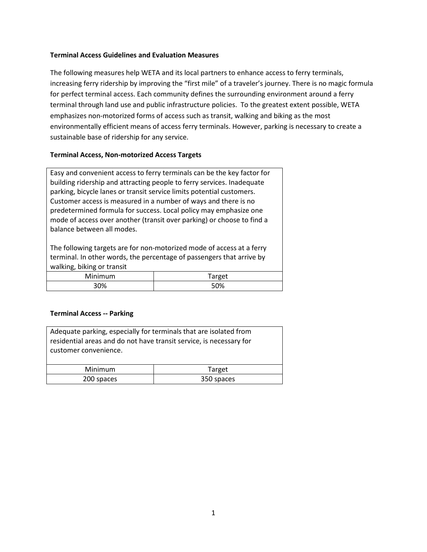### **Terminal Access Guidelines and Evaluation Measures**

The following measures help WETA and its local partners to enhance access to ferry terminals, increasing ferry ridership by improving the "first mile" of a traveler's journey. There is no magic formula for perfect terminal access. Each community defines the surrounding environment around a ferry terminal through land use and public infrastructure policies. To the greatest extent possible, WETA emphasizes non-motorized forms of access such as transit, walking and biking as the most environmentally efficient means of access ferry terminals. However, parking is necessary to create a sustainable base of ridership for any service.

### **Terminal Access, Non-motorized Access Targets**

Easy and convenient access to ferry terminals can be the key factor for building ridership and attracting people to ferry services. Inadequate parking, bicycle lanes or transit service limits potential customers. Customer access is measured in a number of ways and there is no predetermined formula for success. Local policy may emphasize one mode of access over another (transit over parking) or choose to find a balance between all modes.

The following targets are for non-motorized mode of access at a ferry terminal. In other words, the percentage of passengers that arrive by walking, biking or transit

| Minimum | arget<br>uı |
|---------|-------------|
| 30%     | 50%         |

#### **Terminal Access -- Parking**

| Adequate parking, especially for terminals that are isolated from<br>residential areas and do not have transit service, is necessary for<br>customer convenience. |            |
|-------------------------------------------------------------------------------------------------------------------------------------------------------------------|------------|
| <b>Minimum</b>                                                                                                                                                    | Target     |
| 200 spaces                                                                                                                                                        | 350 spaces |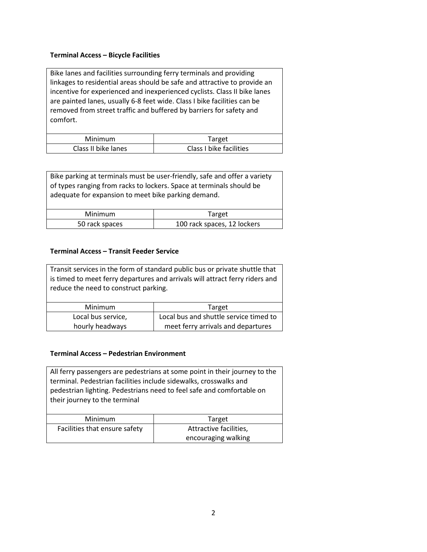### **Terminal Access – Bicycle Facilities**

Bike lanes and facilities surrounding ferry terminals and providing linkages to residential areas should be safe and attractive to provide an incentive for experienced and inexperienced cyclists. Class II bike lanes are painted lanes, usually 6-8 feet wide. Class I bike facilities can be removed from street traffic and buffered by barriers for safety and comfort.

| Minimum             | Target                  |
|---------------------|-------------------------|
| Class II bike lanes | Class I bike facilities |

Bike parking at terminals must be user-friendly, safe and offer a variety of types ranging from racks to lockers. Space at terminals should be adequate for expansion to meet bike parking demand.

| Minimum        | Target                      |
|----------------|-----------------------------|
| 50 rack spaces | 100 rack spaces, 12 lockers |

## **Terminal Access – Transit Feeder Service**

| Transit services in the form of standard public bus or private shuttle that  |                                        |
|------------------------------------------------------------------------------|----------------------------------------|
| is timed to meet ferry departures and arrivals will attract ferry riders and |                                        |
| reduce the need to construct parking.                                        |                                        |
|                                                                              |                                        |
| Minimum                                                                      | Target                                 |
| Local bus service,                                                           | Local bus and shuttle service timed to |
| hourly headways                                                              | meet ferry arrivals and departures     |

### **Terminal Access – Pedestrian Environment**

All ferry passengers are pedestrians at some point in their journey to the terminal. Pedestrian facilities include sidewalks, crosswalks and pedestrian lighting. Pedestrians need to feel safe and comfortable on their journey to the terminal Minimum Target Facilities that ensure safety  $\vert$  Attractive facilities, encouraging walking